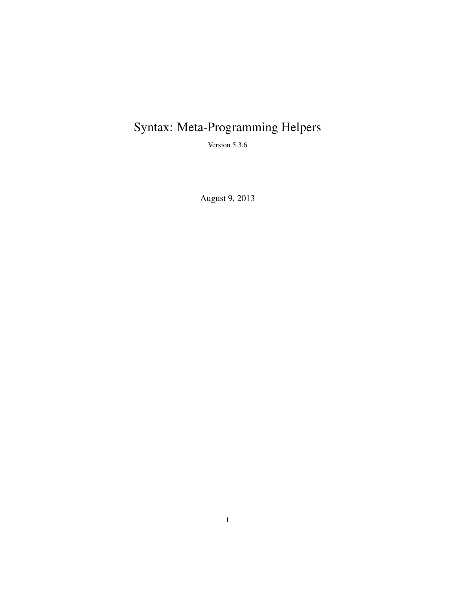# Syntax: Meta-Programming Helpers

Version 5.3.6

August 9, 2013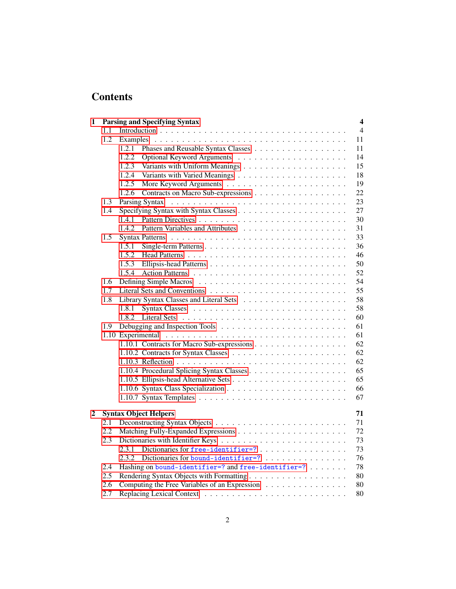## **Contents**

| 1 |     | <b>Parsing and Specifying Syntax</b><br>$\overline{\mathbf{4}}$ |
|---|-----|-----------------------------------------------------------------|
|   | 1.1 | $\overline{4}$                                                  |
|   | 1.2 | 11                                                              |
|   |     | 1.2.1<br>11                                                     |
|   |     | 1.2.2<br>14                                                     |
|   |     | 1.2.3<br>15                                                     |
|   |     | 18<br>1.2.4                                                     |
|   |     | 19<br>1.2.5                                                     |
|   |     | Contracts on Macro Sub-expressions<br>22<br>1.2.6               |
|   | 1.3 | 23                                                              |
|   | 1.4 | 27                                                              |
|   |     | 30<br>1.4.1                                                     |
|   |     | 31<br>1.4.2                                                     |
|   | 1.5 | 33                                                              |
|   |     | 1.5.1<br>36                                                     |
|   |     | 1.5.2<br>46                                                     |
|   |     | 50<br>1.5.3                                                     |
|   |     | 52<br>1.5.4                                                     |
|   | 1.6 | 54                                                              |
|   | 1.7 | 55                                                              |
|   | 1.8 | 58                                                              |
|   |     | 58<br>1.8.1                                                     |
|   |     | 60<br>1.8.2                                                     |
|   | 1.9 | 61                                                              |
|   |     | 61                                                              |
|   |     | 62<br>1.10.1 Contracts for Macro Sub-expressions                |
|   |     | 62                                                              |
|   |     | 62                                                              |
|   |     | 65                                                              |
|   |     | 65                                                              |
|   |     | 66                                                              |
|   |     | 67                                                              |
|   |     |                                                                 |
| 2 |     | <b>Syntax Object Helpers</b><br>71                              |
|   | 2.1 | 71                                                              |
|   | 2.2 | 72                                                              |
|   | 2.3 | 73                                                              |
|   |     | Dictionaries for free-identifier=?<br>73<br>2.3.1               |
|   |     | 76<br>2.3.2<br>Dictionaries for bound-identifier=?              |
|   | 2.4 | 78<br>Hashing on bound-identifier=? and free-identifier=?       |
|   | 2.5 | 80                                                              |
|   | 2.6 | Computing the Free Variables of an Expression<br>80             |
|   | 2.7 | 80                                                              |
|   |     |                                                                 |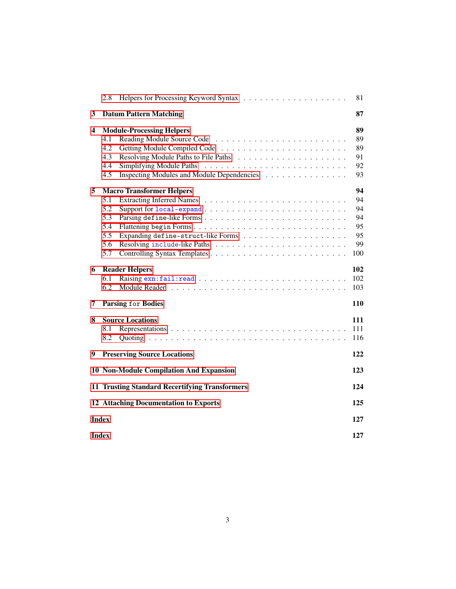|   | 2.8                                                   |                                            | 81  |  |  |
|---|-------------------------------------------------------|--------------------------------------------|-----|--|--|
| 3 |                                                       | <b>Datum Pattern Matching</b>              | 87  |  |  |
| 4 | <b>Module-Processing Helpers</b>                      |                                            |     |  |  |
|   | 4.1                                                   |                                            | 89  |  |  |
|   | 4.2                                                   |                                            | 89  |  |  |
|   | 4.3                                                   |                                            | 91  |  |  |
|   | 4.4                                                   |                                            | 92  |  |  |
|   | 4.5                                                   | Inspecting Modules and Module Dependencies | 93  |  |  |
| 5 |                                                       | <b>Macro Transformer Helpers</b>           | 94  |  |  |
|   | 5.1                                                   |                                            | 94  |  |  |
|   | 5.2                                                   |                                            | 94  |  |  |
|   | 5.3                                                   |                                            | 94  |  |  |
|   | 5.4                                                   |                                            | 95  |  |  |
|   | 5.5                                                   |                                            | 95  |  |  |
|   | 5.6                                                   |                                            | 99  |  |  |
|   | 5.7                                                   |                                            | 100 |  |  |
| 6 |                                                       | <b>Reader Helpers</b>                      | 102 |  |  |
|   | 6.1                                                   |                                            | 102 |  |  |
|   | 6.2                                                   |                                            | 103 |  |  |
| 7 | <b>Parsing for Bodies</b><br>110                      |                                            |     |  |  |
| 8 |                                                       | <b>Source Locations</b>                    | 111 |  |  |
|   | 8.1                                                   |                                            | 111 |  |  |
|   | 8.2                                                   |                                            | 116 |  |  |
| 9 |                                                       |                                            | 122 |  |  |
|   |                                                       | <b>Preserving Source Locations</b>         |     |  |  |
|   |                                                       | 10 Non-Module Compilation And Expansion    | 123 |  |  |
|   | <b>11 Trusting Standard Recertifying Transformers</b> |                                            |     |  |  |
|   | <b>12 Attaching Documentation to Exports</b>          |                                            |     |  |  |
|   | <b>Index</b>                                          |                                            |     |  |  |
|   |                                                       |                                            |     |  |  |
|   | <b>Index</b><br>127                                   |                                            |     |  |  |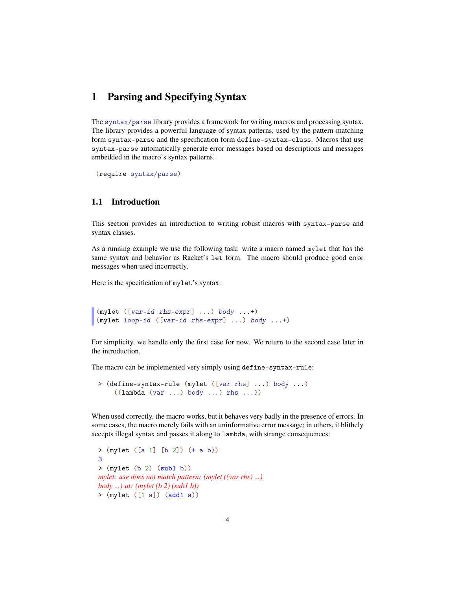## <span id="page-3-0"></span>1 Parsing and Specifying Syntax

The syntax/parse library provides a framework for writing macros and processing syntax. The library provides a powerful language of syntax patterns, used by the pattern-matching form syntax-parse and the specification form define-syntax-class. Macros that use syntax-parse automatically generate error messages based on descriptions and messages embedded in the macro's syntax patterns.

(require syntax/parse)

#### <span id="page-3-1"></span>1.1 Introduction

This section provides an introduction to writing robust macros with syntax-parse and syntax classes.

As a running example we use the following task: write a macro named mylet that has the same syntax and behavior as Racket's let form. The macro should produce good error messages when used incorrectly.

Here is the specification of mylet's syntax:

```
(mylet ([var-id rhs-expr] ...) body ...+)
(mylet loop-id ([var-id rhs-expr] ...) body ...+)
```
For simplicity, we handle only the first case for now. We return to the second case later in the introduction.

The macro can be implemented very simply using define-syntax-rule:

```
> (define-syntax-rule (mylet ([var rhs] ...) body ...)
    ((lambda (var ...) body ...) rhs ...))
```
When used correctly, the macro works, but it behaves very badly in the presence of errors. In some cases, the macro merely fails with an uninformative error message; in others, it blithely accepts illegal syntax and passes it along to lambda, with strange consequences:

```
> (mylet ([a 1] [b 2]) (+ a b))
3
> (mylet (b 2) (sub1 b))
mylet: use does not match pattern: (mylet ((var rhs) ...)
body ...) at: (mylet (b 2) (sub1 b))
> (mylet ([1 a]) (add1 a))
```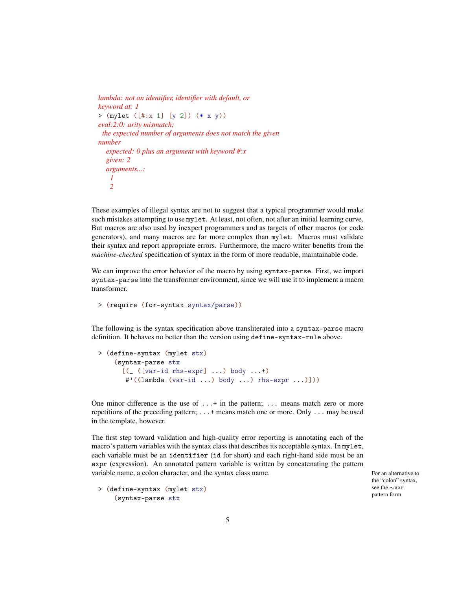```
lambda: not an identifier, identifier with default, or
keyword at: 1
> (mylet ([#:x 1] [y 2]) (* x y))
eval:2:0: arity mismatch;
 the expected number of arguments does not match the given
number
  expected: 0 plus an argument with keyword #:x
  given: 2
  arguments...:
   1
   2
```
These examples of illegal syntax are not to suggest that a typical programmer would make such mistakes attempting to use mylet. At least, not often, not after an initial learning curve. But macros are also used by inexpert programmers and as targets of other macros (or code generators), and many macros are far more complex than mylet. Macros must validate their syntax and report appropriate errors. Furthermore, the macro writer benefits from the *machine-checked* specification of syntax in the form of more readable, maintainable code.

We can improve the error behavior of the macro by using syntax-parse. First, we import syntax-parse into the transformer environment, since we will use it to implement a macro transformer.

```
> (require (for-syntax syntax/parse))
```
The following is the syntax specification above transliterated into a syntax-parse macro definition. It behaves no better than the version using define-syntax-rule above.

```
> (define-syntax (mylet stx)
    (syntax-parse stx
      [ ([var-id rhs-expr] ...) body ...+)
      #'((lambda (var-id ...) body ...) rhs-expr ...)]))
```
One minor difference is the use of  $\dots$  + in the pattern;  $\dots$  means match zero or more repetitions of the preceding pattern; ...+ means match one or more. Only ... may be used in the template, however.

The first step toward validation and high-quality error reporting is annotating each of the macro's pattern variables with the syntax class that describes its acceptable syntax. In mylet, each variable must be an identifier (id for short) and each right-hand side must be an expr (expression). An annotated pattern variable is written by concatenating the pattern variable name, a colon character, and the syntax class name. For an alternative to example to the syntax class name.

> (define-syntax (mylet stx) (syntax-parse stx

the "colon" syntax, see the ∼var pattern form.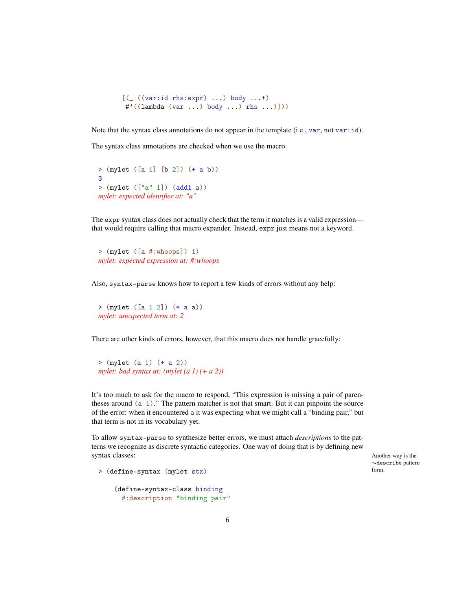```
[ ((var:id rhs:expr) ...) body ...+)
#'((lambda (var ...) body ...) rhs ...)]))
```
Note that the syntax class annotations do not appear in the template (i.e., var, not var $:i$ d).

The syntax class annotations are checked when we use the macro.

```
> (mylet ([a 1] [b 2]) (+ a b))
3
> (mylet (["a" 1]) (add1 a))
mylet: expected identifier at: "a"
```
The expr syntax class does not actually check that the term it matches is a valid expression that would require calling that macro expander. Instead, expr just means not a keyword.

```
> (mylet ([a #:whoops]) 1)
mylet: expected expression at: #:whoops
```
Also, syntax-parse knows how to report a few kinds of errors without any help:

```
> (mylet ([a 1 2]) (* a a))
mylet: unexpected term at: 2
```
There are other kinds of errors, however, that this macro does not handle gracefully:

> (mylet (a 1) (+ a 2)) *mylet: bad syntax at: (mylet (a 1) (+ a 2))*

It's too much to ask for the macro to respond, "This expression is missing a pair of parentheses around (a 1)." The pattern matcher is not that smart. But it can pinpoint the source of the error: when it encountered a it was expecting what we might call a "binding pair," but that term is not in its vocabulary yet.

To allow syntax-parse to synthesize better errors, we must attach *descriptions* to the patterns we recognize as discrete syntactic categories. One way of doing that is by defining new syntax classes: Another way is the Another way is the Another way is the Another way is the Another way is the Another way is the Another way is the Another way is the Another way is the Another way is the Another way is t

∼describe pattern

```
> (define-syntax (mylet stx)
```

```
(define-syntax-class binding
 #:description "binding pair"
```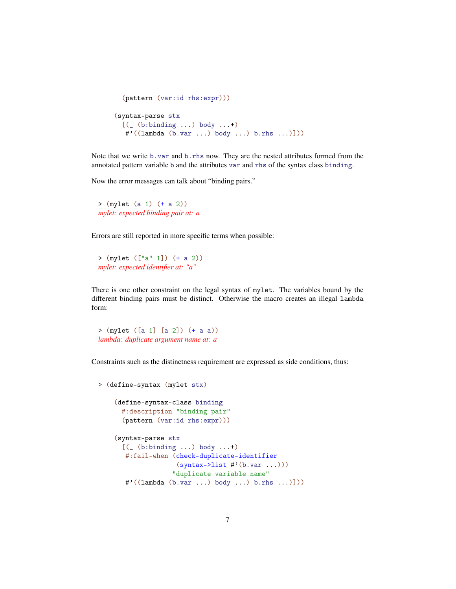```
(pattern (var:id rhs:expr)))
(syntax-parse stx
 [(_ (b:binding ...) body ...+)
  #'((lambda (b.var ...) body ...) b.rhs ...)]))
```
Note that we write b.var and b.rhs now. They are the nested attributes formed from the annotated pattern variable b and the attributes var and rhs of the syntax class binding.

Now the error messages can talk about "binding pairs."

> (mylet (a 1) (+ a 2)) *mylet: expected binding pair at: a*

Errors are still reported in more specific terms when possible:

> (mylet (["a" 1]) (+ a 2)) *mylet: expected identifier at: "a"*

There is one other constraint on the legal syntax of mylet. The variables bound by the different binding pairs must be distinct. Otherwise the macro creates an illegal lambda form:

> (mylet ([a 1] [a 2]) (+ a a)) *lambda: duplicate argument name at: a*

Constraints such as the distinctness requirement are expressed as side conditions, thus:

```
> (define-syntax (mylet stx)
    (define-syntax-class binding
      #:description "binding pair"
      (pattern (var:id rhs:expr)))
    (syntax-parse stx
      [ ( (b: binding ...) body ...+)
       #:fail-when (check-duplicate-identifier
                    (syntax->list #'(b.var ...)))"duplicate variable name"
       #'((lambda (b.var ...) body ...) b.rhs ...)]))
```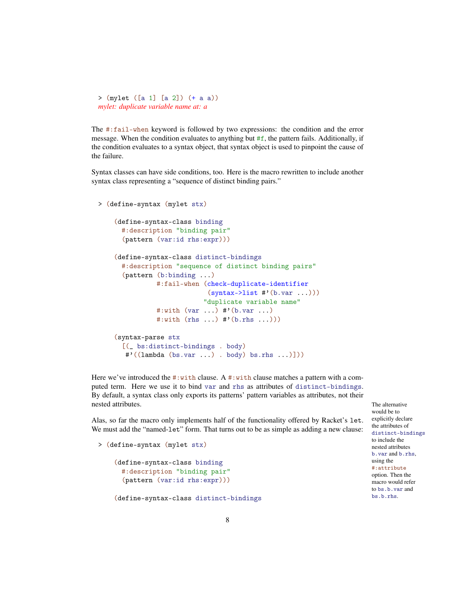```
> (mylet ([a 1] [a 2]) (+ a a))
mylet: duplicate variable name at: a
```
The #:fail-when keyword is followed by two expressions: the condition and the error message. When the condition evaluates to anything but  $#f$ , the pattern fails. Additionally, if the condition evaluates to a syntax object, that syntax object is used to pinpoint the cause of the failure.

Syntax classes can have side conditions, too. Here is the macro rewritten to include another syntax class representing a "sequence of distinct binding pairs."

```
> (define-syntax (mylet stx)
    (define-syntax-class binding
      #:description "binding pair"
      (pattern (var:id rhs:expr)))
    (define-syntax-class distinct-bindings
      #:description "sequence of distinct binding pairs"
      (pattern (b:binding ...)
               #:fail-when (check-duplicate-identifier
                            (syntax-2list #'(b.var ...))"duplicate variable name"
               #:with (var ...) #'(b.var ...)
               #:with (rhs ...) #'(b.rhs ...)))
    (syntax-parse stx
      [(_ bs:distinct-bindings . body)
       #'((lambda (bs.var ...) . body) bs.rhs ...)]))
```
Here we've introduced the  $\#$ : with clause. A  $\#$ : with clause matches a pattern with a computed term. Here we use it to bind var and rhs as attributes of distinct-bindings. By default, a syntax class only exports its patterns' pattern variables as attributes, not their nested attributes. The alternative that is not a structure of the alternative that is not alternative that is no structure of the alternative that is no structure of the alternative of the alternative of the structure of t

Alas, so far the macro only implements half of the functionality offered by Racket's let. We must add the "named-let" form. That turns out to be as simple as adding a new clause:

```
> (define-syntax (mylet stx)
    (define-syntax-class binding
      #:description "binding pair"
      (pattern (var:id rhs:expr)))
    (define-syntax-class distinct-bindings
```
would be to explicitly declare the attributes of distinct-bindings to include the nested attributes b.var and b.rhs, using the #:attribute option. Then the macro would refer to bs.b.var and bs.b.rhs.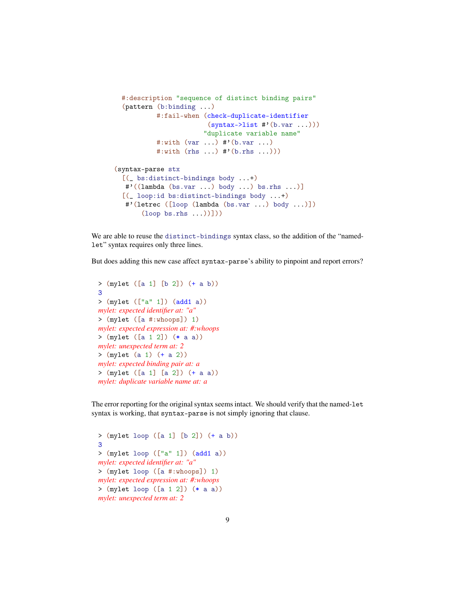```
#:description "sequence of distinct binding pairs"
 (pattern (b:binding ...)
          #:fail-when (check-duplicate-identifier
                        (syntax->list #'(b.var ...)))"duplicate variable name"
          #:with (var ...) #'(b.var ...)
          #:with (rhs ...) #'(b.rhs ...))(syntax-parse stx
 [(_ bs:distinct-bindings body ...+)
  #'((lambda (bs.var ...) body ...) bs.rhs ...)]
 [(_ loop:id bs:distinct-bindings body ...+)
  #'(letrec ([loop (lambda (bs.var ...) body ...)])
       (logo p \, bs.rhs \ldots))])
```
We are able to reuse the distinct-bindings syntax class, so the addition of the "namedlet" syntax requires only three lines.

But does adding this new case affect syntax-parse's ability to pinpoint and report errors?

```
> (mylet ([a 1] [b 2]) (+ a b))
3
> (mylet (["a" 1]) (add1 a))
mylet: expected identifier at: "a"
> (mylet ([a #:whoops]) 1)
mylet: expected expression at: #:whoops
> (mylet ([a 1 2]) (* a a))
mylet: unexpected term at: 2
> (mylet (a 1) (+ a 2))
mylet: expected binding pair at: a
> (mylet ([a 1] [a 2]) (+ a a))
mylet: duplicate variable name at: a
```
The error reporting for the original syntax seems intact. We should verify that the named-let syntax is working, that syntax-parse is not simply ignoring that clause.

```
> (mylet loop ([a 1] [b 2]) (+ a b))
3
> (mylet loop (["a" 1]) (add1 a))
mylet: expected identifier at: "a"
> (mylet loop ([a #:whoops]) 1)
mylet: expected expression at: #:whoops
> (mylet loop ([a 1 2]) (* a a))
mylet: unexpected term at: 2
```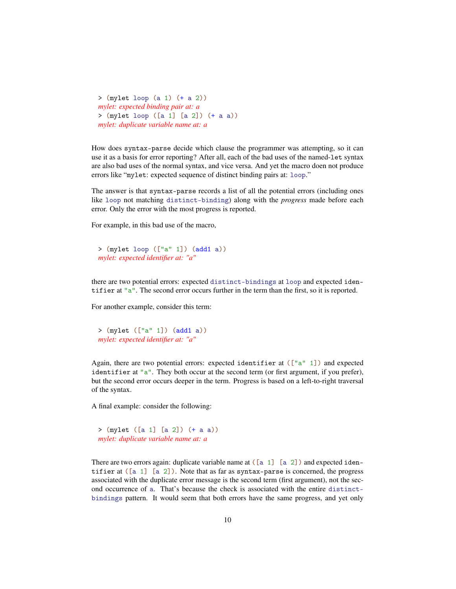```
> (mylet loop (a 1) (+ a 2))
mylet: expected binding pair at: a
> (mylet loop ([a 1] [a 2]) (+ a a))
mylet: duplicate variable name at: a
```
How does syntax-parse decide which clause the programmer was attempting, so it can use it as a basis for error reporting? After all, each of the bad uses of the named-let syntax are also bad uses of the normal syntax, and vice versa. And yet the macro doen not produce errors like "mylet: expected sequence of distinct binding pairs at: loop."

The answer is that syntax-parse records a list of all the potential errors (including ones like loop not matching distinct-binding) along with the *progress* made before each error. Only the error with the most progress is reported.

For example, in this bad use of the macro,

```
> (mylet loop (["a" 1]) (add1 a))
mylet: expected identifier at: "a"
```
there are two potential errors: expected distinct-bindings at loop and expected identifier at "a". The second error occurs further in the term than the first, so it is reported.

For another example, consider this term:

```
> (mylet (["a" 1]) (add1 a))
mylet: expected identifier at: "a"
```
Again, there are two potential errors: expected identifier at  $([a^" 1])$  and expected identifier at "a". They both occur at the second term (or first argument, if you prefer), but the second error occurs deeper in the term. Progress is based on a left-to-right traversal of the syntax.

A final example: consider the following:

```
> (mylet ([a 1] [a 2]) (+ a a))
mylet: duplicate variable name at: a
```
There are two errors again: duplicate variable name at  $([a 1] [a 2])$  and expected identifier at  $([a 1] [a 2])$ . Note that as far as syntax-parse is concerned, the progress associated with the duplicate error message is the second term (first argument), not the second occurrence of a. That's because the check is associated with the entire distinctbindings pattern. It would seem that both errors have the same progress, and yet only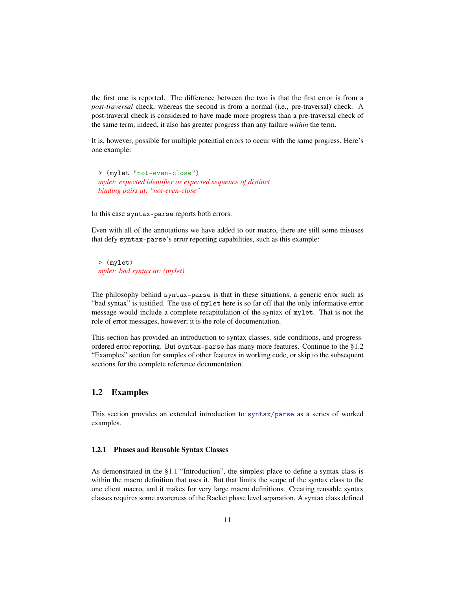the first one is reported. The difference between the two is that the first error is from a *post-traversal* check, whereas the second is from a normal (i.e., pre-traversal) check. A post-traveral check is considered to have made more progress than a pre-traversal check of the same term; indeed, it also has greater progress than any failure *within* the term.

It is, however, possible for multiple potential errors to occur with the same progress. Here's one example:

> (mylet "not-even-close") *mylet: expected identifier or expected sequence of distinct binding pairs at: "not-even-close"*

In this case syntax-parse reports both errors.

Even with all of the annotations we have added to our macro, there are still some misuses that defy syntax-parse's error reporting capabilities, such as this example:

> (mylet) *mylet: bad syntax at: (mylet)*

The philosophy behind syntax-parse is that in these situations, a generic error such as "bad syntax" is justified. The use of mylet here is so far off that the only informative error message would include a complete recapitulation of the syntax of mylet. That is not the role of error messages, however; it is the role of documentation.

This section has provided an introduction to syntax classes, side conditions, and progressordered error reporting. But syntax-parse has many more features. Continue to the §1.2 "Examples" section for samples of other features in working code, or skip to the subsequent sections for the complete reference documentation.

## <span id="page-10-0"></span>1.2 Examples

This section provides an extended introduction to syntax/parse as a series of worked examples.

#### <span id="page-10-1"></span>1.2.1 Phases and Reusable Syntax Classes

As demonstrated in the §1.1 "Introduction", the simplest place to define a syntax class is within the macro definition that uses it. But that limits the scope of the syntax class to the one client macro, and it makes for very large macro definitions. Creating reusable syntax classes requires some awareness of the Racket phase level separation. A syntax class defined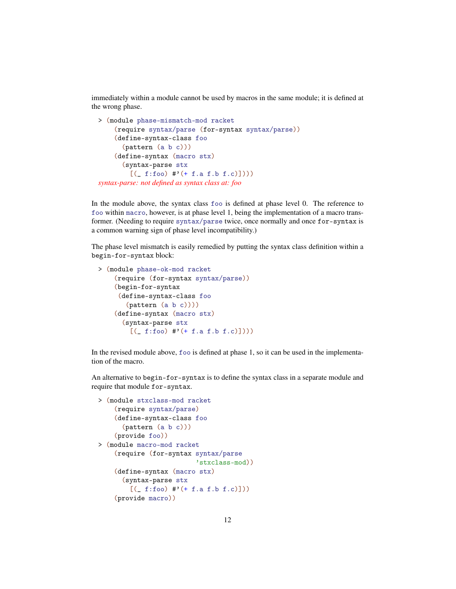immediately within a module cannot be used by macros in the same module; it is defined at the wrong phase.

```
> (module phase-mismatch-mod racket
    (require syntax/parse (for-syntax syntax/parse))
    (define-syntax-class foo
      (pattern (a b c)))
    (define-syntax (macro stx)
      (syntax-parse stx
        [([ f:foo) #'(+ f.a f.b f.c)])))
syntax-parse: not defined as syntax class at: foo
```
In the module above, the syntax class foo is defined at phase level 0. The reference to foo within macro, however, is at phase level 1, being the implementation of a macro transformer. (Needing to require syntax/parse twice, once normally and once for-syntax is a common warning sign of phase level incompatibility.)

The phase level mismatch is easily remedied by putting the syntax class definition within a begin-for-syntax block:

```
> (module phase-ok-mod racket
    (require (for-syntax syntax/parse))
    (begin-for-syntax
     (define-syntax-class foo
       (pattern (a b c))))
    (define-syntax (macro stx)
      (syntax-parse stx
        [([ f:foo) #'(+ f.a f.b f.c)])))
```
In the revised module above, foo is defined at phase 1, so it can be used in the implementation of the macro.

An alternative to begin-for-syntax is to define the syntax class in a separate module and require that module for-syntax.

```
> (module stxclass-mod racket
    (require syntax/parse)
    (define-syntax-class foo
      (pattern (a b c)))
    (provide foo))
> (module macro-mod racket
    (require (for-syntax syntax/parse
                         'stxclass-mod))
    (define-syntax (macro stx)
      (syntax-parse stx
        [([ f:foo) #'(+ f.a f.b f.c)]))
    (provide macro))
```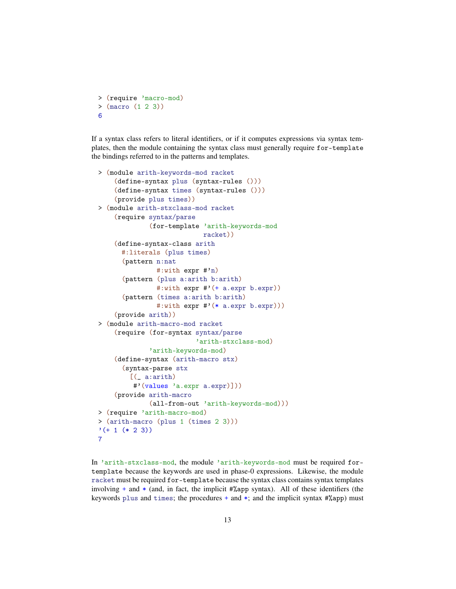```
> (require 'macro-mod)
> (macro (1 2 3))
6
```
If a syntax class refers to literal identifiers, or if it computes expressions via syntax templates, then the module containing the syntax class must generally require for-template the bindings referred to in the patterns and templates.

```
> (module arith-keywords-mod racket
    (define-syntax plus (syntax-rules ()))
    (define-syntax times (syntax-rules ()))
    (provide plus times))
> (module arith-stxclass-mod racket
    (require syntax/parse
             (for-template 'arith-keywords-mod
                           racket))
    (define-syntax-class arith
      #:literals (plus times)
      (pattern n:nat
               #:with expr #'n)
      (pattern (plus a:arith b:arith)
               #:with expr #'(+ a.expr b.expr))
      (pattern (times a:arith b:arith)
               #:with expr #'(* a.expr b.expr)))
    (provide arith))
> (module arith-macro-mod racket
    (require (for-syntax syntax/parse
                         'arith-stxclass-mod)
             'arith-keywords-mod)
    (define-syntax (arith-macro stx)
      (syntax-parse stx
        [(_ a:arith)
         #'(values 'a.expr a.expr)]))
    (provide arith-macro
             (all-from-out 'arith-keywords-mod)))
> (require 'arith-macro-mod)
> (arith-macro (plus 1 (times 2 3)))
'(+ 1 (* 2 3))7
```
In 'arith-stxclass-mod, the module 'arith-keywords-mod must be required fortemplate because the keywords are used in phase-0 expressions. Likewise, the module racket must be required for-template because the syntax class contains syntax templates involving  $+$  and  $*$  (and, in fact, the implicit  $\frac{4}{2}$ app syntax). All of these identifiers (the keywords plus and times; the procedures  $+$  and  $*$ ; and the implicit syntax  $\frac{4}{2}$ app) must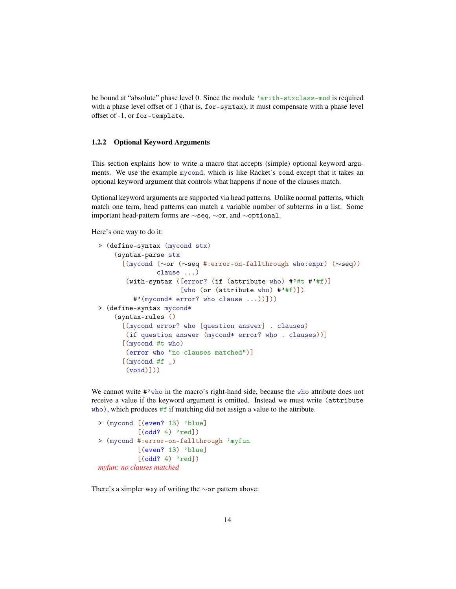be bound at "absolute" phase level 0. Since the module 'arith-stxclass-mod is required with a phase level offset of 1 (that is, for-syntax), it must compensate with a phase level offset of -1, or for-template.

#### <span id="page-13-0"></span>1.2.2 Optional Keyword Arguments

This section explains how to write a macro that accepts (simple) optional keyword arguments. We use the example mycond, which is like Racket's cond except that it takes an optional keyword argument that controls what happens if none of the clauses match.

Optional keyword arguments are supported via head patterns. Unlike normal patterns, which match one term, head patterns can match a variable number of subterms in a list. Some important head-pattern forms are ∼seq, ∼or, and ∼optional.

Here's one way to do it:

```
> (define-syntax (mycond stx)
    (syntax-parse stx
      [(mycond (∼or (∼seq #:error-on-fallthrough who:expr) (∼seq))
               clause ...)
       (with-syntax ([error? (if (attribute who) #'#t #'#f)]
                     [who (or (attribute who) \#'#f)])
         #'(mycond* error? who clause ...))]))
> (define-syntax mycond*
    (syntax-rules ()
      [(mycond error? who [question answer] . clauses)
       (if question answer (mycond* error? who . clauses))]
      [(mycond #t who)
       (error who "no clauses matched")]
      [(mycond #f])(void)])
```
We cannot write #'who in the macro's right-hand side, because the who attribute does not receive a value if the keyword argument is omitted. Instead we must write (attribute who), which produces #f if matching did not assign a value to the attribute.

```
> (mycond [(even? 13) 'blue]
          [(odd? 4) 'red])
> (mycond #:error-on-fallthrough 'myfun
          [(even? 13) 'blue]
          [(odd? 4) 'red])
myfun: no clauses matched
```
There's a simpler way of writing the ∼or pattern above: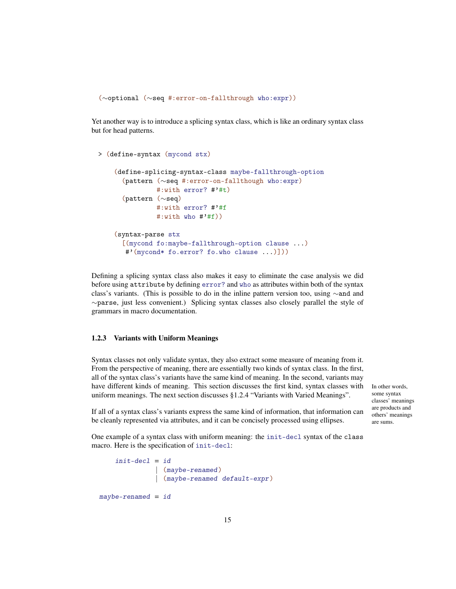(∼optional (∼seq #:error-on-fallthrough who:expr))

Yet another way is to introduce a splicing syntax class, which is like an ordinary syntax class but for head patterns.

```
> (define-syntax (mycond stx)
    (define-splicing-syntax-class maybe-fallthrough-option
      (pattern (∼seq #:error-on-fallthough who:expr)
               #:with error? #'#t)
      (pattern (∼seq)
               #:with error? #'#f
               \#:with who \#'#f))
    (syntax-parse stx
      [(mycond fo:maybe-fallthrough-option clause ...)
       #'(mycond* fo.error? fo.who clause ...)]))
```
Defining a splicing syntax class also makes it easy to eliminate the case analysis we did before using attribute by defining error? and who as attributes within both of the syntax class's variants. (This is possible to do in the inline pattern version too, using ∼and and ∼parse, just less convenient.) Splicing syntax classes also closely parallel the style of grammars in macro documentation.

#### <span id="page-14-0"></span>1.2.3 Variants with Uniform Meanings

Syntax classes not only validate syntax, they also extract some measure of meaning from it. From the perspective of meaning, there are essentially two kinds of syntax class. In the first, all of the syntax class's variants have the same kind of meaning. In the second, variants may have different kinds of meaning. This section discusses the first kind, syntax classes with In other words, uniform meanings. The next section discusses §1.2.4 "Variants with Varied Meanings".

some syntax classes' meanings are products and others' meanings are sums.

If all of a syntax class's variants express the same kind of information, that information can be cleanly represented via attributes, and it can be concisely processed using ellipses.

One example of a syntax class with uniform meaning: the init-decl syntax of the class macro. Here is the specification of init-decl:

```
init-dec1 = id| (maybe-renamed)
              | (maybe-renamed default-expr )
maybe-renamed = id
```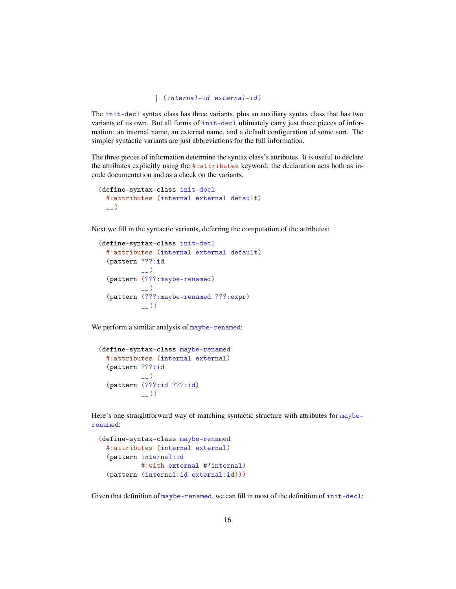```
| (internal-id external-id )
```
The init-decl syntax class has three variants, plus an auxiliary syntax class that has two variants of its own. But all forms of init-decl ultimately carry just three pieces of information: an internal name, an external name, and a default configuration of some sort. The simpler syntactic variants are just abbreviations for the full information.

The three pieces of information determine the syntax class's attributes. It is useful to declare the attributes explicitly using the #:attributes keyword; the declaration acts both as incode documentation and as a check on the variants.

```
(define-syntax-class init-decl
  #:attributes (internal external default)
  \overline{\phantom{0}}
```
Next we fill in the syntactic variants, deferring the computation of the attributes:

```
(define-syntax-class init-decl
  #:attributes (internal external default)
  (pattern ???:id
            \overline{\phantom{a}}(pattern (???:maybe-renamed)
            \overline{a})
  (pattern (???:maybe-renamed ???:expr)
            _{--}))
```
We perform a similar analysis of maybe-renamed:

```
(define-syntax-class maybe-renamed
 #:attributes (internal external)
  (pattern ???:id
           \overline{a}(pattern (???:id ???:id)
           __))
```
Here's one straightforward way of matching syntactic structure with attributes for mayberenamed:

```
(define-syntax-class maybe-renamed
 #:attributes (internal external)
 (pattern internal:id
          #:with external #'internal)
 (pattern (internal:id external:id)))
```
Given that definition of maybe-renamed, we can fill in most of the definition of init-decl: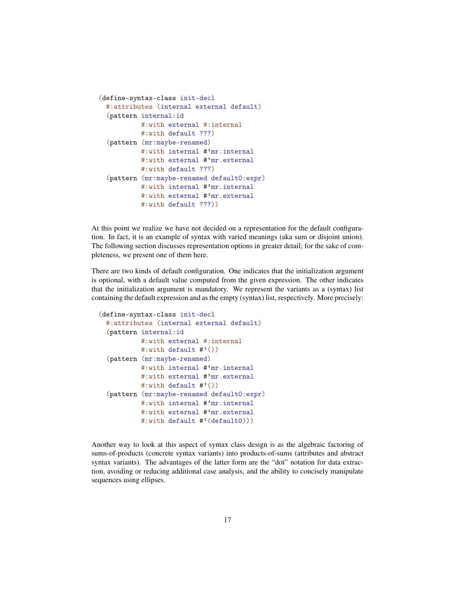```
(define-syntax-class init-decl
 #:attributes (internal external default)
 (pattern internal:id
          #:with external #:internal
          #:with default ???)
 (pattern (mr:maybe-renamed)
          #:with internal #'mr.internal
          #:with external #'mr.external
          #:with default ???)
 (pattern (mr:maybe-renamed default0:expr)
          #:with internal #'mr.internal
          #:with external #'mr.external
          #:with default ???))
```
At this point we realize we have not decided on a representation for the default configuration. In fact, it is an example of syntax with varied meanings (aka sum or disjoint union). The following section discusses representation options in greater detail; for the sake of completeness, we present one of them here.

There are two kinds of default configuration. One indicates that the initialization argument is optional, with a default value computed from the given expression. The other indicates that the initialization argument is mandatory. We represent the variants as a (syntax) list containing the default expression and as the empty (syntax) list, respectively. More precisely:

```
(define-syntax-class init-decl
 #:attributes (internal external default)
 (pattern internal:id
          #:with external #:internal
          #:with default \#'())
 (pattern (mr:maybe-renamed)
          #:with internal #'mr.internal
          #:with external #'mr.external
          #:with default #'())
  (pattern (mr:maybe-renamed default0:expr)
          #:with internal #'mr.internal
          #:with external #'mr.external
          #:with default #'(default0)))
```
Another way to look at this aspect of syntax class design is as the algebraic factoring of sums-of-products (concrete syntax variants) into products-of-sums (attributes and abstract syntax variants). The advantages of the latter form are the "dot" notation for data extraction, avoiding or reducing additional case analysis, and the ability to concisely manipulate sequences using ellipses.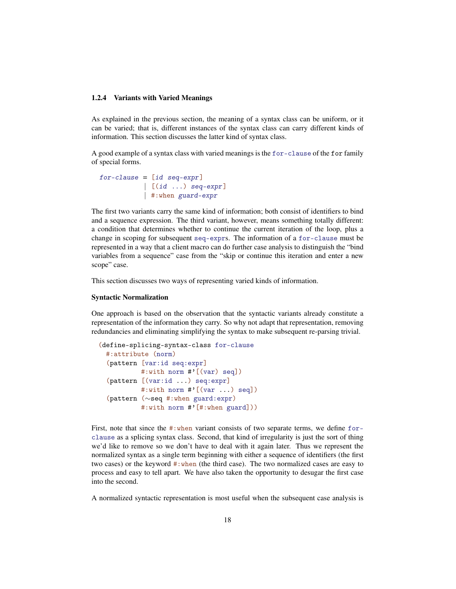#### <span id="page-17-0"></span>1.2.4 Variants with Varied Meanings

As explained in the previous section, the meaning of a syntax class can be uniform, or it can be varied; that is, different instances of the syntax class can carry different kinds of information. This section discusses the latter kind of syntax class.

A good example of a syntax class with varied meanings is the for-clause of the for family of special forms.

```
for-clause = (id \, seq\text{-}expr]\left[\begin{array}{ccc} [id \dots] & \text{seq-expr} \end{array}\right]| #:when guard-expr
```
The first two variants carry the same kind of information; both consist of identifiers to bind and a sequence expression. The third variant, however, means something totally different: a condition that determines whether to continue the current iteration of the loop, plus a change in scoping for subsequent seq-exprs. The information of a for-clause must be represented in a way that a client macro can do further case analysis to distinguish the "bind variables from a sequence" case from the "skip or continue this iteration and enter a new scope" case.

This section discusses two ways of representing varied kinds of information.

#### Syntactic Normalization

One approach is based on the observation that the syntactic variants already constitute a representation of the information they carry. So why not adapt that representation, removing redundancies and eliminating simplifying the syntax to make subsequent re-parsing trivial.

```
(define-splicing-syntax-class for-clause
 #:attribute (norm)
 (pattern [var:id seq:expr]
          #:with norm #'[(var) seq])
 (pattern [(var:id ...) seq:expr]
          #:with norm #'[(var ...) seq])
  (pattern (∼seq #:when guard:expr)
          #:with norm #'[#:when guard]))
```
First, note that since the #:when variant consists of two separate terms, we define forclause as a splicing syntax class. Second, that kind of irregularity is just the sort of thing we'd like to remove so we don't have to deal with it again later. Thus we represent the normalized syntax as a single term beginning with either a sequence of identifiers (the first two cases) or the keyword #:when (the third case). The two normalized cases are easy to process and easy to tell apart. We have also taken the opportunity to desugar the first case into the second.

A normalized syntactic representation is most useful when the subsequent case analysis is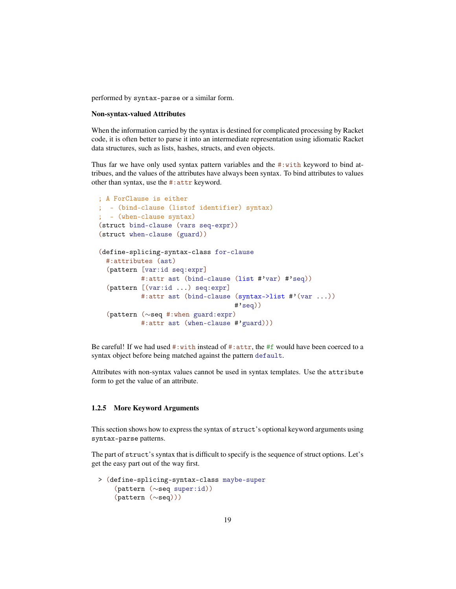performed by syntax-parse or a similar form.

#### Non-syntax-valued Attributes

When the information carried by the syntax is destined for complicated processing by Racket code, it is often better to parse it into an intermediate representation using idiomatic Racket data structures, such as lists, hashes, structs, and even objects.

Thus far we have only used syntax pattern variables and the  $\#$ : with keyword to bind attribues, and the values of the attributes have always been syntax. To bind attributes to values other than syntax, use the #:attr keyword.

```
; A ForClause is either
; - (bind-clause (listof identifier) syntax)
; - (when-clause syntax)
(struct bind-clause (vars seq-expr))
(struct when-clause (guard))
(define-splicing-syntax-class for-clause
 #:attributes (ast)
  (pattern [var:id seq:expr]
          #:attr ast (bind-clause (list #'var) #'seq))
  (pattern [(var:id ...) seq:expr]
          #:attr ast (bind-clause (syntax->list #'(var ...))
                                   #'seq))
  (pattern (∼seq #:when guard:expr)
          #:attr ast (when-clause #'guard)))
```
Be careful! If we had used  $\#$ : with instead of  $\#$ : attr, the  $\#$ f would have been coerced to a syntax object before being matched against the pattern default.

Attributes with non-syntax values cannot be used in syntax templates. Use the attribute form to get the value of an attribute.

#### <span id="page-18-0"></span>1.2.5 More Keyword Arguments

This section shows how to express the syntax of struct's optional keyword arguments using syntax-parse patterns.

The part of struct's syntax that is difficult to specify is the sequence of struct options. Let's get the easy part out of the way first.

```
> (define-splicing-syntax-class maybe-super
    (pattern (∼seq super:id))
    (pattern (∼seq)))
```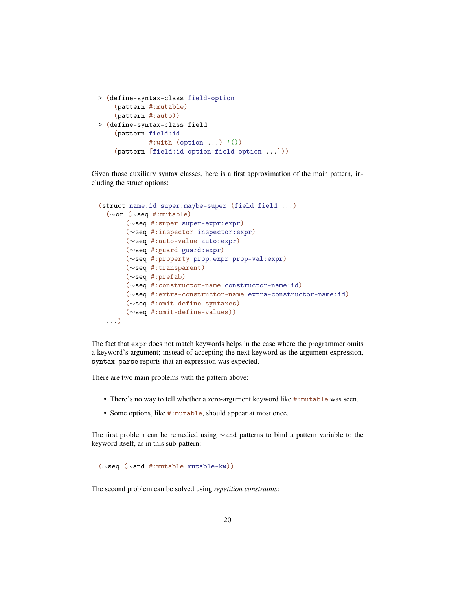```
> (define-syntax-class field-option
    (pattern #:mutable)
    (pattern #:auto))
> (define-syntax-class field
    (pattern field:id
             #:with (option \ldots) '())
    (pattern [field:id option:field-option ...]))
```
Given those auxiliary syntax classes, here is a first approximation of the main pattern, including the struct options:

```
(struct name:id super:maybe-super (field:field ...)
 (∼or (∼seq #:mutable)
      (∼seq #:super super-expr:expr)
      (∼seq #:inspector inspector:expr)
      (∼seq #:auto-value auto:expr)
      (∼seq #:guard guard:expr)
      (∼seq #:property prop:expr prop-val:expr)
      (∼seq #:transparent)
      (∼seq #:prefab)
      (∼seq #:constructor-name constructor-name:id)
      (∼seq #:extra-constructor-name extra-constructor-name:id)
      (∼seq #:omit-define-syntaxes)
      (∼seq #:omit-define-values))
 ...)
```
The fact that expr does not match keywords helps in the case where the programmer omits a keyword's argument; instead of accepting the next keyword as the argument expression, syntax-parse reports that an expression was expected.

There are two main problems with the pattern above:

- There's no way to tell whether a zero-argument keyword like #: mutable was seen.
- Some options, like #:mutable, should appear at most once.

The first problem can be remedied using ∼and patterns to bind a pattern variable to the keyword itself, as in this sub-pattern:

(∼seq (∼and #:mutable mutable-kw))

The second problem can be solved using *repetition constraints*: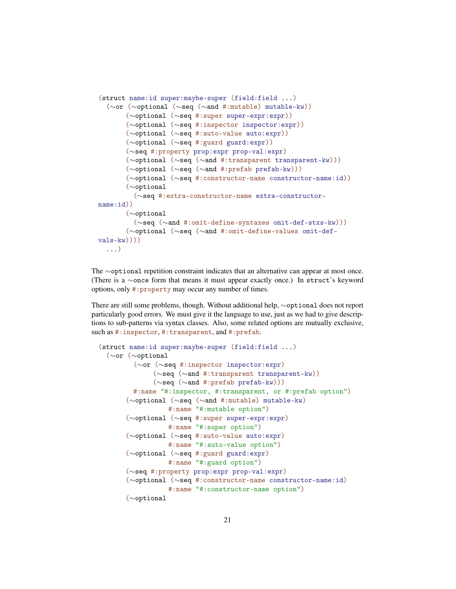```
(struct name:id super:maybe-super (field:field ...)
  (∼or (∼optional (∼seq (∼and #:mutable) mutable-kw))
       (∼optional (∼seq #:super super-expr:expr))
       (∼optional (∼seq #:inspector inspector:expr))
       (∼optional (∼seq #:auto-value auto:expr))
       (∼optional (∼seq #:guard guard:expr))
       (∼seq #:property prop:expr prop-val:expr)
       (∼optional (∼seq (∼and #:transparent transparent-kw)))
       (∼optional (∼seq (∼and #:prefab prefab-kw)))
       (∼optional (∼seq #:constructor-name constructor-name:id))
       (∼optional
         (∼seq #:extra-constructor-name extra-constructor-
name:id))
       (∼optional
         (∼seq (∼and #:omit-define-syntaxes omit-def-stxs-kw)))
       (∼optional (∼seq (∼and #:omit-define-values omit-def-
vals-kw))))
  ...)
```
The ∼optional repetition constraint indicates that an alternative can appear at most once. (There is a ∼once form that means it must appear exactly once.) In struct's keyword options, only #:property may occur any number of times.

There are still some problems, though. Without additional help, ∼optional does not report particularly good errors. We must give it the language to use, just as we had to give descriptions to sub-patterns via syntax classes. Also, some related options are mutually exclusive, such as #: inspector, #: transparent, and #: prefab.

```
(struct name:id super:maybe-super (field:field ...)
 (∼or (∼optional
        (∼or (∼seq #:inspector inspector:expr)
              (∼seq (∼and #:transparent transparent-kw))
              (∼seq (∼and #:prefab prefab-kw)))
        #:name "#:inspector, #:transparent, or #:prefab option")
       (∼optional (∼seq (∼and #:mutable) mutable-kw)
                 #:name "#:mutable option")
       (∼optional (∼seq #:super super-expr:expr)
                 #:name "#:super option")
       (∼optional (∼seq #:auto-value auto:expr)
                 #:name "#:auto-value option")
       (∼optional (∼seq #:guard guard:expr)
                 #:name "#:guard option")
       (∼seq #:property prop:expr prop-val:expr)
       (∼optional (∼seq #:constructor-name constructor-name:id)
                 #:name "#:constructor-name option")
       (∼optional
```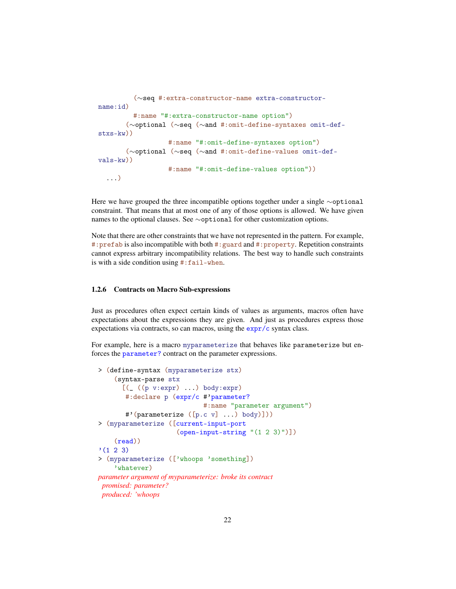```
(∼seq #:extra-constructor-name extra-constructor-
name:id)
         #:name "#:extra-constructor-name option")
       (∼optional (∼seq (∼and #:omit-define-syntaxes omit-def-
stxs-kw))
                  #:name "#:omit-define-syntaxes option")
       (∼optional (∼seq (∼and #:omit-define-values omit-def-
vals-kw))
                  #:name "#:omit-define-values option"))
  ...)
```
Here we have grouped the three incompatible options together under a single ∼optional constraint. That means that at most one of any of those options is allowed. We have given names to the optional clauses. See ∼optional for other customization options.

Note that there are other constraints that we have not represented in the pattern. For example, #: prefab is also incompatible with both #: guard and #: property. Repetition constraints cannot express arbitrary incompatibility relations. The best way to handle such constraints is with a side condition using #:fail-when.

#### <span id="page-21-0"></span>1.2.6 Contracts on Macro Sub-expressions

Just as procedures often expect certain kinds of values as arguments, macros often have expectations about the expressions they are given. And just as procedures express those expectations via contracts, so can macros, using the expr/c syntax class.

For example, here is a macro myparameterize that behaves like parameterize but enforces the parameter? contract on the parameter expressions.

```
> (define-syntax (myparameterize stx)
    (syntax-parse stx
      [(( (p v:expr) ...) body:expr)
       #:declare p (expr/c #'parameter?
                            #:name "parameter argument")
       #'(parameterize ([p.c v] ...) body)]))
> (myparameterize ([current-input-port
                     (open-input-string "(1 2 3)")])
    (read))
'(1 \ 2 \ 3)> (myparameterize (['whoops 'something])
    'whatever)
parameter argument of myparameterize: broke its contract
 promised: parameter?
 produced: 'whoops
```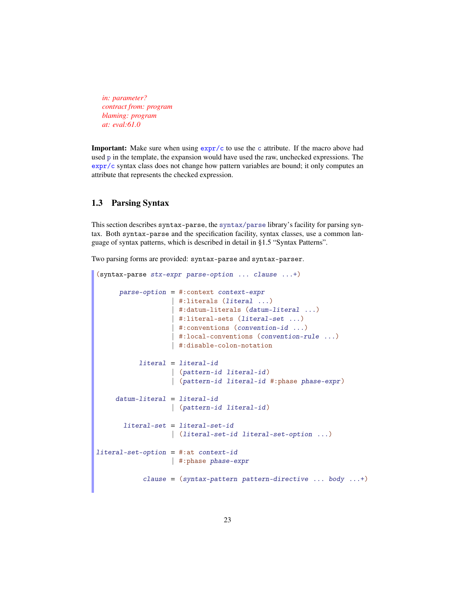*in: parameter? contract from: program blaming: program at: eval:61.0*

**Important:** Make sure when using  $\exp(r/c)$  to use the c attribute. If the macro above had used p in the template, the expansion would have used the raw, unchecked expressions. The expr/c syntax class does not change how pattern variables are bound; it only computes an attribute that represents the checked expression.

### <span id="page-22-0"></span>1.3 Parsing Syntax

This section describes syntax-parse, the syntax/parse library's facility for parsing syntax. Both syntax-parse and the specification facility, syntax classes, use a common language of syntax patterns, which is described in detail in §1.5 "Syntax Patterns".

Two parsing forms are provided: syntax-parse and syntax-parser.

```
(syntax-parse stx-expr parse-option ... clause ...+)
      parse-option = #:context context-expr| #:literals (literal ...)
                   | #:datum-literals (datum-literal ...)
                   | #:literal-sets (literal-set ...)
                   | #:conventions (convention-id ...)
                   | #:local-conventions (convention-rule ...)
                   | #:disable-colon-notation
           literal = literal-id
                   | (pattern-id literal-id )
                   | (pattern-id literal-id #:phase phase-expr)
     datum-literal = literal-id
                   | (pattern-id literal-id )
      literal-set = literal-set-id
                   | (literal-set-id literal-set-option ...)
literal-set-option = #:at context-id
                   | #:phase phase-expr
            clause = (syntax-pattern pattern-directive ... body ...+)
```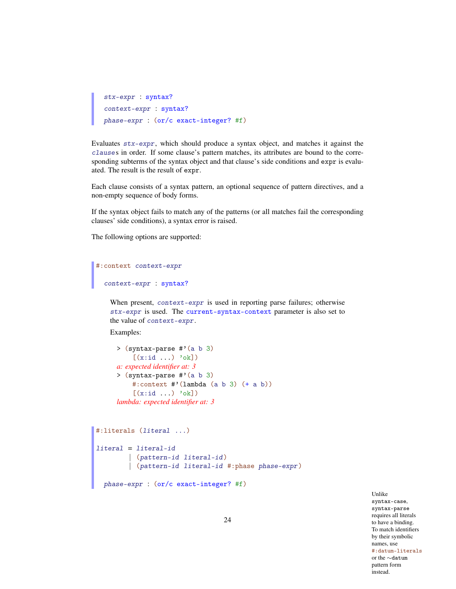```
stx-expr : syntax?
context-expr : syntax?
phase-expr : (or/c exact-integer? #f)
```
Evaluates stx-expr, which should produce a syntax object, and matches it against the clauses in order. If some clause's pattern matches, its attributes are bound to the corresponding subterms of the syntax object and that clause's side conditions and expr is evaluated. The result is the result of expr.

Each clause consists of a syntax pattern, an optional sequence of pattern directives, and a non-empty sequence of body forms.

If the syntax object fails to match any of the patterns (or all matches fail the corresponding clauses' side conditions), a syntax error is raised.

The following options are supported:

```
#:context context-expr
  context-expr : syntax?
```
When present, context-expr is used in reporting parse failures; otherwise stx-expr is used. The current-syntax-context parameter is also set to the value of context-expr.

Examples:

```
> (syntax-parse #'(a b 3)
    [(x:id \dots) \text{\'ok}])a: expected identifier at: 3
> (syntax-parse #'(a b 3)
    #:context #'(lambda (a b 3) (+ a b))
     [(x:id ...) 'ok])lambda: expected identifier at: 3
```

```
#:literals (literal ...)
literal = literal-id
       | (pattern-id literal-id )
        | (pattern-id literal-id #:phase phase-expr)
```

```
phase-expr : (or/c exact-integer? #f)
```
Unlike syntax-case, syntax-parse requires all literals to have a binding. To match identifiers by their symbolic names, use #:datum-literals or the ∼datum pattern form instead.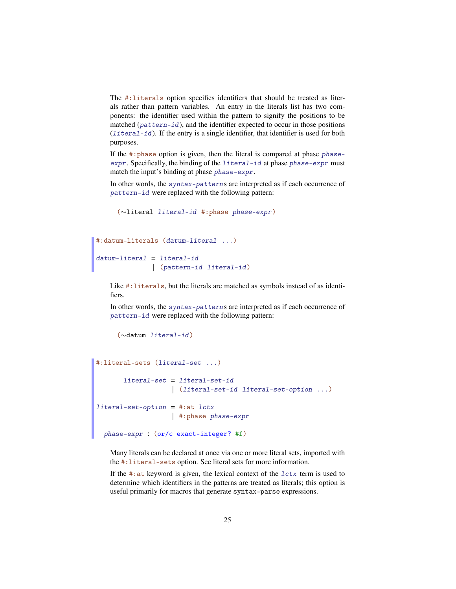The #:literals option specifies identifiers that should be treated as literals rather than pattern variables. An entry in the literals list has two components: the identifier used within the pattern to signify the positions to be matched (pattern-id), and the identifier expected to occur in those positions (literal-id). If the entry is a single identifier, that identifier is used for both purposes.

If the #:phase option is given, then the literal is compared at phase phaseexpr. Specifically, the binding of the literal-id at phase phase-expr must match the input's binding at phase phase-expr.

In other words, the syntax-patterns are interpreted as if each occurrence of pattern-id were replaced with the following pattern:

```
(∼literal literal-id #:phase phase-expr)
```

```
#:datum-literals (datum-literal ...)
datum-literal = literal-id
              | (pattern-id literal-id )
```
Like #:literals, but the literals are matched as symbols instead of as identifiers.

In other words, the syntax-patterns are interpreted as if each occurrence of pattern-id were replaced with the following pattern:

```
(∼datum literal-id)
```

```
#:literal-sets (literal-set ...)
       literal-set = literal-set-id
                   | (literal-set-id literal-set-option ...)
literal-set-option = #:at 1ctx| #:phase phase-expr
 phase-expr : (or/c exact-integer? #f)
```
Many literals can be declared at once via one or more literal sets, imported with the #:literal-sets option. See literal sets for more information.

If the  $\#$ : at keyword is given, the lexical context of the  $lctx$  term is used to determine which identifiers in the patterns are treated as literals; this option is useful primarily for macros that generate syntax-parse expressions.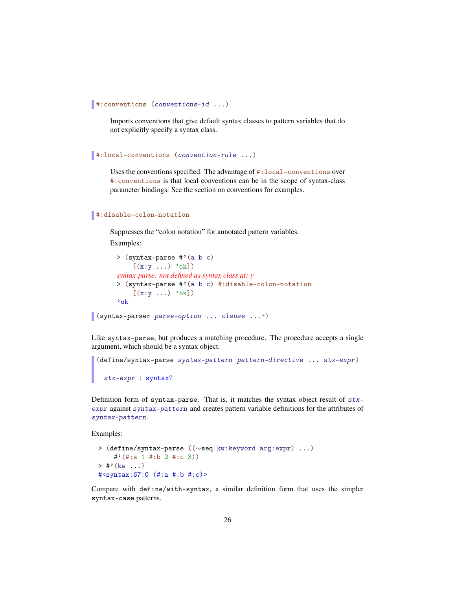```
#:conventions (conventions-id ...)
```
Imports conventions that give default syntax classes to pattern variables that do not explicitly specify a syntax class.

```
#:local-conventions (convention-rule ...)
```
Uses the conventions specified. The advantage of #:local-conventions over #:conventions is that local conventions can be in the scope of syntax-class parameter bindings. See the section on conventions for examples.

```
#:disable-colon-notation
```
Suppresses the "colon notation" for annotated pattern variables. Examples:

```
> (syntax-parse #'(a b c)
    [(x:y \dots) 'ok])
syntax-parse: not defined as syntax class at: y
> (syntax-parse #'(a b c) #:disable-colon-notation
    [(x:y \dots) 'ok])
'ok
```
(syntax-parser parse-option ... clause ...+)

Like syntax-parse, but produces a matching procedure. The procedure accepts a single argument, which should be a syntax object.

```
(define/syntax-parse syntax-pattern pattern-directive ... stx-expr)
 stx-expr : syntax?
```
Definition form of syntax-parse. That is, it matches the syntax object result of  $stx$ expr against syntax-pattern and creates pattern variable definitions for the attributes of syntax-pattern.

Examples:

```
> (define/syntax-parse ((∼seq kw:keyword arg:expr) ...)
    #'(#:a 1 #:b 2 #:c 3))
> #'(kw ...)
#<syntax:67:0 (#:a #:b #:c)>
```
Compare with define/with-syntax, a similar definition form that uses the simpler syntax-case patterns.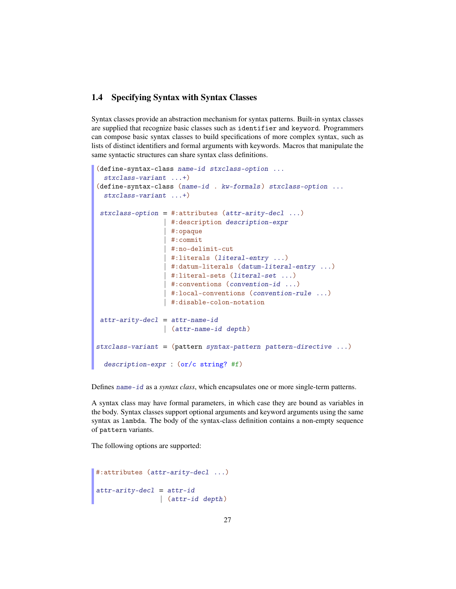## <span id="page-26-0"></span>1.4 Specifying Syntax with Syntax Classes

Syntax classes provide an abstraction mechanism for syntax patterns. Built-in syntax classes are supplied that recognize basic classes such as identifier and keyword. Programmers can compose basic syntax classes to build specifications of more complex syntax, such as lists of distinct identifiers and formal arguments with keywords. Macros that manipulate the same syntactic structures can share syntax class definitions.

```
(define-syntax-class name-id stxclass-option ...
  stxclass-variant ...+)
(define-syntax-class (name-id . kw-formals) stxclass-option ...
  stxclass-variant ...+)
stxclass-option = #:attributes (attr-arity-decl ...)| #:description description-expr
                  | #:opaque
                  | #:commit
                  | #:no-delimit-cut
                  | #:literals (literal-entry ...)
                  | #:datum-literals (datum-literal-entry ...)
                  | #:literal-sets (literal-set ...)
                   | #:conventions (convention-id ...)
                  | #:local-conventions (convention-rule ...)
                  | #:disable-colon-notation
 attr-arity-decl = attr-name-id| (attr-name-id depth )
stxclass-variant = (pattern syntax-pattern pattern pattern-directive ...)description-expr : (or/c string? #f)
```
Defines name-id as a *syntax class*, which encapsulates one or more single-term patterns.

A syntax class may have formal parameters, in which case they are bound as variables in the body. Syntax classes support optional arguments and keyword arguments using the same syntax as lambda. The body of the syntax-class definition contains a non-empty sequence of pattern variants.

The following options are supported:

```
#:attributes (attr-arity-decl ...)
attr-arity-decl = attr-id| (attr-id depth)
```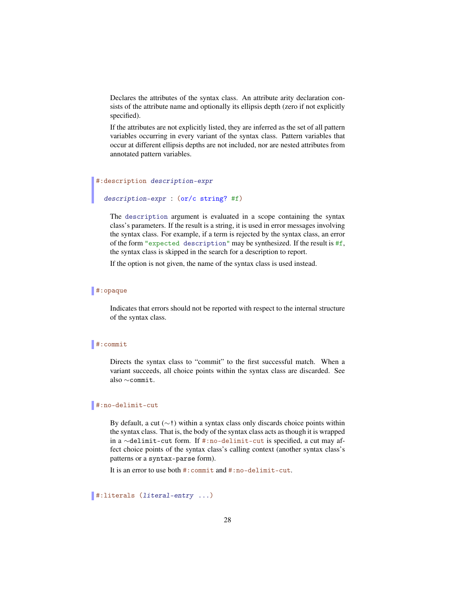Declares the attributes of the syntax class. An attribute arity declaration consists of the attribute name and optionally its ellipsis depth (zero if not explicitly specified).

If the attributes are not explicitly listed, they are inferred as the set of all pattern variables occurring in every variant of the syntax class. Pattern variables that occur at different ellipsis depths are not included, nor are nested attributes from annotated pattern variables.

#### #:description description-expr

## description-expr : (or/c string? #f)

The description argument is evaluated in a scope containing the syntax class's parameters. If the result is a string, it is used in error messages involving the syntax class. For example, if a term is rejected by the syntax class, an error of the form "expected description" may be synthesized. If the result is  $#f$ , the syntax class is skipped in the search for a description to report.

If the option is not given, the name of the syntax class is used instead.

#### #:opaque

Indicates that errors should not be reported with respect to the internal structure of the syntax class.

#### #:commit

Directs the syntax class to "commit" to the first successful match. When a variant succeeds, all choice points within the syntax class are discarded. See also ∼commit.

#### #:no-delimit-cut

By default, a cut (∼!) within a syntax class only discards choice points within the syntax class. That is, the body of the syntax class acts as though it is wrapped in a ∼delimit-cut form. If #:no-delimit-cut is specified, a cut may affect choice points of the syntax class's calling context (another syntax class's patterns or a syntax-parse form).

It is an error to use both #:commit and #:no-delimit-cut.

#:literals (literal-entry ...)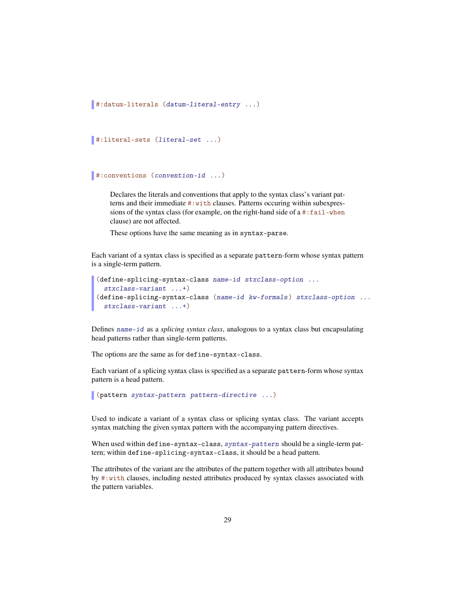```
#:datum-literals (datum-literal-entry ...)
```

```
#:literal-sets (literal-set ...)
```

```
#:conventions (convention-id ...)
```
Declares the literals and conventions that apply to the syntax class's variant patterns and their immediate #:with clauses. Patterns occuring within subexpressions of the syntax class (for example, on the right-hand side of a #:fail-when clause) are not affected.

These options have the same meaning as in syntax-parse.

Each variant of a syntax class is specified as a separate pattern-form whose syntax pattern is a single-term pattern.

```
(define-splicing-syntax-class name-id stxclass-option ...
  stxclass-variant ...+)
(define-splicing-syntax-class (name-id kw-formals) stxclass-option ...
 stxclass-variant ...+)
```
Defines name-id as a *splicing syntax class*, analogous to a syntax class but encapsulating head patterns rather than single-term patterns.

The options are the same as for define-syntax-class.

Each variant of a splicing syntax class is specified as a separate pattern-form whose syntax pattern is a head pattern.

(pattern syntax-pattern pattern-directive ...)

Used to indicate a variant of a syntax class or splicing syntax class. The variant accepts syntax matching the given syntax pattern with the accompanying pattern directives.

When used within define-syntax-class, syntax-pattern should be a single-term pattern; within define-splicing-syntax-class, it should be a head pattern.

The attributes of the variant are the attributes of the pattern together with all attributes bound by #:with clauses, including nested attributes produced by syntax classes associated with the pattern variables.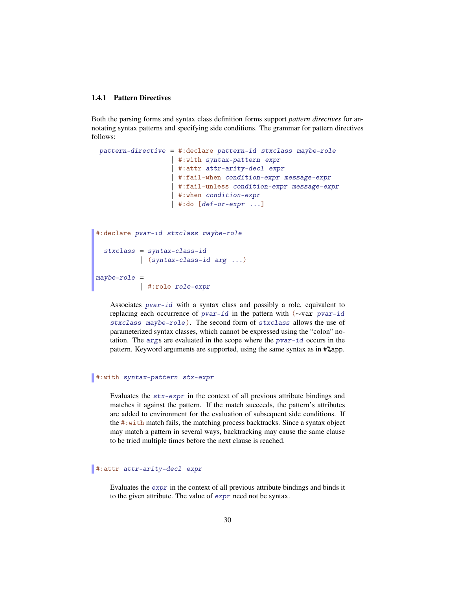#### <span id="page-29-0"></span>1.4.1 Pattern Directives

Both the parsing forms and syntax class definition forms support *pattern directives* for annotating syntax patterns and specifying side conditions. The grammar for pattern directives follows:

```
pattern-directive = #:declare pattern-id stxclass maybe-role
                  | #:with syntax-pattern expr
                  | #:attr attr-arity-decl expr
                  | #:fail-when condition-expr message-expr
                  | #:fail-unless condition-expr message-expr
                  | #:when condition-expr
                  | #:do [def-or-expr \dots]
```

```
#:declare pvar-id stxclass maybe-role
 stxclass = syntax-class-id
   | (syntax-class-id arg ...)
maybe-role =
           | #:role role-expr
```
Associates pvar-id with a syntax class and possibly a role, equivalent to replacing each occurrence of pvar-id in the pattern with (∼var pvar-id stxclass maybe-role ). The second form of stxclass allows the use of parameterized syntax classes, which cannot be expressed using the "colon" notation. The args are evaluated in the scope where the pvar-id occurs in the pattern. Keyword arguments are supported, using the same syntax as in #%app.

#### #:with syntax-pattern stx-expr

Evaluates the stx-expr in the context of all previous attribute bindings and matches it against the pattern. If the match succeeds, the pattern's attributes are added to environment for the evaluation of subsequent side conditions. If the #:with match fails, the matching process backtracks. Since a syntax object may match a pattern in several ways, backtracking may cause the same clause to be tried multiple times before the next clause is reached.

#### #:attr attr-arity-decl expr

Evaluates the expr in the context of all previous attribute bindings and binds it to the given attribute. The value of expr need not be syntax.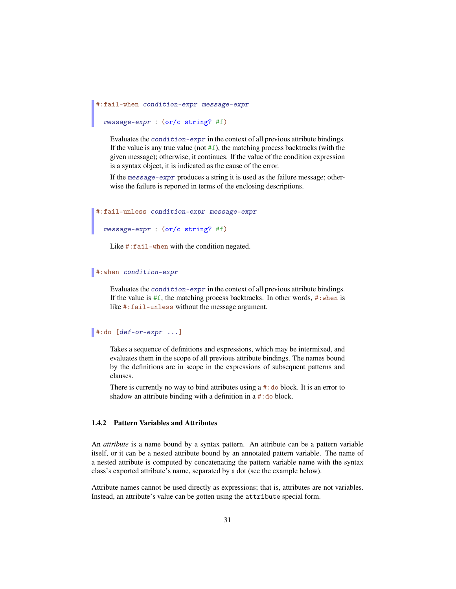```
#:fail-when condition-expr message-expr
```
message-expr : (or/c string? #f)

Evaluates the condition-expr in the context of all previous attribute bindings. If the value is any true value (not  $#f$ ), the matching process backtracks (with the given message); otherwise, it continues. If the value of the condition expression is a syntax object, it is indicated as the cause of the error.

If the message-expr produces a string it is used as the failure message; otherwise the failure is reported in terms of the enclosing descriptions.

```
#:fail-unless condition-expr message-expr
```

```
message-expr : (or/c string? #f)
```
Like #: fail-when with the condition negated.

#### #:when condition-expr

Evaluates the condition-expr in the context of all previous attribute bindings. If the value is  $#f$ , the matching process backtracks. In other words,  $#:$ when is like #:fail-unless without the message argument.

#### $\parallel$ #:do  $[def-or-expr \dots]$

Takes a sequence of definitions and expressions, which may be intermixed, and evaluates them in the scope of all previous attribute bindings. The names bound by the definitions are in scope in the expressions of subsequent patterns and clauses.

There is currently no way to bind attributes using  $a \# : do$  block. It is an error to shadow an attribute binding with a definition in a #: do block.

#### <span id="page-30-0"></span>1.4.2 Pattern Variables and Attributes

An *attribute* is a name bound by a syntax pattern. An attribute can be a pattern variable itself, or it can be a nested attribute bound by an annotated pattern variable. The name of a nested attribute is computed by concatenating the pattern variable name with the syntax class's exported attribute's name, separated by a dot (see the example below).

Attribute names cannot be used directly as expressions; that is, attributes are not variables. Instead, an attribute's value can be gotten using the attribute special form.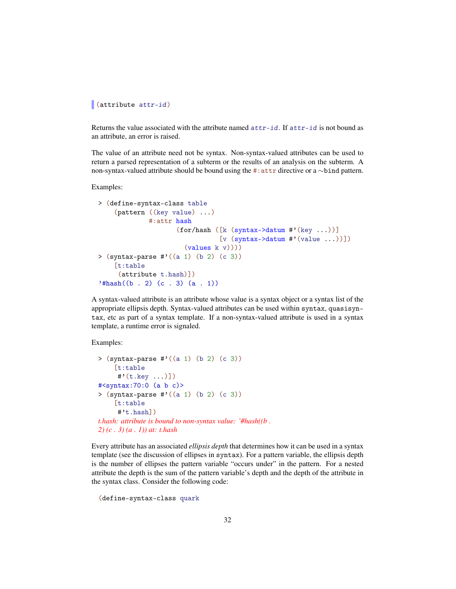#### (attribute attr-id)

Returns the value associated with the attribute named  $attr-id$ . If  $attr-id$  is not bound as an attribute, an error is raised.

The value of an attribute need not be syntax. Non-syntax-valued attributes can be used to return a parsed representation of a subterm or the results of an analysis on the subterm. A non-syntax-valued attribute should be bound using the #:attr directive or a ∼bind pattern.

Examples:

```
> (define-syntax-class table
    (pattern ((key value) ...)
             #:attr hash
                    (for/hash ([k (syntax->datum #'(key ...))]
                               [v (syntax->datum #'(value ...))](values k v)))> (syntax-parse #'((a 1) (b 2) (c 3))[t:table
     (attribute t.hash)])
'#hash((b . 2) (c . 3) (a . 1))
```
A syntax-valued attribute is an attribute whose value is a syntax object or a syntax list of the appropriate ellipsis depth. Syntax-valued attributes can be used within syntax, quasisyntax, etc as part of a syntax template. If a non-syntax-valued attribute is used in a syntax template, a runtime error is signaled.

Examples:

```
> (syntax-parse #'((a 1) (b 2) (c 3))[t:table
     #'(t.key ...)])
#<syntax:70:0 (a b c)>
> (syntax-parse #'((a 1) (b 2) (c 3))[t:table
     #'t.hash])
t.hash: attribute is bound to non-syntax value: '#hash((b .
2) (c . 3) (a . 1)) at: t.hash
```
Every attribute has an associated *ellipsis depth* that determines how it can be used in a syntax template (see the discussion of ellipses in syntax). For a pattern variable, the ellipsis depth is the number of ellipses the pattern variable "occurs under" in the pattern. For a nested attribute the depth is the sum of the pattern variable's depth and the depth of the attribute in the syntax class. Consider the following code:

```
(define-syntax-class quark
```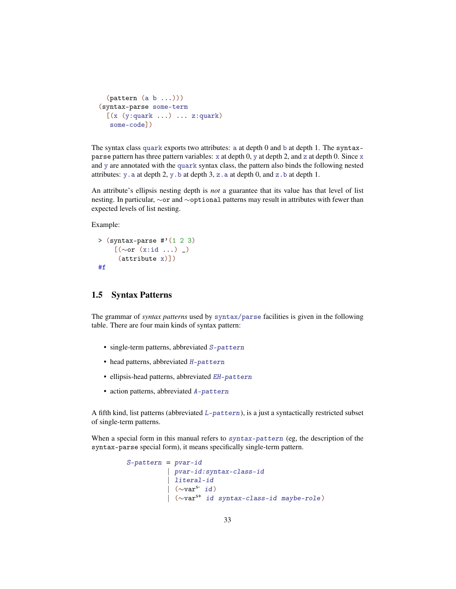```
(\text{pattern} (a b ...)))(syntax-parse some-term
  [(x (y:quark ... ) ... z:quark)]some-code])
```
The syntax class quark exports two attributes: a at depth 0 and b at depth 1. The syntaxparse pattern has three pattern variables:  $x$  at depth 0,  $y$  at depth 2, and z at depth 0. Since  $x$ and y are annotated with the quark syntax class, the pattern also binds the following nested attributes:  $y \cdot a$  at depth 2,  $y \cdot b$  at depth 3,  $z \cdot a$  at depth 0, and  $z \cdot b$  at depth 1.

An attribute's ellipsis nesting depth is *not* a guarantee that its value has that level of list nesting. In particular, ∼or and ∼optional patterns may result in attributes with fewer than expected levels of list nesting.

Example:

```
> (syntax-parse \#'(1 2 3)
    [(∼or (x:id ...) _)
     (attribute x)])
#f
```
## <span id="page-32-0"></span>1.5 Syntax Patterns

The grammar of *syntax patterns* used by syntax/parse facilities is given in the following table. There are four main kinds of syntax pattern:

- single-term patterns, abbreviated S-pattern
- head patterns, abbreviated H-pattern
- ellipsis-head patterns, abbreviated EH-pattern
- action patterns, abbreviated A-pattern

A fifth kind, list patterns (abbreviated L-pattern), is a just a syntactically restricted subset of single-term patterns.

When a special form in this manual refers to syntax-pattern (eg, the description of the syntax-parse special form), it means specifically single-term pattern.

```
S-pattern = pvar-id
          | pvar-id:syntax-class-id
           | literal-id
          \sim \text{var}^s id)
           | (∼vars+ id syntax-class-id maybe-role )
```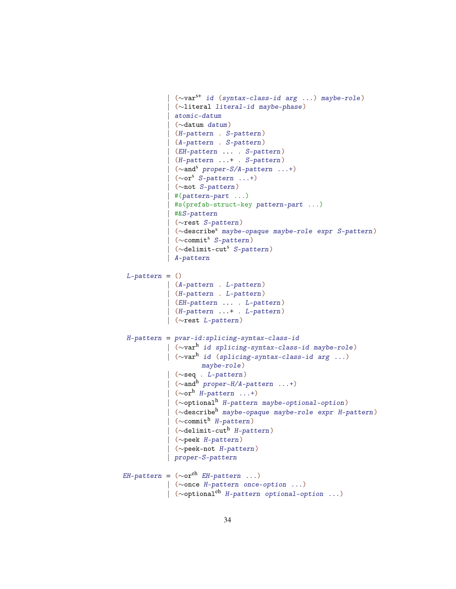```
| (∼vars+ id (syntax-class-id arg ...) maybe-role)
              | (∼literal literal-id maybe-phase )
             | atomic-datum
             | (∼datum datum)
              | (H-pattern . S-pattern)
             | (A-pattern . S-pattern)
             | (EH-pattern ... . S-pattern)
             | (H-pattern ...+ . S-pattern)
              | (∼ands proper-S/A-pattern ...+)
              (\sim or^s S-pattern \ldots+)| (∼not S-pattern)
              #(pattern-part ...)| #s(prefab-struct-key pattern-part ...)
              | #&S-pattern
              | (∼rest S-pattern)
              (\simdescribe<sup>s</sup> maybe-opaque maybe-role expr S-pattern)
              (\simcommit<sup>s</sup> S-pattern)
              (\simdelimit-cut<sup>s</sup> S-pattern)
             | A-pattern
 L-pattern = ()| (A-pattern . L-pattern)
            | (H-pattern . L-pattern)
            | (EH-pattern ... . L-pattern)
             | (H-pattern ...+ . L-pattern)
            | (∼rest L-pattern)
 H-pattern = pvar-id:splicing-syntax-class-id
            | (∼varh id splicing-syntax-class-id maybe-role )
            | (∼varh id (splicing-syntax-class-id arg ...)
                     maybe-role)
            | (∼seq . L-pattern)
             | (\simand<sup>h</sup> proper-H/A-pattern ...+)
             | (\simor<sup>h</sup> H-pattern ...+)
             | (∼optionalh H-pattern maybe-optional-option )
             | (∼describeh maybe-opaque maybe-role expr H-pattern )
             (\simcommit<sup>h</sup> H-pattern)
             (\simdelimit-cut<sup>h</sup> H-pattern)
              | (∼peek H-pattern)
              | (∼peek-not H-pattern)
             | proper-S-pattern
EH-pattern = (\sim or^{eh} EH-pattern ...)
            | (∼once H-pattern once-option ...)
            | (∼optionaleh H-pattern optional-option ...)
```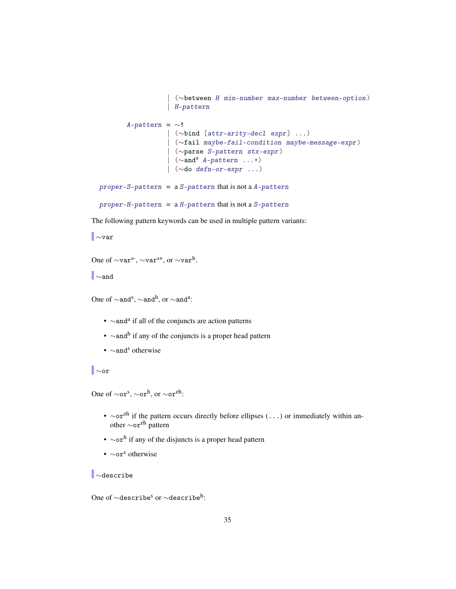```
| (∼between H min-number max-number between-option )
                  | H-pattern
       A-pattern = ∼!| (∼bind [attr-arity-decl expr ] ...)
                  | (∼fail maybe-fail-condition maybe-message-expr )
                  | (∼parse S-pattern stx-expr )
                  | (∼anda A-pattern ...+)
                  | (∼do defn-or-expr ...)
proper-S-pattern = a S-pattern that is not a A-pattern
proper-H-pattern = a H-pattern that is not a S-pattern
```
The following pattern keywords can be used in multiple pattern variants:

∼var

```
One of \simvar<sup>s-</sup>, \simvar<sup>s+</sup>, or \simvar<sup>h</sup>.
```
∼and

One of  $\sim$ and<sup>s</sup>,  $\sim$ and<sup>h</sup>, or  $\sim$ and<sup>a</sup>:

- ∼and<sup>a</sup> if all of the conjuncts are action patterns
- ∼and<sup>h</sup> if any of the conjuncts is a proper head pattern
- ∼and<sup>s</sup> otherwise

∼or

One of  $\sim$ or<sup>s</sup>,  $\sim$ or<sup>h</sup>, or  $\sim$ or<sup>eh</sup>:

- $\sim$ or<sup>eh</sup> if the pattern occurs directly before ellipses (...) or immediately within another ∼oreh pattern
- $\sim$ or<sup>h</sup> if any of the disjuncts is a proper head pattern
- ∼or<sup>s</sup> otherwise

∼describe

One of  $\sim$ describe $^{\rm s}$  or  $\sim$ describe $^{\rm h}$ :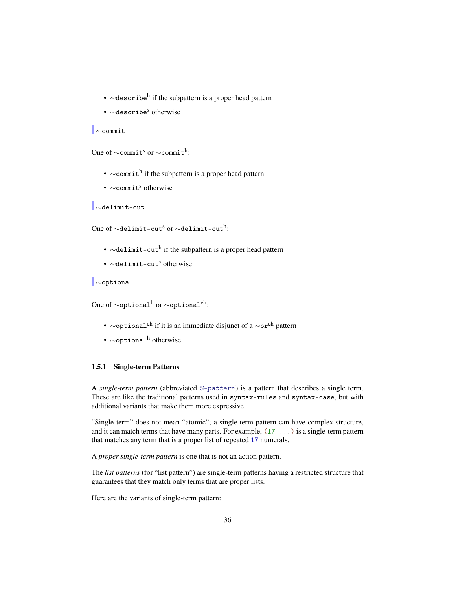- ∼describe<sup>h</sup> if the subpattern is a proper head pattern
- $\sim$  describe<sup>s</sup> otherwise

```
∼commit
```
One of  $\sim$ commit<sup>s</sup> or  $\sim$ commit<sup>h</sup>:

- $\sim$  commith if the subpattern is a proper head pattern
- $\sim$ commit<sup>s</sup> otherwise

∼delimit-cut

One of  $\sim$ delimit-cut $^{\rm s}$  or  $\sim$ delimit-cut $^{\rm h}$ :

- ∼delimit-cut<sup>h</sup> if the subpattern is a proper head pattern
- $\sim$ delimit-cut<sup>s</sup> otherwise

∼optional

One of  $\sim$ optional<sup>h</sup> or  $\sim$ optional<sup>eh</sup>:

- $\sim$ optional<sup>eh</sup> if it is an immediate disjunct of a  $\sim$ or<sup>eh</sup> pattern
- $\sim$ optional<sup>h</sup> otherwise

#### <span id="page-35-0"></span>1.5.1 Single-term Patterns

A *single-term pattern* (abbreviated S-pattern) is a pattern that describes a single term. These are like the traditional patterns used in syntax-rules and syntax-case, but with additional variants that make them more expressive.

"Single-term" does not mean "atomic"; a single-term pattern can have complex structure, and it can match terms that have many parts. For example,  $(17 \ldots)$  is a single-term pattern that matches any term that is a proper list of repeated 17 numerals.

A *proper single-term pattern* is one that is not an action pattern.

The *list patterns* (for "list pattern") are single-term patterns having a restricted structure that guarantees that they match only terms that are proper lists.

Here are the variants of single-term pattern: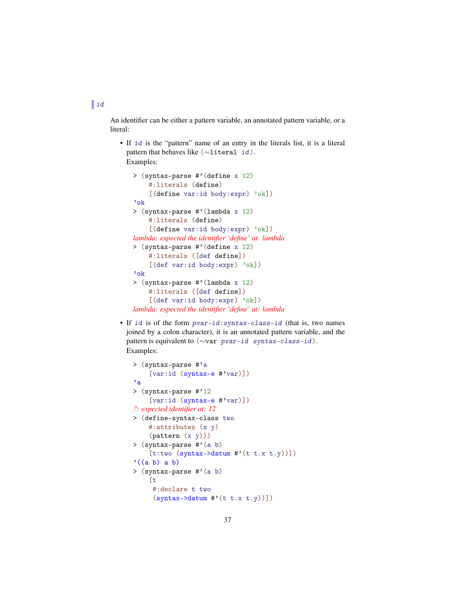$\mathbf{u}$ 

An identifier can be either a pattern variable, an annotated pattern variable, or a literal:

• If id is the "pattern" name of an entry in the literals list, it is a literal pattern that behaves like (∼literal id). Examples:

```
> (syntax-parse #'(define x 12)
    #:literals (define)
    [(define var:id body:expr) 'ok])
'ok
> (syntax-parse #'(lambda x 12)
    #:literals (define)
    [(define var:id body:expr) 'ok])
lambda: expected the identifier 'define' at: lambda
> (syntax-parse #'(define x 12)
    #:literals ([def define])
    [(def var:id body:expr) 'ok])
'ok
> (syntax-parse #'(lambda x 12)
    #:literals ([def define])
    [(def var:id body:expr) 'ok])
lambda: expected the identifier 'define' at: lambda
```
• If id is of the form pvar-id:syntax-class-id (that is, two names joined by a colon character), it is an annotated pattern variable, and the pattern is equivalent to (∼var pvar-id syntax-class-id). Examples:

```
> (syntax-parse #'a
    [var:id (syntax-e #'var)])
'a
> (syntax-parse #'12
    [var:id (syntax-e #'var)])
?: expected identifier at: 12
> (define-syntax-class two
    #:attributes (x y)
    (pattern (x y)))
> (syntax-parse #'(a b)
    [t:two (syntax->datum #'(t t.x t.y))])'((a b) a b)> (syntax-parse #'(a b)
    [t
     #:declare t two
     (syntax - \lambda dtum \# ' (t t.x t.y))]
```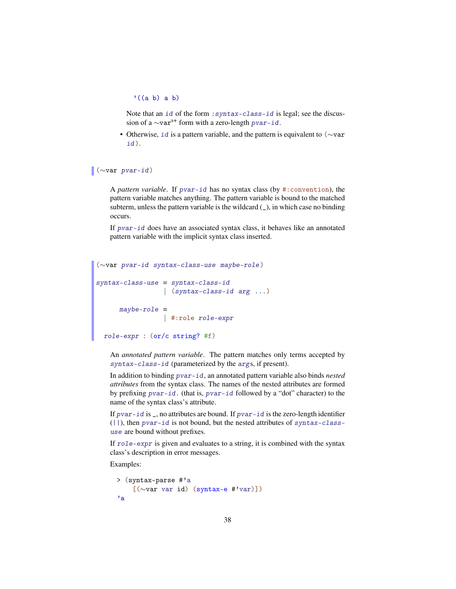$'((a b) a b)$ 

Note that an id of the form : syntax-class-id is legal; see the discussion of a  $\sim$ var<sup>s+</sup> form with a zero-length pvar-id.

• Otherwise, *id* is a pattern variable, and the pattern is equivalent to (∼var id).

#### (∼var pvar-id)

A *pattern variable*. If pvar-id has no syntax class (by #:convention), the pattern variable matches anything. The pattern variable is bound to the matched subterm, unless the pattern variable is the wildcard  $($ ), in which case no binding occurs.

If pvar-id does have an associated syntax class, it behaves like an annotated pattern variable with the implicit syntax class inserted.

```
(∼var pvar-id syntax-class-use maybe-role )
syntax-class-use = syntax-class-id
      | (syntax-class-id arg ...)
      maybe-role =
                 | #:role role-expr
 role-expr : (or/c string? #f)
```
An *annotated pattern variable*. The pattern matches only terms accepted by syntax-class-id (parameterized by the args, if present).

In addition to binding pvar-id, an annotated pattern variable also binds *nested attributes* from the syntax class. The names of the nested attributes are formed by prefixing pvar-id. (that is, pvar-id followed by a "dot" character) to the name of the syntax class's attribute.

If  $\frac{pvar - id}{s}$ , no attributes are bound. If  $\frac{pvar - id}{s}$  is the zero-length identifier  $(||)$ , then pvar-id is not bound, but the nested attributes of syntax-classuse are bound without prefixes.

If role-expr is given and evaluates to a string, it is combined with the syntax class's description in error messages.

```
> (syntax-parse #'a
   [(∼var var id) (syntax-e #'var)])
'a
```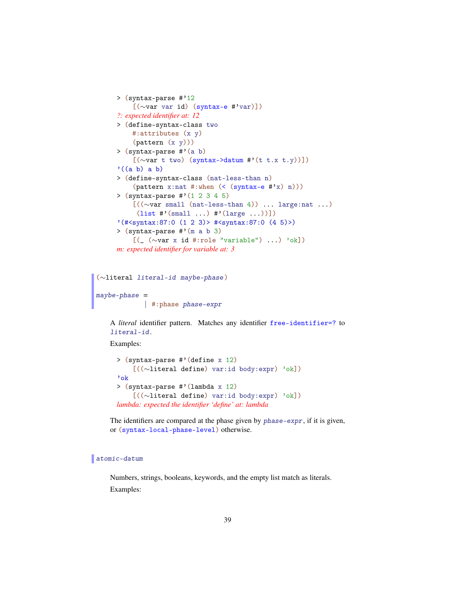```
> (syntax-parse #'12
    [(∼var var id) (syntax-e #'var)])
?: expected identifier at: 12
> (define-syntax-class two
    #:attributes (x y)
    (pattern (x y)))
> (syntax-parse #'(a b)
    [(∼var t two) (syntax->datum #'(t t.x t.y))])
'((a b) a b)> (define-syntax-class (nat-less-than n)
    (\text{pattern x:nat } #:\text{when } (< (\text{syntax-e } #'x) n)))> (syntax-parse #'(1 2 3 4 5)
    [((∼var small (nat-less-than 4)) ... large:nat ...)
     (list #'(small ...) #'(large ...))]'(#<syntax:87:0 (1 2 3)> #<syntax:87:0 (4 5)>)
> (syntax-parse #'(m a b 3)
    [(_ (∼var x id #:role "variable") ...) 'ok])
m: expected identifier for variable at: 3
```

```
(∼literal literal-id maybe-phase )
maybe-phase =
            | #:phase phase-expr
```
A *literal* identifier pattern. Matches any identifier free-identifier=? to literal-id.

Examples:

```
> (syntax-parse #'(define x 12)
    [((∼literal define) var:id body:expr) 'ok])
'ok
> (syntax-parse #'(lambda x 12)
    [((∼literal define) var:id body:expr) 'ok])
lambda: expected the identifier 'define' at: lambda
```
The identifiers are compared at the phase given by phase-expr, if it is given, or (syntax-local-phase-level) otherwise.

#### atomic-datum

Numbers, strings, booleans, keywords, and the empty list match as literals. Examples: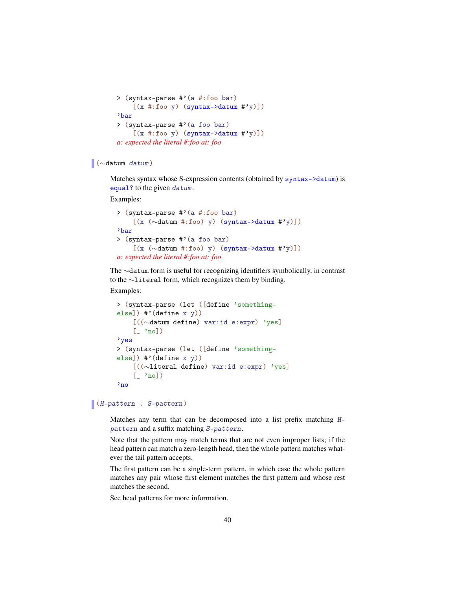```
> (syntax-parse #'(a #:foo bar)
     [(x \#: \text{foo } y) \text{ (syntax->datum } #'y)]'bar
> (syntax-parse #'(a foo bar)
     [(x \#: \text{foo } y) \text{ (syntax->datum } #'y)]a: expected the literal #:foo at: foo
```
## (∼datum datum)

Matches syntax whose S-expression contents (obtained by syntax->datum) is equal? to the given datum.

Examples:

```
> (syntax-parse #'(a #:foo bar)
    [(x (∼datum #:foo) y) (syntax->datum #'y)])
'bar
> (syntax-parse #'(a foo bar)
    [(x (∼datum #:foo) y) (syntax->datum #'y)])
a: expected the literal #:foo at: foo
```
The ∼datum form is useful for recognizing identifiers symbolically, in contrast to the ∼literal form, which recognizes them by binding.

Examples:

```
> (syntax-parse (let ([define 'something-
else]) #'(define x y))
   [((∼datum define) var:id e:expr) 'yes]
    [- 'no]'yes
> (syntax-parse (let ([define 'something-
else]) #'(define x y))
    [((∼literal define) var:id e:expr) 'yes]
    [- 'no]'no
```
#### (H-pattern . S-pattern)

Matches any term that can be decomposed into a list prefix matching Hpattern and a suffix matching S-pattern.

Note that the pattern may match terms that are not even improper lists; if the head pattern can match a zero-length head, then the whole pattern matches whatever the tail pattern accepts.

The first pattern can be a single-term pattern, in which case the whole pattern matches any pair whose first element matches the first pattern and whose rest matches the second.

See head patterns for more information.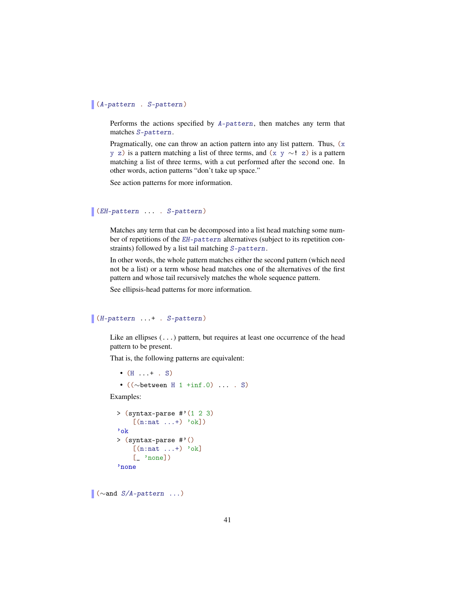#### (A-pattern . S-pattern)

Performs the actions specified by A-pattern, then matches any term that matches S-pattern.

Pragmatically, one can throw an action pattern into any list pattern. Thus,  $(x)$ y z) is a pattern matching a list of three terms, and  $(x \, y \sim ! z)$  is a pattern matching a list of three terms, with a cut performed after the second one. In other words, action patterns "don't take up space."

See action patterns for more information.

```
(EH-pattern ... . S-pattern)
```
Matches any term that can be decomposed into a list head matching some number of repetitions of the EH-pattern alternatives (subject to its repetition constraints) followed by a list tail matching S-pattern.

In other words, the whole pattern matches either the second pattern (which need not be a list) or a term whose head matches one of the alternatives of the first pattern and whose tail recursively matches the whole sequence pattern.

See ellipsis-head patterns for more information.

```
(H-pattern ...+ . S-pattern)
```
Like an ellipses  $(\ldots)$  pattern, but requires at least one occurrence of the head pattern to be present.

That is, the following patterns are equivalent:

```
• (H \dots + \dots S)• ((∼between H 1 +inf.0) ... . S)
```
Examples:

```
> (syntax-parse \# (1\ 2\ 3)[(n:nat ...+) 'ok])'ok
> (syntax-parse #'()
    [(n:nat ...+) 'ok][\_ 'none])
'none
```
 $\sqrt{\alpha}$  ( $\sim$ and *S*/*A*-pattern ...)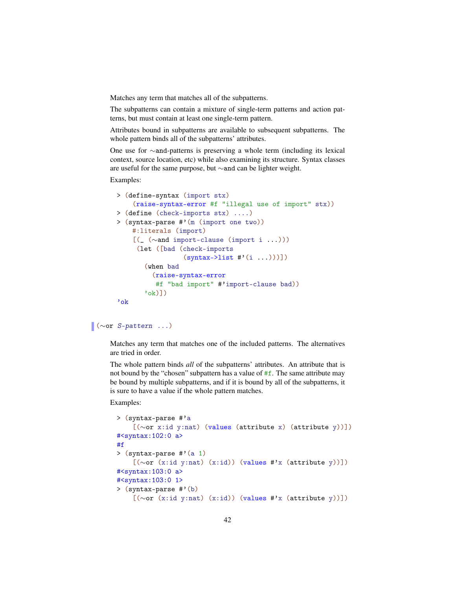Matches any term that matches all of the subpatterns.

The subpatterns can contain a mixture of single-term patterns and action patterns, but must contain at least one single-term pattern.

Attributes bound in subpatterns are available to subsequent subpatterns. The whole pattern binds all of the subpatterns' attributes.

One use for ∼and-patterns is preserving a whole term (including its lexical context, source location, etc) while also examining its structure. Syntax classes are useful for the same purpose, but ∼and can be lighter weight.

Examples:

```
> (define-syntax (import stx)
    (raise-syntax-error #f "illegal use of import" stx))
> (define (check-imports stx) ....)
> (syntax-parse #'(m (import one two))
   #:literals (import)
    [(_ (∼and import-clause (import i ...)))
    (let ([bad (check-imports
                 (syntax->list #'(i ...))))(when bad
         (raise-syntax-error
         #f "bad import" #'import-clause bad))
       'ok)])
'ok
```
## (∼or S-pattern ...)

Matches any term that matches one of the included patterns. The alternatives are tried in order.

The whole pattern binds *all* of the subpatterns' attributes. An attribute that is not bound by the "chosen" subpattern has a value of #f. The same attribute may be bound by multiple subpatterns, and if it is bound by all of the subpatterns, it is sure to have a value if the whole pattern matches.

```
> (syntax-parse #'a
    [(∼or x:id y:nat) (values (attribute x) (attribute y))])
#<syntax:102:0 a>
#f
> (syntax-parse #'(a 1)
    [(∼or (x:id y:nat) (x:id)) (values #'x (attribute y))])
#<syntax:103:0 a>
#<syntax:103:0 1>
> (syntax-parse #'(b)
    [(∼or (x:id y:nat) (x:id)) (values #'x (attribute y))])
```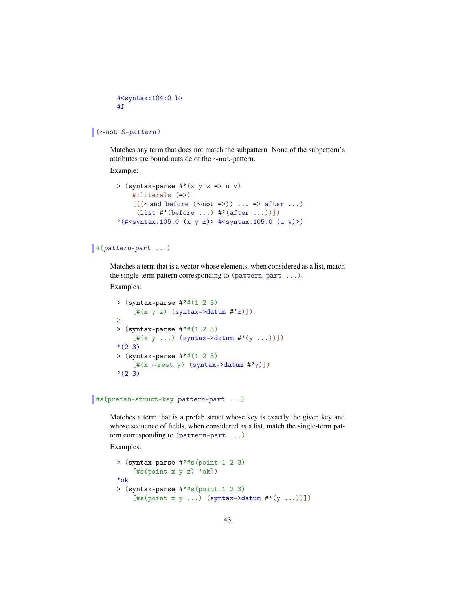```
#<syntax:104:0 b>
#f
```

```
(∼not S-pattern)
```
Matches any term that does not match the subpattern. None of the subpattern's attributes are bound outside of the ∼not-pattern.

Example:

```
> (syntax-parse #'(x y z => u v)
     #:literals (=>)
     [(\sim] \text{and before } (\sim] \text{not} = \succ) ) \dots \Rightarrow after ...)
      (list \sharp'(before ...) \sharp'(after ...))])
'(#<syntax:105:0 (x y z)> #<syntax:105:0 (u v)>)
```
# #(pattern-part ...)

Matches a term that is a vector whose elements, when considered as a list, match the single-term pattern corresponding to (pattern-part ...).

Examples:

```
> (syntax-parse #'#(1 2 3)
    [t(x y z) (syntax->datum #'z)]3
> (syntax-parse \#'#(1 2 3)
    [\#(x \ y \dots) (syntax->datum \#'(y \dots))])
'(2 3)
> (syntax-parse \#'#(1 2 3)
    [#(x ∼rest y) (syntax->datum #'y)])
'(2 3)
```
## #s(prefab-struct-key pattern-part ...)

Matches a term that is a prefab struct whose key is exactly the given key and whose sequence of fields, when considered as a list, match the single-term pattern corresponding to (pattern-part ...).

```
> (syntax-parse #'#s(point 1 2 3)
    [#s(point x y z) 'ok])'ok
> (syntax-parse #'#s(point 1 2 3)
    [#s(point x y ...) (syntax->datum #'(y ...))])
```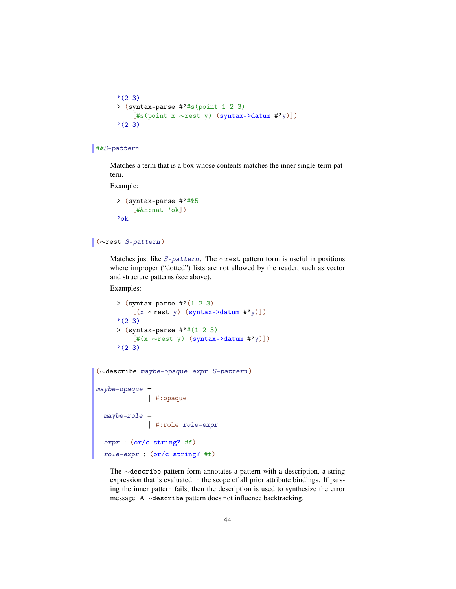```
'(2 3)
> (syntax-parse #'#s(point 1 2 3)
    [#s(point x ∼rest y) (syntax->datum #'y)])
'(2 3)
```
# #&S-pattern

Matches a term that is a box whose contents matches the inner single-term pattern.

Example:

```
> (syntax-parse #'#&5
    [#kn:nat 'ok])'ok
```
# (∼rest S-pattern)

Matches just like S-pattern. The ∼rest pattern form is useful in positions where improper ("dotted") lists are not allowed by the reader, such as vector and structure patterns (see above).

Examples:

```
> (syntax-parse \#'(1 2 3)
    [(x ∼rest y) (syntax->datum #'y)])
'(2 3)
> (syntax-parse #'#(1 2 3)
    [#(x ∼rest y) (syntax->datum #'y)])
'(2 3)
```

```
(∼describe maybe-opaque expr S-pattern )
maybe-opaque =| #:opaque
 maybe-role =| #:role role-expr
 expr : (or/c string? #f)
 role-expr : (or/c string? #f)
```
The ∼describe pattern form annotates a pattern with a description, a string expression that is evaluated in the scope of all prior attribute bindings. If parsing the inner pattern fails, then the description is used to synthesize the error message. A ∼describe pattern does not influence backtracking.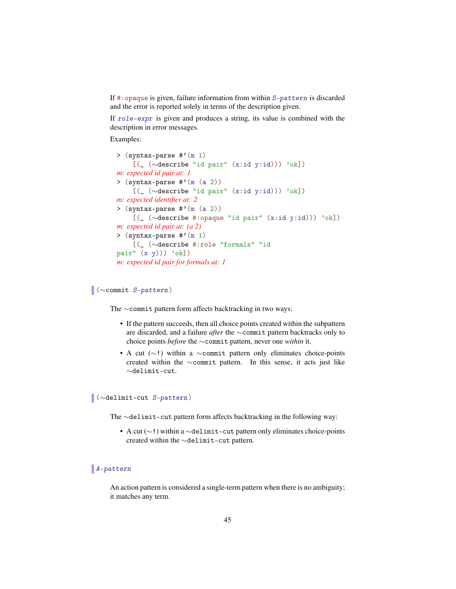If #:opaque is given, failure information from within S-pattern is discarded and the error is reported solely in terms of the description given.

If role-expr is given and produces a string, its value is combined with the description in error messages.

Examples:

```
> (syntax-parse #'(m 1)
    [(_ (∼describe "id pair" (x:id y:id))) 'ok])
m: expected id pair at: 1
> (syntax-parse #'(m (a 2))
    [(_ (∼describe "id pair" (x:id y:id))) 'ok])
m: expected identifier at: 2
> (syntax-parse #'(m (a 2))
    [(_ (∼describe #:opaque "id pair" (x:id y:id))) 'ok])
m: expected id pair at: (a 2)
> (syntax-parse #'(m 1)
    [(_ (∼describe #:role "formals" "id
pair" (x, y)) 'ok])
m: expected id pair for formals at: 1
```
#### (∼commit S-pattern)

The ∼commit pattern form affects backtracking in two ways:

- If the pattern succeeds, then all choice points created within the subpattern are discarded, and a failure *after* the ∼commit pattern backtracks only to choice points *before* the ∼commit pattern, never one *within* it.
- A cut  $(\sim!)$  within a  $\sim$ commit pattern only eliminates choice-points created within the ∼commit pattern. In this sense, it acts just like ∼delimit-cut.

## (∼delimit-cut S-pattern)

The ∼delimit-cut pattern form affects backtracking in the following way:

• A cut (∼!) within a ∼delimit-cut pattern only eliminates choice-points created within the ∼delimit-cut pattern.

## A-pattern

An action pattern is considered a single-term pattern when there is no ambiguity; it matches any term.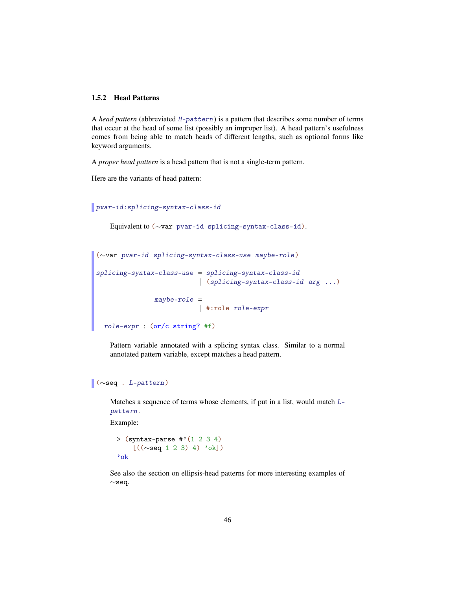## 1.5.2 Head Patterns

A *head pattern* (abbreviated H-pattern) is a pattern that describes some number of terms that occur at the head of some list (possibly an improper list). A head pattern's usefulness comes from being able to match heads of different lengths, such as optional forms like keyword arguments.

A *proper head pattern* is a head pattern that is not a single-term pattern.

Here are the variants of head pattern:

```
pvar-id:splicing-syntax-class-id
```

```
Equivalent to (∼var pvar-id splicing-syntax-class-id).
```

```
(∼var pvar-id splicing-syntax-class-use maybe-role )
splicing-syntax-class-use = splicing-syntax-class-id
                    | (splicing-syntax-class-id arg ...)
               maybe-role =
                          | #:role role-expr
 role-expr : (or/c string? #f)
```
Pattern variable annotated with a splicing syntax class. Similar to a normal annotated pattern variable, except matches a head pattern.

# (∼seq . L-pattern)

Matches a sequence of terms whose elements, if put in a list, would match Lpattern.

Example:

```
> (syntax-parse #'(1 2 3 4)
      [(\sim \text{seq} \ 1 \ 2 \ 3) \ 4) \ \text{'ok}]'ok
```
See also the section on ellipsis-head patterns for more interesting examples of ∼seq.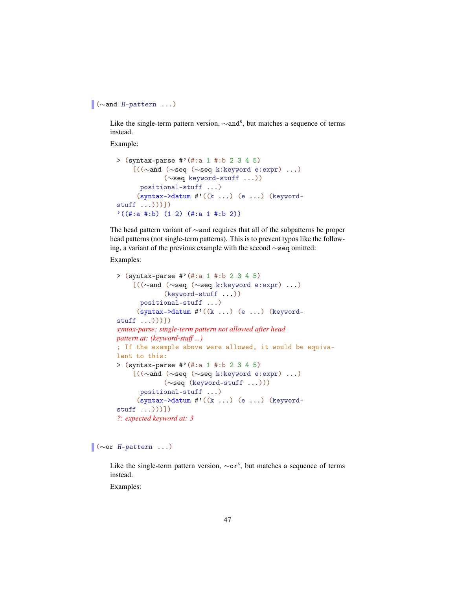```
(∼and H-pattern ...)
```
Like the single-term pattern version,  $\sim$ and<sup>s</sup>, but matches a sequence of terms instead.

Example:

```
> (syntax-parse #'(#:a 1 #:b 2 3 4 5)
    [((∼and (∼seq (∼seq k:keyword e:expr) ...)
            (∼seq keyword-stuff ...))
      positional-stuff ...)
     (syntax->datum #'((k ...) (e ...) (keyword-
stuff ...)))])
'((\#:a\#:b) (1\ 2) (\#:a\ 1\ #:b\ 2))
```
The head pattern variant of ∼and requires that all of the subpatterns be proper head patterns (not single-term patterns). This is to prevent typos like the following, a variant of the previous example with the second ∼seq omitted:

Examples:

```
> (syntax-parse #'(#:a 1 #:b 2 3 4 5)
    [((∼and (∼seq (∼seq k:keyword e:expr) ...)
             (keyword-stuff ...))
      positional-stuff ...)
     (syntax - \lambda datum \# '((k ...)(e ...))(keyword -stuff ...)))])
syntax-parse: single-term pattern not allowed after head
pattern at: (keyword-stuff ...)
; If the example above were allowed, it would be equiva-
lent to this:
> (syntax-parse #'(#:a 1 #:b 2 3 4 5)
    [((∼and (∼seq (∼seq k:keyword e:expr) ...)
             (∼seq (keyword-stuff ...)))
      positional-stuff ...)
     (syntax->datum #'((k ...) (e ...) (keyword-
stuff ...)))])
?: expected keyword at: 3
```
 $\sqrt{\cdot \cdot \cdot + \cdot}$  ( $\sim$ or *H*-pattern ...)

Like the single-term pattern version,  $\sim$ or<sup>s</sup>, but matches a sequence of terms instead.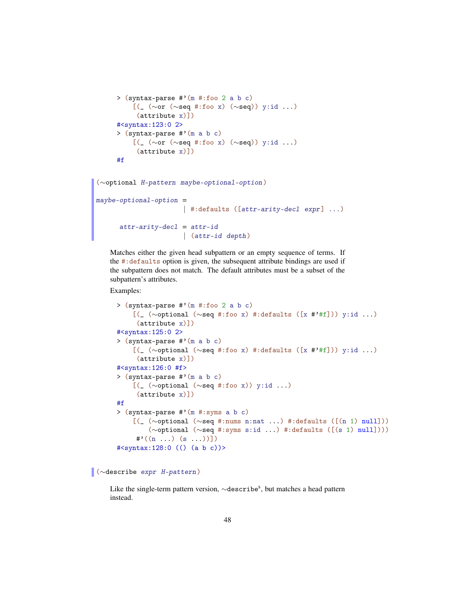```
> (syntax-parse #'(m #:foo 2 a b c)
    [(_ (∼or (∼seq #:foo x) (∼seq)) y:id ...)
     (attribute x)])
#<syntax:123:0 2>
> (syntax-parse #'(m a b c)
    [(_ (∼or (∼seq #:foo x) (∼seq)) y:id ...)
     (attribute x)])
#f
```

```
(∼optional H-pattern maybe-optional-option )
maybe-optional-option =
                      | #:defaults ([attr-arity-decl expr] ...)
      attr-arity-decl = attr-id| (attr-id depth)
```
Matches either the given head subpattern or an empty sequence of terms. If the #:defaults option is given, the subsequent attribute bindings are used if the subpattern does not match. The default attributes must be a subset of the subpattern's attributes.

Examples:

```
> (syntax-parse \#'(m \#:foo 2 a b c)
    [(_ (∼optional (∼seq #:foo x) #:defaults ([x #'#f])) y:id ...)
     (attribute x)])
#<syntax:125:0 2>
> (syntax-parse #'(m a b c)
    [(_ (∼optional (∼seq #:foo x) #:defaults ([x #'#f])) y:id ...)
     (attribute x)])
#<syntax:126:0 #f>
> (syntax-parse #'(m a b c)
    [(_ (∼optional (∼seq #:foo x)) y:id ...)
     (attribute x)])
#f
> (syntax-parse #'(m #:syms a b c)
    [(_ (∼optional (∼seq #:nums n:nat ...) #:defaults ([(n 1) null]))
        (∼optional (∼seq #:syms s:id ...) #:defaults ([(s 1) null])))
    \#((n \dots) (s \dots))#<syntax:128:0 (() (a b c))>
```
(∼describe expr H-pattern)

Like the single-term pattern version, ∼describe<sup>s</sup>, but matches a head pattern instead.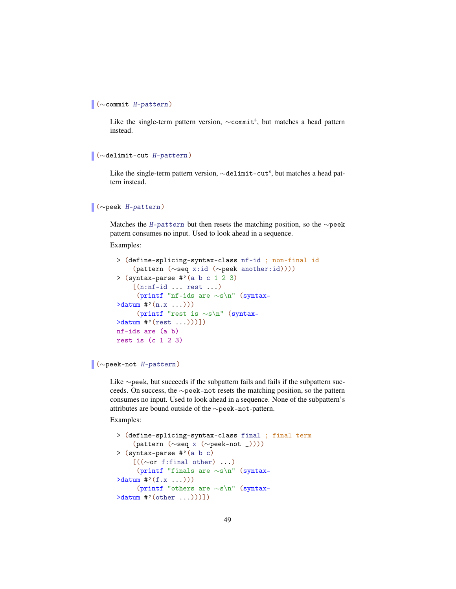```
(∼commit H-pattern)
```
Like the single-term pattern version, ~commit<sup>s</sup>, but matches a head pattern instead.

```
(∼delimit-cut H-pattern)
```
Like the single-term pattern version,  $\sim$ delimit-cut<sup>s</sup>, but matches a head pattern instead.

# (∼peek H-pattern)

Matches the H-pattern but then resets the matching position, so the ∼peek pattern consumes no input. Used to look ahead in a sequence.

Examples:

```
> (define-splicing-syntax-class nf-id ; non-final id
    (pattern (∼seq x:id (∼peek another:id))))
> (syntax-parse \#'(a b c 1 2 3)
    [(n:nf-id \dots rest \dots)(printf "nf-ids are ∼s\n" (syntax-
\lambdadatum #'(n.x \dots))(printf "rest is ∼s\n" (syntax-
>datum #'(rest ...)))])
nf-ids are (a b)
rest is (c 1 2 3)
```
## (∼peek-not H-pattern)

Like ∼peek, but succeeds if the subpattern fails and fails if the subpattern succeeds. On success, the ∼peek-not resets the matching position, so the pattern consumes no input. Used to look ahead in a sequence. None of the subpattern's attributes are bound outside of the ∼peek-not-pattern.

```
> (define-splicing-syntax-class final ; final term
     (pattern (∼seq x (∼peek-not _))))
> (syntax-parse #'(a b c)
    [(\langle \sim \text{or } f: \text{final} \text{ other }), \ldots](printf "finals are ∼s\n" (syntax-
\lambdadatum #'(f.x \ldots))(printf "others are ∼s\n" (syntax-
>datum #'(other ...)))])
```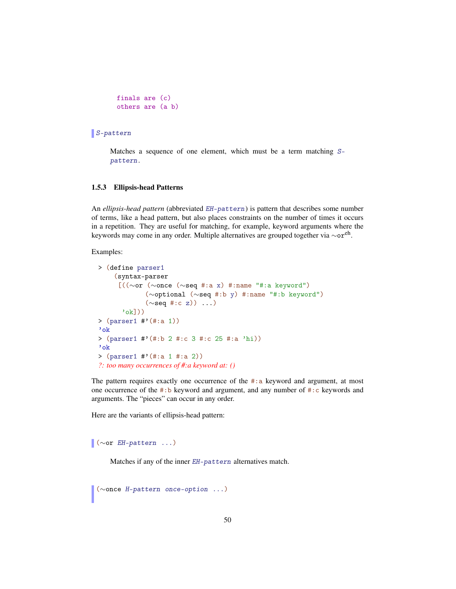```
finals are (c)
others are (a b)
```
## S-pattern

Matches a sequence of one element, which must be a term matching Spattern.

#### 1.5.3 Ellipsis-head Patterns

An *ellipsis-head pattern* (abbreviated EH-pattern) is pattern that describes some number of terms, like a head pattern, but also places constraints on the number of times it occurs in a repetition. They are useful for matching, for example, keyword arguments where the keywords may come in any order. Multiple alternatives are grouped together via ∼oreh .

Examples:

```
> (define parser1
    (syntax-parser
     [((∼or (∼once (∼seq #:a x) #:name "#:a keyword")
             (∼optional (∼seq #:b y) #:name "#:b keyword")
            (\simseq #:c z)) ...)
      'ok]))
> (parser1 #'(#:a 1))
'ok
> (parser1 #'(#:b 2 #:c 3 #:c 25 #:a 'hi))
'ok
> (parser1 #'(#:a 1 #:a 2))
?: too many occurrences of #:a keyword at: ()
```
The pattern requires exactly one occurrence of the  $\#$ : a keyword and argument, at most one occurrence of the #:b keyword and argument, and any number of #:c keywords and arguments. The "pieces" can occur in any order.

Here are the variants of ellipsis-head pattern:

 $\sqrt{\omega}$  ( $\sim$ or *EH*-pattern ...)

Matches if any of the inner EH-pattern alternatives match.

(∼once H-pattern once-option ...)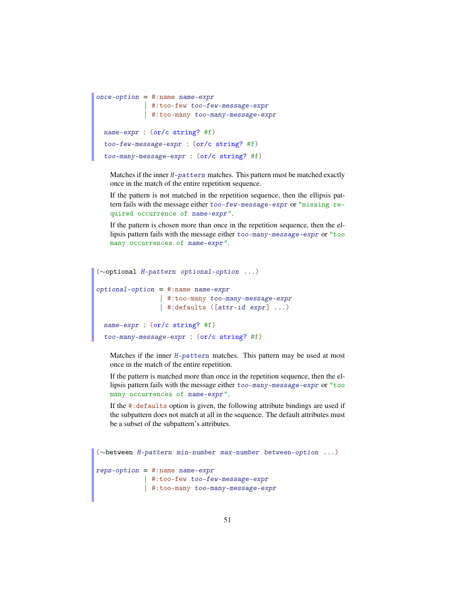```
\text{once-option} = #: \text{name name-expr}| #:too-few too-few-message-expr
             | #:too-many too-many-message-expr
 name-expr : (or/c \text{ string? #f})too-few-message-expr : (or/c string? #f)
  too-many-message-expr : (or/c string? #f)
```
Matches if the inner H-pattern matches. This pattern must be matched exactly once in the match of the entire repetition sequence.

If the pattern is not matched in the repetition sequence, then the ellipsis pattern fails with the message either too-few-message-expr or "missing required occurrence of name-expr".

If the pattern is chosen more than once in the repetition sequence, then the ellipsis pattern fails with the message either too-many-message-expr or "too many occurrences of name-expr".

```
(∼optional H-pattern optional-option ...)
optional-option = #:name name-expr| #:too-many too-many-message-expr
                | #:defaults ([attr-id expr] ...)
 name-expr : (or/c string? #f)
  too-many-message-expr : (or/c string? #f)
```
Matches if the inner H-pattern matches. This pattern may be used at most once in the match of the entire repetition.

If the pattern is matched more than once in the repetition sequence, then the ellipsis pattern fails with the message either too-many-message-expr or "too many occurrences of name-expr".

If the #:defaults option is given, the following attribute bindings are used if the subpattern does not match at all in the sequence. The default attributes must be a subset of the subpattern's attributes.

```
(∼between H-pattern min-number max-number between-option ...)
reps-option = #:name name-expr
          | #:too-few too-few-message-expr
            | #:too-many too-many-message-expr
```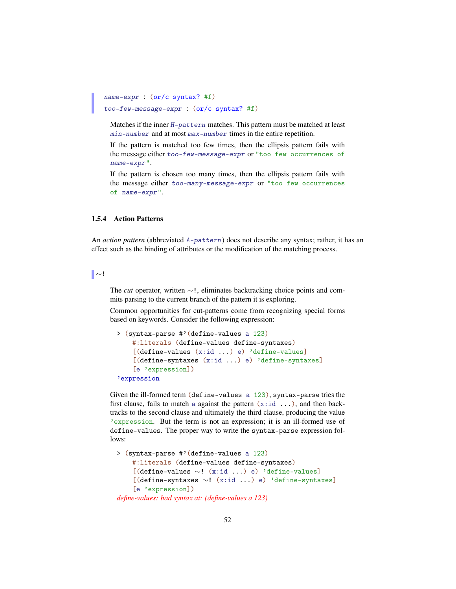```
name-expr : (or/c syntax? #f)
too-few-message-expr : (or/c syntax? #f)
```
Matches if the inner H-pattern matches. This pattern must be matched at least min-number and at most max-number times in the entire repetition.

If the pattern is matched too few times, then the ellipsis pattern fails with the message either too-few-message-expr or "too few occurrences of name-expr".

If the pattern is chosen too many times, then the ellipsis pattern fails with the message either too-many-message-expr or "too few occurrences of name-expr".

#### 1.5.4 Action Patterns

An *action pattern* (abbreviated A-pattern) does not describe any syntax; rather, it has an effect such as the binding of attributes or the modification of the matching process.

∼!

The *cut* operator, written ∼!, eliminates backtracking choice points and commits parsing to the current branch of the pattern it is exploring.

Common opportunities for cut-patterns come from recognizing special forms based on keywords. Consider the following expression:

```
> (syntax-parse #'(define-values a 123)
   #:literals (define-values define-syntaxes)
   [(define-values (x:id ...) e) 'define-values]
    [(define-syntaxes (x:id ...) e) 'define-syntaxes]
    [e 'expression])
'expression
```
Given the ill-formed term (define-values a 123), syntax-parse tries the first clause, fails to match a against the pattern  $(x:i d \dots)$ , and then backtracks to the second clause and ultimately the third clause, producing the value 'expression. But the term is not an expression; it is an ill-formed use of define-values. The proper way to write the syntax-parse expression follows:

```
> (syntax-parse #'(define-values a 123)
    #:literals (define-values define-syntaxes)
    [(define-values ∼! (x:id ...) e) 'define-values]
    [(define-syntaxes ∼! (x:id ...) e) 'define-syntaxes]
    [e 'expression])
define-values: bad syntax at: (define-values a 123)
```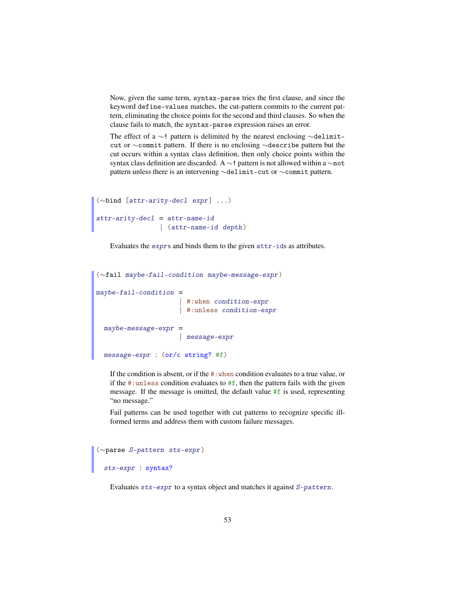Now, given the same term, syntax-parse tries the first clause, and since the keyword define-values matches, the cut-pattern commits to the current pattern, eliminating the choice points for the second and third clauses. So when the clause fails to match, the syntax-parse expression raises an error.

The effect of a ∼! pattern is delimited by the nearest enclosing ∼delimitcut or ∼commit pattern. If there is no enclosing ∼describe pattern but the cut occurs within a syntax class definition, then only choice points within the syntax class definition are discarded. A ∼! pattern is not allowed within a ∼not pattern unless there is an intervening ∼delimit-cut or ∼commit pattern.

```
(∼bind [attr-arity-decl expr ] ...)
attr-arity-decl = attr-name-id
           | (attr-name-id depth )
```
Evaluates the exprs and binds them to the given attr-ids as attributes.

```
(∼fail maybe-fail-condition maybe-message-expr )
may be-fail-condition =| #:when condition-expr
                    | #:unless condition-expr
maybe-message-expr =| message-expr
 message-expr : (or/c string? #f)
```
If the condition is absent, or if the #:when condition evaluates to a true value, or if the  $\#$ : unless condition evaluates to  $\#f$ , then the pattern fails with the given message. If the message is omitted, the default value #f is used, representing "no message."

Fail patterns can be used together with cut patterns to recognize specific illformed terms and address them with custom failure messages.

```
(∼parse S-pattern stx-expr )
 stx-expr : syntax?
```
Evaluates stx-expr to a syntax object and matches it against S-pattern.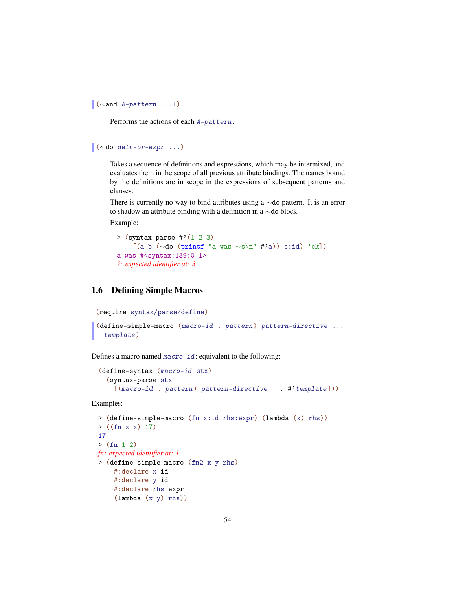```
(∼and A-pattern ...+)
```
Performs the actions of each A-pattern.

```
(∼do defn-or-expr ...)
```
Takes a sequence of definitions and expressions, which may be intermixed, and evaluates them in the scope of all previous attribute bindings. The names bound by the definitions are in scope in the expressions of subsequent patterns and clauses.

There is currently no way to bind attributes using a ∼do pattern. It is an error to shadow an attribute binding with a definition in a ∼do block.

Example:

```
> (syntax-parse \#'(1 2 3)
    [(a b (∼do (printf "a was ∼s\n" #'a)) c:id) 'ok])
a was #<syntax:139:0 1>
?: expected identifier at: 3
```
# 1.6 Defining Simple Macros

```
(require syntax/parse/define)
```

```
(define-simple-macro (macro-id . pattern) pattern-directive ...
  template)
```
Defines a macro named macro-id; equivalent to the following:

```
(define-syntax (macro-id stx)
 (syntax-parse stx
   [(macro-id . pattern) pattern-directive ... #'template]))
```

```
> (define-simple-macro (fn x:id rhs:expr) (lambda (x) rhs))
> ((fn x x) 17)
17
> (fn 1 2)
fn: expected identifier at: 1
> (define-simple-macro (fn2 x y rhs)
    #:declare x id
    #:declare y id
    #:declare rhs expr
    (lambda (x y) rhs))
```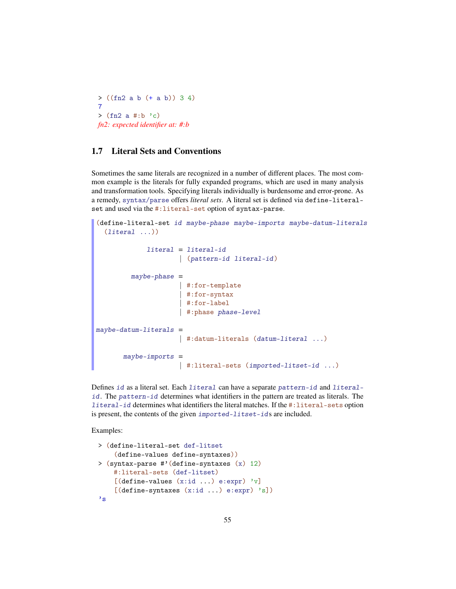> ((fn2 a b (+ a b)) 3 4) 7  $>$  (fn2 a #:b 'c) *fn2: expected identifier at: #:b*

# 1.7 Literal Sets and Conventions

Sometimes the same literals are recognized in a number of different places. The most common example is the literals for fully expanded programs, which are used in many analysis and transformation tools. Specifying literals individually is burdensome and error-prone. As a remedy, syntax/parse offers *literal sets*. A literal set is defined via define-literalset and used via the #:literal-set option of syntax-parse.

```
(define-literal-set id maybe-phase maybe-imports maybe-datum-literals
  (lateral ...))literal = literal-id
                     | (pattern-id literal-id )
         maybe-phase =| #:for-template
                     | #:for-syntax
                     | #:for-label
                     | #:phase phase-level
maybe-datum-literals =| #:datum-literals (datum-literal ...)
      maybe-imports =| #:literal-sets (imported-litset-id ...)
```
Defines id as a literal set. Each literal can have a separate pattern-id and literalid. The pattern-id determines what identifiers in the pattern are treated as literals. The literal-id determines what identifiers the literal matches. If the #:literal-sets option is present, the contents of the given imported-litset-ids are included.

```
> (define-literal-set def-litset
    (define-values define-syntaxes))
> (syntax-parse #'(define-syntaxes (x) 12)
    #:literal-sets (def-litset)
    [(define-values (x:id ...) e:expr) 'v][(define-syntaxes (x:id ...) e:expr) 's])
's
```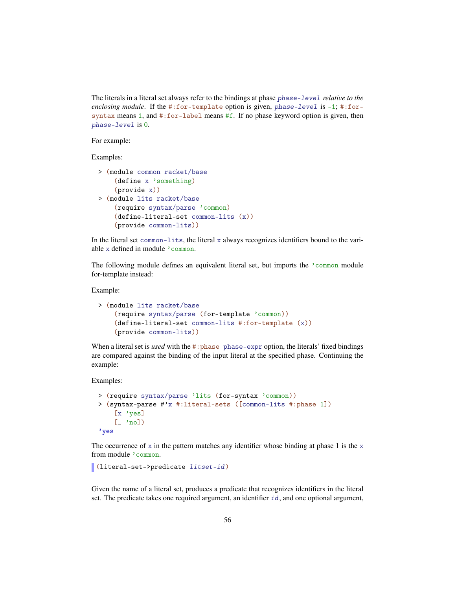The literals in a literal set always refer to the bindings at phase phase-level *relative to the enclosing module*. If the #:for-template option is given, phase-level is -1; #:forsyntax means 1, and #:for-label means #f. If no phase keyword option is given, then phase-level is 0.

For example:

Examples:

```
> (module common racket/base
    (define x 'something)
    (provide x))
> (module lits racket/base
    (require syntax/parse 'common)
    (define-literal-set common-lits (x))
    (provide common-lits))
```
In the literal set common-lits, the literal x always recognizes identifiers bound to the variable x defined in module 'common.

The following module defines an equivalent literal set, but imports the 'common module for-template instead:

#### Example:

```
> (module lits racket/base
    (require syntax/parse (for-template 'common))
    (define-literal-set common-lits #:for-template (x))
    (provide common-lits))
```
When a literal set is *used* with the #:phase phase-expr option, the literals' fixed bindings are compared against the binding of the input literal at the specified phase. Continuing the example:

Examples:

```
> (require syntax/parse 'lits (for-syntax 'common))
> (syntax-parse #'x #:literal-sets ([common-lits #:phase 1])
    [x 'yes]
    [- 'no]'yes
```
The occurrence of x in the pattern matches any identifier whose binding at phase 1 is the x from module 'common.

(literal-set->predicate litset-id)

Given the name of a literal set, produces a predicate that recognizes identifiers in the literal set. The predicate takes one required argument, an identifier  $id$ , and one optional argument,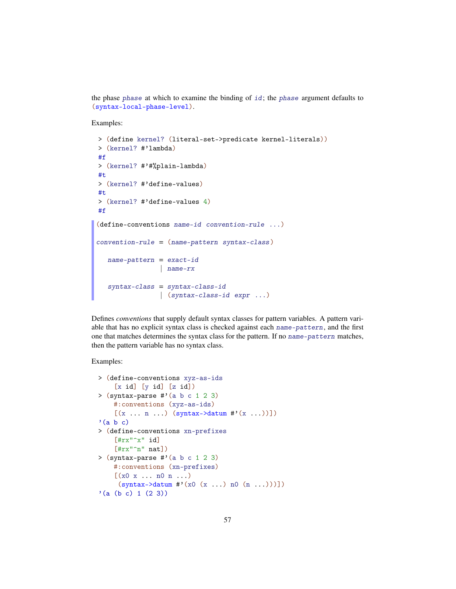the phase phase at which to examine the binding of  $id$ ; the phase argument defaults to (syntax-local-phase-level).

Examples:

```
> (define kernel? (literal-set->predicate kernel-literals))
> (kernel? #'lambda)
#f
> (kernel? #'#%plain-lambda)
#t
> (kernel? #'define-values)
#t
> (kernel? #'define-values 4)
#f
(define-conventions name-id convention-rule ...)
convention-rule = (name-pattern syntax-class )
  name-pattern = exact-id| name-rx
   syntax-class = syntax-class-id
                | (syntax-class-id expr ...)
```
Defines *conventions* that supply default syntax classes for pattern variables. A pattern variable that has no explicit syntax class is checked against each name-pattern, and the first one that matches determines the syntax class for the pattern. If no name-pattern matches, then the pattern variable has no syntax class.

```
> (define-conventions xyz-as-ids
    [x id] [y id] [z id])> (syntax-parse \#'(a b c 1 2 3)
    #:conventions (xyz-as-ids)
    [(x \dots n \dots) (syntax->datum #'(x \dots))])'(a b c)> (define-conventions xn-prefixes
    [#rx"\hat{}x" id]
    [#rx"\cap" nat])
> (syntax-parse #'(a b c 1 2 3)
    #:conventions (xn-prefixes)
    [(x0 x ... n0 n ...)](syntax - \lambda datum \#'(x0 (x ...) n0 (n ...)))'(a (b c) 1 (2 3))
```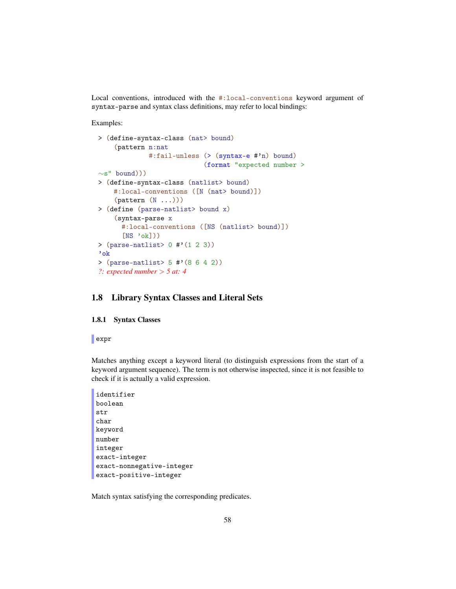Local conventions, introduced with the #:local-conventions keyword argument of syntax-parse and syntax class definitions, may refer to local bindings:

Examples:

```
> (define-syntax-class (nat> bound)
    (pattern n:nat
             #:fail-unless (> (syntax-e #'n) bound)
                             (format "expected number >
\sims" bound)))
> (define-syntax-class (natlist> bound)
    #:local-conventions ([N (nat> bound)])
    (\text{pattern } (N ...)))> (define (parse-natlist> bound x)
    (syntax-parse x
      #:local-conventions ([NS (natlist> bound)])
      [NS \text{ 'ok}])> (parse-natlist> 0 #'(1 2 3))
'ok
> (parse-natlist> 5 #'(8 6 4 2))
?: expected number > 5 at: 4
```
## 1.8 Library Syntax Classes and Literal Sets

## 1.8.1 Syntax Classes

expr

Matches anything except a keyword literal (to distinguish expressions from the start of a keyword argument sequence). The term is not otherwise inspected, since it is not feasible to check if it is actually a valid expression.

```
identifier
boolean
str
char
keyword
number
integer
exact-integer
exact-nonnegative-integer
exact-positive-integer
```
Match syntax satisfying the corresponding predicates.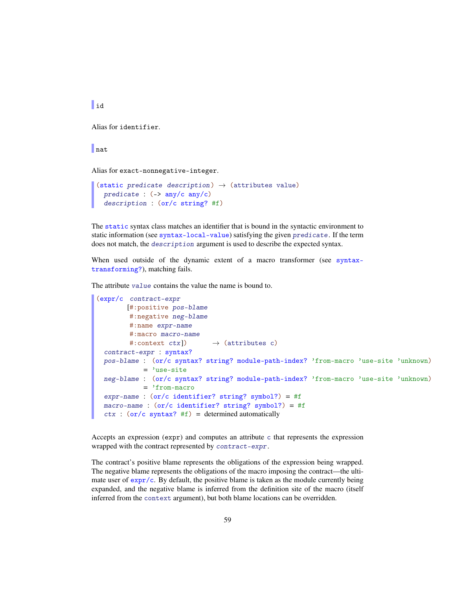$\mathbf{u}$ 

Alias for identifier.

# nat

Alias for exact-nonnegative-integer.

```
(static predicate description) \rightarrow (attributes value)
  predicate : (-\frac{\pi}{2}) any/c any/c)
  description : (or/c string? #f)
```
The static syntax class matches an identifier that is bound in the syntactic environment to static information (see syntax-local-value) satisfying the given predicate. If the term does not match, the description argument is used to describe the expected syntax.

When used outside of the dynamic extent of a macro transformer (see syntaxtransforming?), matching fails.

The attribute value contains the value the name is bound to.

```
(expr/c contract-expr
       [#:positive pos-blame
        #:negative neg-blame
        #:name expr-name
        #:macro macro-name
        #: context ctx]) \rightarrow (attributes c)
 contract-expr : syntax?
 pos-blame : (or/c syntax? string? module-path-index? 'from-macro 'use-site 'unknown)
           = 'use-site
 neg-blame : (or/c syntax? string? module-path-index? 'from-macro 'use-site 'unknown)
           = 'from-macro
 expr-name : (or/c identifier? string? symbol?) = #f
 macro-name : (or/c identifier? string? symbol?) = #f
 ctx : (or/c syntax? #f) = determined automatically
```
Accepts an expression (expr) and computes an attribute c that represents the expression wrapped with the contract represented by contract-expr.

The contract's positive blame represents the obligations of the expression being wrapped. The negative blame represents the obligations of the macro imposing the contract—the ultimate user of  $\exp r/c$ . By default, the positive blame is taken as the module currently being expanded, and the negative blame is inferred from the definition site of the macro (itself inferred from the context argument), but both blame locations can be overridden.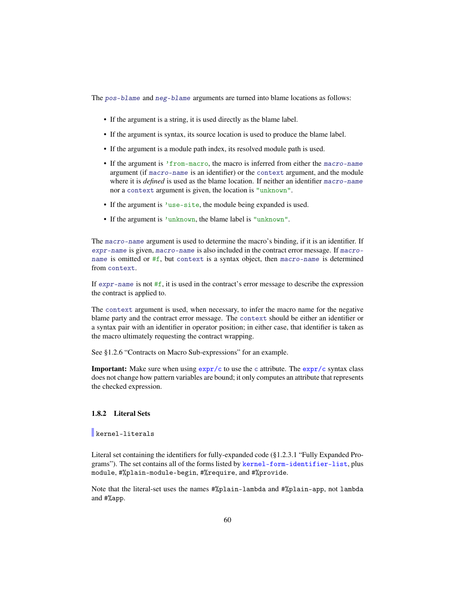The pos-blame and neg-blame arguments are turned into blame locations as follows:

- If the argument is a string, it is used directly as the blame label.
- If the argument is syntax, its source location is used to produce the blame label.
- If the argument is a module path index, its resolved module path is used.
- If the argument is 'from-macro, the macro is inferred from either the macro-name argument (if macro-name is an identifier) or the context argument, and the module where it is *defined* is used as the blame location. If neither an identifier macro-name nor a context argument is given, the location is "unknown".
- If the argument is 'use-site, the module being expanded is used.
- If the argument is 'unknown, the blame label is "unknown".

The macro-name argument is used to determine the macro's binding, if it is an identifier. If expr-name is given, macro-name is also included in the contract error message. If macroname is omitted or  $#f$ , but context is a syntax object, then macro-name is determined from context.

If  $expr$ -name is not  $#f$ , it is used in the contract's error message to describe the expression the contract is applied to.

The context argument is used, when necessary, to infer the macro name for the negative blame party and the contract error message. The context should be either an identifier or a syntax pair with an identifier in operator position; in either case, that identifier is taken as the macro ultimately requesting the contract wrapping.

See §1.2.6 "Contracts on Macro Sub-expressions" for an example.

**Important:** Make sure when using  $\exp r/c$  to use the c attribute. The  $\exp r/c$  syntax class does not change how pattern variables are bound; it only computes an attribute that represents the checked expression.

# 1.8.2 Literal Sets

kernel-literals

Literal set containing the identifiers for fully-expanded code (§1.2.3.1 "Fully Expanded Programs"). The set contains all of the forms listed by kernel-form-identifier-list, plus module, #%plain-module-begin, #%require, and #%provide.

Note that the literal-set uses the names #%plain-lambda and #%plain-app, not lambda and #%app.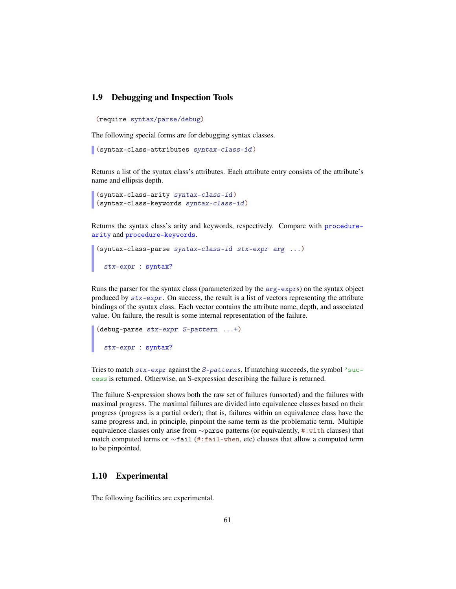# 1.9 Debugging and Inspection Tools

(require syntax/parse/debug)

The following special forms are for debugging syntax classes.

```
(syntax-class-attributes syntax-class-id)
```
Returns a list of the syntax class's attributes. Each attribute entry consists of the attribute's name and ellipsis depth.

```
(syntax-class-arity syntax-class-id)
(syntax-class-keywords syntax-class-id)
```
Returns the syntax class's arity and keywords, respectively. Compare with procedurearity and procedure-keywords.

```
(syntax-class-parse syntax-class-id stx-expr arg ...)
 stx-expr : syntax?
```
Runs the parser for the syntax class (parameterized by the arg-exprs) on the syntax object produced by  $\text{str-expr}$ . On success, the result is a list of vectors representing the attribute bindings of the syntax class. Each vector contains the attribute name, depth, and associated value. On failure, the result is some internal representation of the failure.

```
(debug-parse stx-expr S-pattern ...+)
 stx-expr : syntax?
```
Tries to match  $stx$ -expr against the S-patterns. If matching succeeds, the symbol 'success is returned. Otherwise, an S-expression describing the failure is returned.

The failure S-expression shows both the raw set of failures (unsorted) and the failures with maximal progress. The maximal failures are divided into equivalence classes based on their progress (progress is a partial order); that is, failures within an equivalence class have the same progress and, in principle, pinpoint the same term as the problematic term. Multiple equivalence classes only arise from ∼parse patterns (or equivalently, #:with clauses) that match computed terms or ∼fail (#:fail-when, etc) clauses that allow a computed term to be pinpointed.

# 1.10 Experimental

The following facilities are experimental.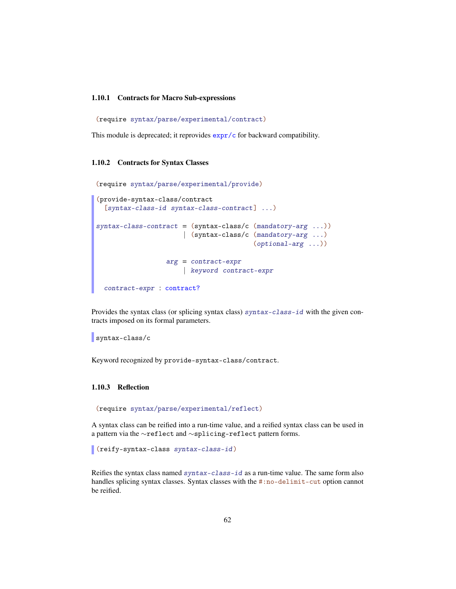#### 1.10.1 Contracts for Macro Sub-expressions

(require syntax/parse/experimental/contract)

This module is deprecated; it reprovides  $\frac{\exp r}{c}$  for backward compatibility.

#### 1.10.2 Contracts for Syntax Classes

(require syntax/parse/experimental/provide)

```
(provide-syntax-class/contract
  [syntax-class-id syntax-class-contract] ...)
syntax-class-contract = (syntax-class/c (mandatory-arg ...))
                      | (syntax-class/c (mandatory-arg ...)
                                        (optional-arg ...))
                  arg = contract-expr
                      | keyword contract-expr
  contract-expr : contract?
```
Provides the syntax class (or splicing syntax class)  $syntax-class-id$  with the given contracts imposed on its formal parameters.

syntax-class/c

Keyword recognized by provide-syntax-class/contract.

#### 1.10.3 Reflection

(require syntax/parse/experimental/reflect)

A syntax class can be reified into a run-time value, and a reified syntax class can be used in a pattern via the ∼reflect and ∼splicing-reflect pattern forms.

(reify-syntax-class syntax-class-id)

Reifies the syntax class named syntax-class-id as a run-time value. The same form also handles splicing syntax classes. Syntax classes with the #:no-delimit-cut option cannot be reified.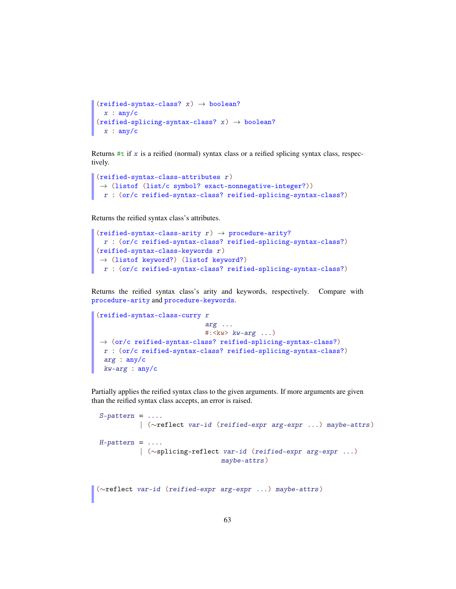```
(reified-syntax-class? x) \rightarrow boolean?x : any/c(reified-splicing-syntax-class? x) \rightarrow boolean?x : any/c
```
Returns  $#t$  if x is a reified (normal) syntax class or a reified splicing syntax class, respectively.

```
(reified-syntax-class-attributes r)
\rightarrow (listof (list/c symbol? exact-nonnegative-integer?))
r : (or/c reified-syntax-class? reified-splicing-syntax-class?)
```
Returns the reified syntax class's attributes.

```
(reified-syntax-class-arity r) \rightarrow procedure-arity?r : (or/c reified-syntax-class? reified-splicing-syntax-class?)
(reified-syntax-class-keywords r)
\rightarrow (listof keyword?) (listof keyword?)
r : (or/c reified-syntax-class? reified-splicing-syntax-class?)
```
Returns the reified syntax class's arity and keywords, respectively. Compare with procedure-arity and procedure-keywords.

```
(reified-syntax-class-curry r
                                arg ...
                                \#:\langle kw\rangle kw\text{-}arg \dots\rightarrow (or/c reified-syntax-class? reified-splicing-syntax-class?)
 r : (or/c reified-syntax-class? reified-splicing-syntax-class?)
 arg : any/c
 kw-arg : any/c
```
Partially applies the reified syntax class to the given arguments. If more arguments are given than the reified syntax class accepts, an error is raised.

```
S-pattern = ...| (∼reflect var-id (reified-expr arg-expr ...) maybe-attrs)
H-pattern = \dots.
          | (∼splicing-reflect var-id (reified-expr arg-expr ...)
                               maybe-attrs)
```

```
(∼reflect var-id (reified-expr arg-expr ...) maybe-attrs)
```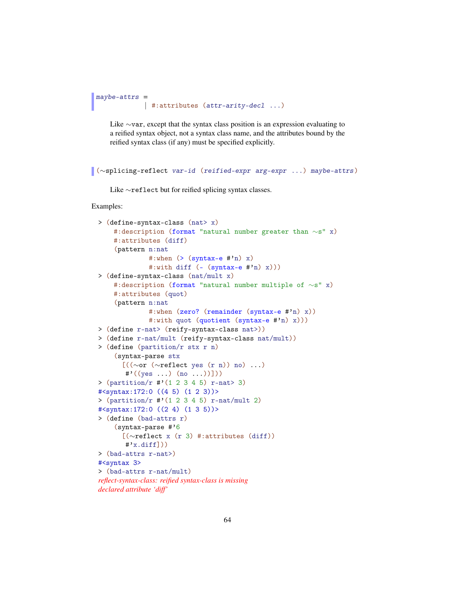```
maybe-attrs =
             | #:attributes (attr-arity-decl ...)
```
Like ∼var, except that the syntax class position is an expression evaluating to a reified syntax object, not a syntax class name, and the attributes bound by the reified syntax class (if any) must be specified explicitly.

```
(∼splicing-reflect var-id (reified-expr arg-expr ...) maybe-attrs)
```
Like ∼reflect but for reified splicing syntax classes.

```
> (define-syntax-class (nat> x)
    #:description (format "natural number greater than ∼s" x)
    #:attributes (diff)
    (pattern n:nat
              #:when (>(symtax-e #'n) x)#:with diff (- (syntax-e #'n) x)))
> (define-syntax-class (nat/mult x)
    #:description (format "natural number multiple of ∼s" x)
    #:attributes (quot)
    (pattern n:nat
              #:when (zero? (remainder (syntax-e #'n) x))
              #:with quot (quotient (syntax-e #'n) x)))
> (define r-nat> (reify-syntax-class nat>))
> (define r-nat/mult (reify-syntax-class nat/mult))
> (define (partition/r stx r n)
    (syntax-parse stx
      [((∼or (∼reflect yes (r n)) no) ...)
       \sharp'((yes \dots) (no \dots))])> (\text{partition}/r \# (1 \ 2 \ 3 \ 4 \ 5) \ r-nat > 3)#<syntax:172:0 ((4 5) (1 2 3))>
> (\text{partition}/r \# (1 \ 2 \ 3 \ 4 \ 5) \ r-nat/mult \ 2)#<syntax:172:0 ((2 4) (1 3 5))>
> (define (bad-attrs r)
    (syntax-parse #'6
      [(∼reflect x (r 3) #:attributes (diff))
       \sharp'x.diff]))
> (bad-attrs r-nat>)
#<syntax 3>
> (bad-attrs r-nat/mult)
reflect-syntax-class: reified syntax-class is missing
declared attribute 'diff'
```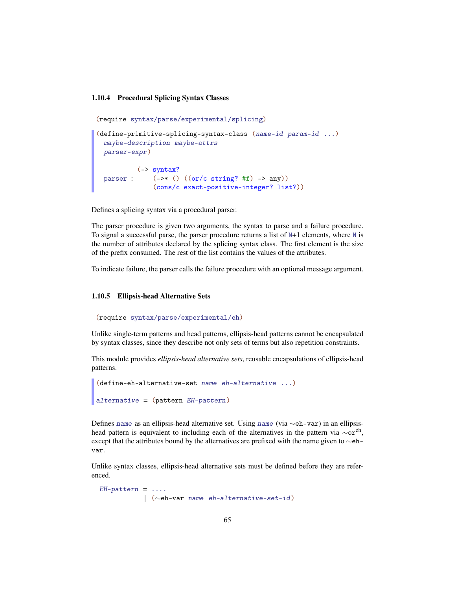#### 1.10.4 Procedural Splicing Syntax Classes

```
(require syntax/parse/experimental/splicing)
(define-primitive-splicing-syntax-class (name-id param-id ...)
 maybe-description maybe-attrs
 parser-expr)
  parser :
(->* () ((or/c string? #f) -> any))
          (-> syntax?
              (cons/c exact-positive-integer? list?))
```
Defines a splicing syntax via a procedural parser.

The parser procedure is given two arguments, the syntax to parse and a failure procedure. To signal a successful parse, the parser procedure returns a list of  $N+1$  elements, where N is the number of attributes declared by the splicing syntax class. The first element is the size of the prefix consumed. The rest of the list contains the values of the attributes.

To indicate failure, the parser calls the failure procedure with an optional message argument.

#### 1.10.5 Ellipsis-head Alternative Sets

```
(require syntax/parse/experimental/eh)
```
Unlike single-term patterns and head patterns, ellipsis-head patterns cannot be encapsulated by syntax classes, since they describe not only sets of terms but also repetition constraints.

This module provides *ellipsis-head alternative sets*, reusable encapsulations of ellipsis-head patterns.

```
(define-eh-alternative-set name eh-alternative ...)
alternative = (pattern EH-pattern)
```
Defines name as an ellipsis-head alternative set. Using name (via ∼eh-var) in an ellipsishead pattern is equivalent to including each of the alternatives in the pattern via  $\sim$ or<sup>eh</sup>, except that the attributes bound by the alternatives are prefixed with the name given to ∼ehvar.

Unlike syntax classes, ellipsis-head alternative sets must be defined before they are referenced.

```
EH-pattern = ...| (∼eh-var name eh-alternative-set-id )
```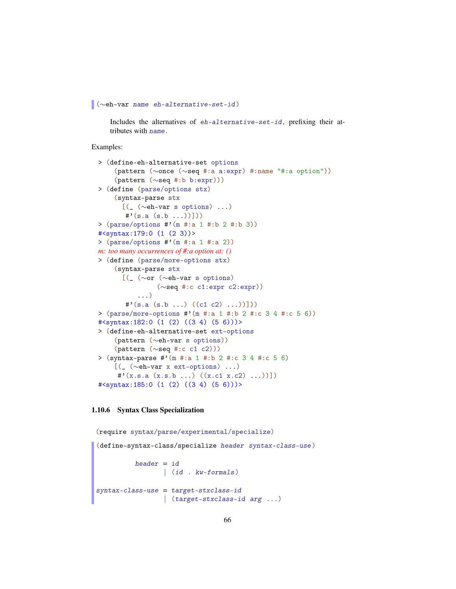```
(∼eh-var name eh-alternative-set-id )
```
Includes the alternatives of eh-alternative-set-id , prefixing their attributes with name.

Examples:

```
> (define-eh-alternative-set options
    (pattern (∼once (∼seq #:a a:expr) #:name "#:a option"))
    (pattern (∼seq #:b b:expr)))
> (define (parse/options stx)
    (syntax-parse stx
      [(_ (∼eh-var s options) ...)
       \sharp'(\text{s.a}(s.b...))])> (parse/options #'(m #:a 1 #:b 2 #:b 3))
#<syntax:179:0 (1 (2 3))>
> (parse/options #'(m #:a 1 #:a 2))
m: too many occurrences of #:a option at: ()
> (define (parse/more-options stx)
    (syntax-parse stx
      [(_ (∼or (∼eh-var s options)
               (∼seq #:c c1:expr c2:expr))
          ...)
       \sharp'(s.a (s.b ...) ((c1 c2) ...))]))
> (parse/more-options #'(m #:a 1 #:b 2 #:c 3 4 #:c 5 6))
#<syntax:182:0 (1 (2) ((3 4) (5 6)))>
> (define-eh-alternative-set ext-options
    (pattern (∼eh-var s options))
    (pattern (∼seq #:c c1 c2)))
> (syntax-parse #'(m #:a 1 #:b 2 #:c 3 4 #:c 5 6)
    [(_ (∼eh-var x ext-options) ...)
     \sharp'(x.s.a (x.s.b ...) ((x.c1 x.c2) ...))])
#<syntax:185:0 (1 (2) ((3 4) (5 6)))>
```
#### 1.10.6 Syntax Class Specialization

```
(require syntax/parse/experimental/specialize)
(define-syntax-class/specialize header syntax-class-use )
         header = id| (id . kw-formals)
syntax-class-use = target-stxclass-id
                 | (target-stxclass-id arg ...)
```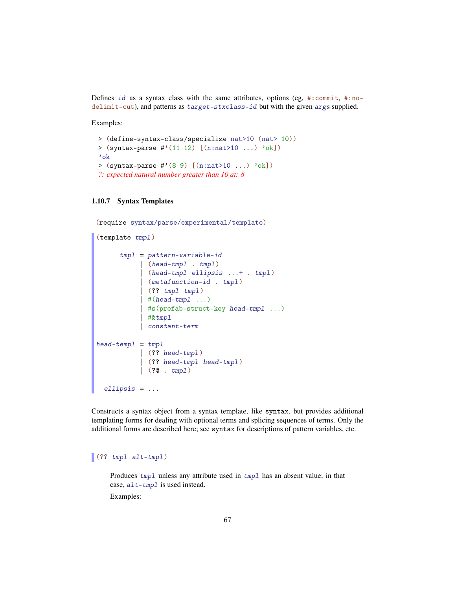Defines id as a syntax class with the same attributes, options (eg, #:commit, #:nodelimit-cut), and patterns as target-stxclass-id but with the given args supplied.

Examples:

```
> (define-syntax-class/specialize nat>10 (nat> 10))
> (syntax-parse #'(11 12) [(n:nat>10 ...) 'ok])
'ok
> (syntax-parse #'(8 9) [(n:nat>10 ...) 'ok])
?: expected natural number greater than 10 at: 8
```
## 1.10.7 Syntax Templates

```
(require syntax/parse/experimental/template)
(template tmpl)
      tmpl = pattern-variable-id
            | (head-tmpl . tmpl)
            | (head-tmpl ellipsis ...+ . tmpl)
           | (metafunction-id . tmpl)
            (?? tmpl tmpl)
            #(head-tmp1 ...)| #s(prefab-struct-key head-tmpl ...)
           | #&tmpl
           | constant-term
head-templ = tmp1| (?? head-tmpl)
           | (?? head-tmpl head-tmpl )
           | (?@ . tmpl)
  ellipsis = ...
```
Constructs a syntax object from a syntax template, like syntax, but provides additional templating forms for dealing with optional terms and splicing sequences of terms. Only the additional forms are described here; see syntax for descriptions of pattern variables, etc.

# $\vert$  (?? tmpl alt-tmpl)

Produces tmpl unless any attribute used in tmpl has an absent value; in that case, alt-tmpl is used instead.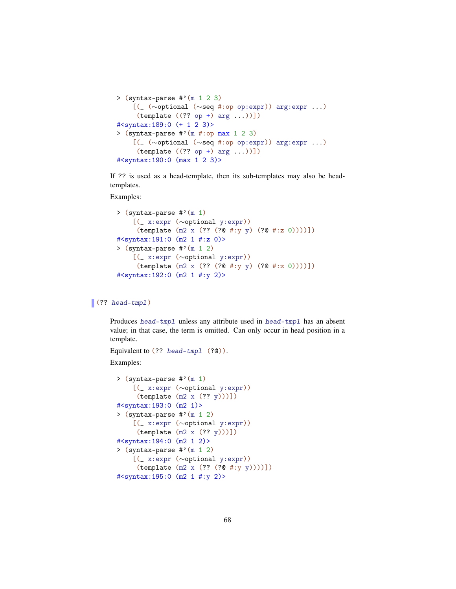```
> (syntax-parse \#'(m 1 2 3)
    [(_ (∼optional (∼seq #:op op:expr)) arg:expr ...)
     (template ((?? op +) arg ...))])#<syntax:189:0 (+ 1 2 3)>
> (syntax-parse #'(m #:op max 1 2 3)
    [(_ (∼optional (∼seq #:op op:expr)) arg:expr ...)
     (template ((?? op +) arg ...))])#<syntax:190:0 (max 1 2 3)>
```
If ?? is used as a head-template, then its sub-templates may also be headtemplates.

Examples:

```
> (syntax-parse #'(m 1)
    [(_ x:expr (∼optional y:expr))
     (template (m2 x (?? (?@ #:y y) (?@ #:z 0))))])
#<syntax:191:0 (m2 1 #:z 0)>
> (syntax-parse \#'(m 1 2)
    [(_ x:expr (∼optional y:expr))
     (template (m2 x (?? (?@ #:y y) (?@ #:z 0))))])
#<syntax:192:0 (m2 1 #:y 2)>
```
# (?? head-tmpl)

Produces head-tmpl unless any attribute used in head-tmpl has an absent value; in that case, the term is omitted. Can only occur in head position in a template.

Equivalent to (?? head-tmpl (?@)).

```
> (syntax-parse #'(m 1)
   [(_ x:expr (∼optional y:expr))
     (template (m2 x (?? y)))])
#<syntax:193:0 (m2 1)>
> (syntax-parse \#'(m 1 2)
    [(_ x:expr (∼optional y:expr))
     (template (m2 x (?? y)))])
#<syntax:194:0 (m2 1 2)>
> (syntax-parse #'(m 1 2)
    [(_ x:expr (∼optional y:expr))
     (template (m2 x (?? (?@ #:y y))))])
#<syntax:195:0 (m2 1 #:y 2)>
```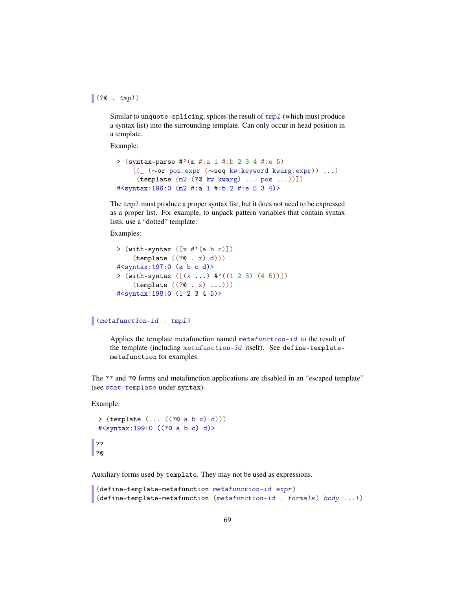# $|(?@ . tmp1)$

Similar to unquote-splicing, splices the result of  $tmp1$  (which must produce a syntax list) into the surrounding template. Can only occur in head position in a template.

Example:

```
> (syntax-parse #'(m #:a 1 #:b 2 3 4 #:e 5)
    [(_ (∼or pos:expr (∼seq kw:keyword kwarg:expr)) ...)
     (template (m2 (?@ kw kwarg) ... pos ...))])
#<syntax:196:0 (m2 #:a 1 #:b 2 #:e 5 3 4)>
```
The tmpl must produce a proper syntax list, but it does not need to be expressed as a proper list. For example, to unpack pattern variables that contain syntax lists, use a "dotted" template:

Examples:

```
> (\text{with-syntax } (\lceil x \# (a \ b \ c) \rceil))(template ((?@ . x) d)))
#<syntax:197:0 (a b c d)>
> (with-syntax ([x \dots ) #'((1 2 3) (4 5))])(template ((?@ . x) ...)))
#<syntax:198:0 (1 2 3 4 5)>
```
(metafunction-id . tmpl)

Applies the template metafunction named metafunction-id to the result of the template (including metafunction-id itself). See define-templatemetafunction for examples.

The ?? and ?@ forms and metafunction applications are disabled in an "escaped template" (see stat-template under syntax).

Example:

```
> (template (... ((?@ a b c) d)))
 #<syntax:199:0 ((?@ a b c) d)>
 ??
\vert ?@
```
Auxiliary forms used by template. They may not be used as expressions.

```
(define-template-metafunction metafunction-id expr )
(define-template-metafunction (metafunction-id . formals) body ...+)
```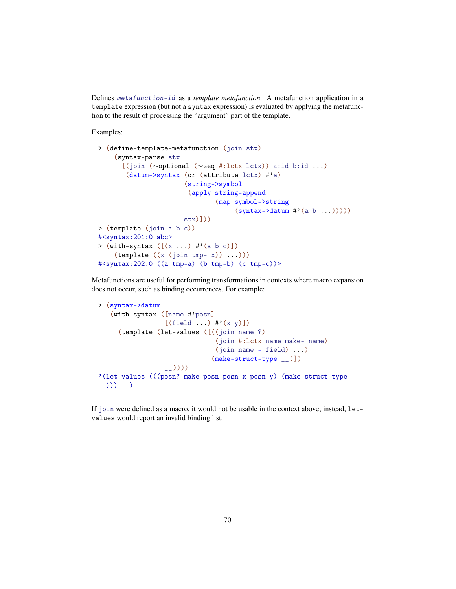Defines metafunction-id as a *template metafunction*. A metafunction application in a template expression (but not a syntax expression) is evaluated by applying the metafunction to the result of processing the "argument" part of the template.

Examples:

```
> (define-template-metafunction (join stx)
    (syntax-parse stx
      [(join (∼optional (∼seq #:lctx lctx)) a:id b:id ...)
       (datum->syntax (or (attribute lctx) #'a)
                      (string->symbol
                       (apply string-append
                              (map symbol->string
                                   (syntax->datum #'(a b ...)))))
                      stx)]))
> (template (join a b c))
#<syntax:201:0 abc>
> (with-syntax ([(x ...) #'(a b c)]))
    (template ((x (join tmp-x)) ...)))#<syntax:202:0 ((a tmp-a) (b tmp-b) (c tmp-c))>
```
Metafunctions are useful for performing transformations in contexts where macro expansion does not occur, such as binding occurrences. For example:

```
> (syntax->datum
    (with-syntax ([name #'posn]
                      [(field ...) #'(x y)])(template (let-values ([((join name ?)
                                      (join #:lctx name make- name)
                                      (join name - field) ...)
                                     (make-struct-type __)])
                      __))))
'(let-values (((posn? make-posn posn-x posn-y) (make-struct-type
\begin{pmatrix} -1 \\ 1 \end{pmatrix}) \begin{pmatrix} -1 \\ 2 \end{pmatrix}
```
If join were defined as a macro, it would not be usable in the context above; instead, letvalues would report an invalid binding list.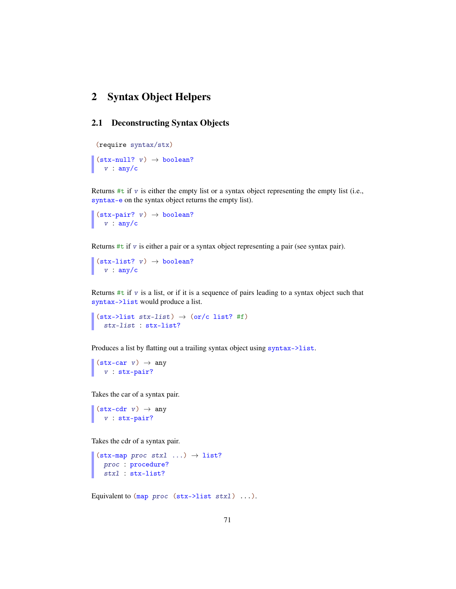# 2 Syntax Object Helpers

# 2.1 Deconstructing Syntax Objects

```
(require syntax/stx)
(\text{stx-null? } v) \rightarrow \text{boolean?}v : any/c
```
Returns  $\#t$  if  $v$  is either the empty list or a syntax object representing the empty list (i.e., syntax-e on the syntax object returns the empty list).

 $(\text{stx-pair? } v) \rightarrow \text{boolean?}$ v : any/c

Returns  $#t$  if  $v$  is either a pair or a syntax object representing a pair (see syntax pair).

```
(\text{stx-list? } v) \rightarrow \text{boolean?}v : any/c
```
Returns  $\#t$  if  $v$  is a list, or if it is a sequence of pairs leading to a syntax object such that syntax->list would produce a list.

```
(\text{stx->list stx-list}) \rightarrow (\text{or/c list? #f})stx-list : stx-list?
```
Produces a list by flatting out a trailing syntax object using syntax->list.

```
(\text{stx-car} \space v) \rightarrow \text{any}v : stx-pair?
```
Takes the car of a syntax pair.

```
(\text{stx-cdr } v) \rightarrow \text{any}v : stx-pair?
```
Takes the cdr of a syntax pair.

```
(\texttt{stx-map proc stx1 ...}) \rightarrow \text{list?}proc : procedure?
 stxl : stx-list?
```
Equivalent to  $(\text{map } proc \text{ (stx->list stx1) ...}).$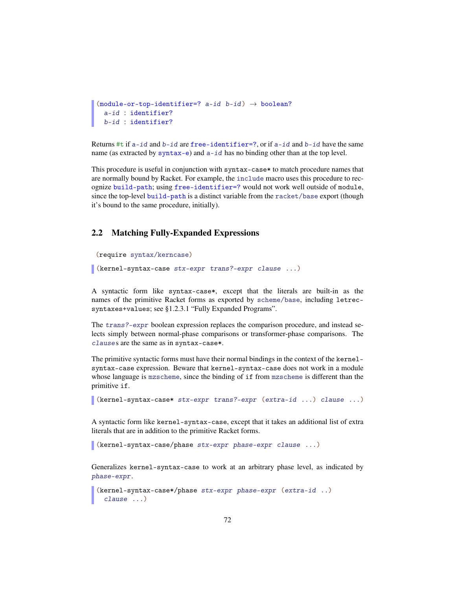```
(module-or-top-identifier=? a-id b-id) \rightarrow boolean?a-id : identifier?
  b-id : identifier?
```
Returns  $\#$ t if  $a$ -id and  $b$ -id are free-identifier=?, or if  $a$ -id and  $b$ -id have the same name (as extracted by  $\text{syntax}-e$ ) and  $a-id$  has no binding other than at the top level.

This procedure is useful in conjunction with syntax-case\* to match procedure names that are normally bound by Racket. For example, the include macro uses this procedure to recognize build-path; using free-identifier=? would not work well outside of module, since the top-level build-path is a distinct variable from the racket/base export (though it's bound to the same procedure, initially).

# 2.2 Matching Fully-Expanded Expressions

```
(require syntax/kerncase)
```
(kernel-syntax-case stx-expr trans?-expr clause ...)

A syntactic form like syntax-case\*, except that the literals are built-in as the names of the primitive Racket forms as exported by scheme/base, including letrecsyntaxes+values; see §1.2.3.1 "Fully Expanded Programs".

The trans?-expr boolean expression replaces the comparison procedure, and instead selects simply between normal-phase comparisons or transformer-phase comparisons. The clauses are the same as in syntax-case\*.

The primitive syntactic forms must have their normal bindings in the context of the kernelsyntax-case expression. Beware that kernel-syntax-case does not work in a module whose language is mzscheme, since the binding of if from mzscheme is different than the primitive if.

(kernel-syntax-case\* stx-expr trans?-expr (extra-id ...) clause ...)

A syntactic form like kernel-syntax-case, except that it takes an additional list of extra literals that are in addition to the primitive Racket forms.

(kernel-syntax-case/phase stx-expr phase-expr clause ...)

Generalizes kernel-syntax-case to work at an arbitrary phase level, as indicated by phase-expr.

```
(kernel-syntax-case*/phase stx-expr phase-expr (extra-id ..)
 clause ...)
```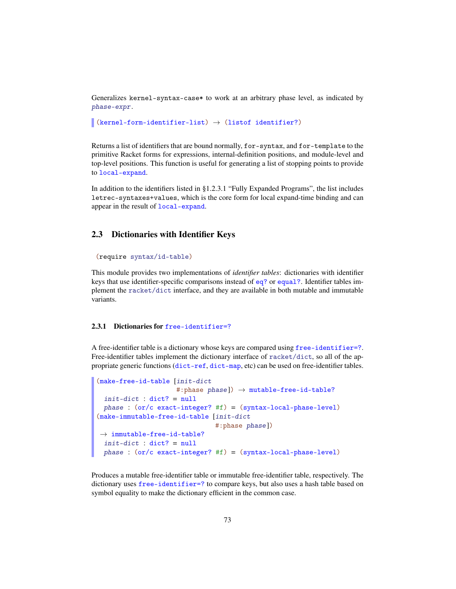Generalizes kernel-syntax-case\* to work at an arbitrary phase level, as indicated by phase-expr.

```
(kernel-form-identifier-list) \rightarrow (listof identifier?)
```
Returns a list of identifiers that are bound normally, for-syntax, and for-template to the primitive Racket forms for expressions, internal-definition positions, and module-level and top-level positions. This function is useful for generating a list of stopping points to provide to local-expand.

In addition to the identifiers listed in §1.2.3.1 "Fully Expanded Programs", the list includes letrec-syntaxes+values, which is the core form for local expand-time binding and can appear in the result of local-expand.

### 2.3 Dictionaries with Identifier Keys

```
(require syntax/id-table)
```
This module provides two implementations of *identifier tables*: dictionaries with identifier keys that use identifier-specific comparisons instead of eq? or equal?. Identifier tables implement the racket/dict interface, and they are available in both mutable and immutable variants.

#### 2.3.1 Dictionaries for free-identifier=?

A free-identifier table is a dictionary whose keys are compared using free-identifier=?. Free-identifier tables implement the dictionary interface of racket/dict, so all of the appropriate generic functions (dict-ref, dict-map, etc) can be used on free-identifier tables.

```
(make-free-id-table [init-dict
                     #:phase phase]) \rightarrow mutable-free-id-table?
 init-dict : dict? = null
 phase : (or/c exact-integer? #f) = (syntax-local-phase-level)
(make-immutable-free-id-table [init-dict
                                #:phase phase])
\rightarrow immutable-free-id-table?
 init\t-dict : dict? = nullphase : (or/c exact-integer? #f) = (syntax-local-phase-level)
```
Produces a mutable free-identifier table or immutable free-identifier table, respectively. The dictionary uses free-identifier=? to compare keys, but also uses a hash table based on symbol equality to make the dictionary efficient in the common case.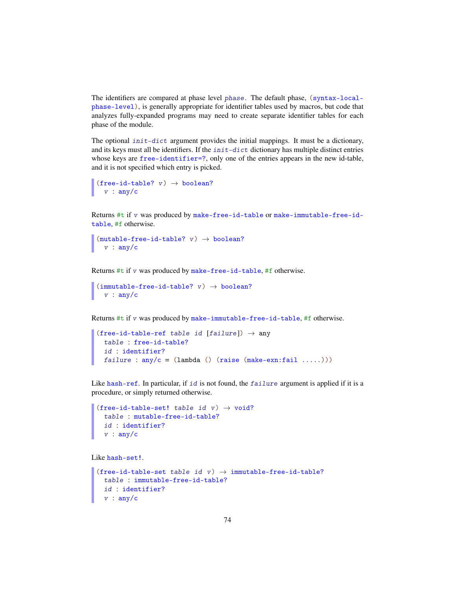The identifiers are compared at phase level phase. The default phase, (syntax-localphase-level), is generally appropriate for identifier tables used by macros, but code that analyzes fully-expanded programs may need to create separate identifier tables for each phase of the module.

The optional  $init\t-dict$  argument provides the initial mappings. It must be a dictionary, and its keys must all be identifiers. If the  $init\t -dict$  dictionary has multiple distinct entries whose keys are free-identifier=?, only one of the entries appears in the new id-table, and it is not specified which entry is picked.

```
(free-id-table? v) \rightarrow boolean?v : any/c
```
Returns #t if v was produced by make-free-id-table or make-immutable-free-idtable, #f otherwise.

```
(mutable-free-id-table? v) \rightarrow boolean?v : any/c
```
Returns #t if v was produced by make-free-id-table, #f otherwise.

```
(immutable-free-id-table? v) \rightarrow boolean?v : any/c
```
Returns #t if v was produced by make-immutable-free-id-table, #f otherwise.

```
(free-id-table-ref table id [failure]) \rightarrow any
  table : free-id-table?
  id : identifier?
  failure : any/c = (lambda () (raise (make-exn:fail .....)))
```
Like hash-ref. In particular, if id is not found, the failure argument is applied if it is a procedure, or simply returned otherwise.

```
(free-id-table-set! table id v) \rightarrow void?
  table : mutable-free-id-table?
  id : identifier?
  v : any/c
```
Like hash-set!.

```
(free-id-table-set table id v) \rightarrow immutable-free-id-table?
  table : immutable-free-id-table?
  id : identifier?
 v : any/c
```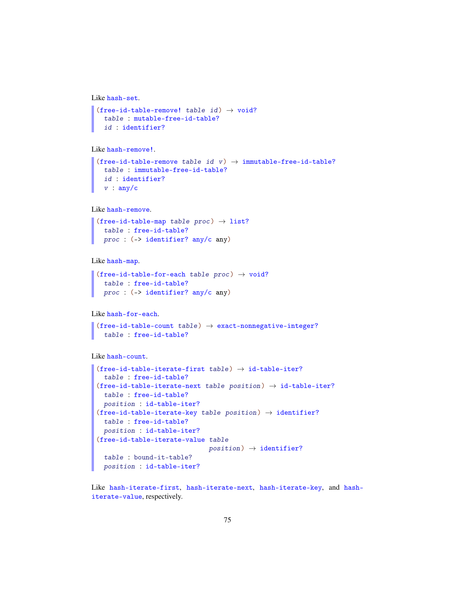```
Like hash-set.
```

```
(free-id-table-remove! table id) \rightarrow void?
  table : mutable-free-id-table?
  id : identifier?
```

```
Like hash-remove!.
```

```
(free-id-table-remove table id v) \rightarrow immutable-free-id-table?
 table : immutable-free-id-table?
 id : identifier?
 v : any/c
```

```
Like hash-remove.
```

```
(free-id-table-map table proc) \rightarrow list?
  table : free-id-table?
 proc : (-> identifier? any/c any)
```
Like hash-map.

```
(free-id-table-for-each table proc) \rightarrow void?
  table : free-id-table?
 proc : (-> identifier? any/c any)
```
Like hash-for-each.

```
(free-id-table-count table) \rightarrow exact-nonnegative-integer?table : free-id-table?
```
Like hash-count.

```
(free-id-table-iterate-first table) \rightarrow id-table-iter?table : free-id-table?
(free-id-table-iterate-next table position) \rightarrow id-table-iter?
 table : free-id-table?
 position : id-table-iter?
(free-id-table-iterate-key table position) \rightarrow identifier?
 table : free-id-table?
 position : id-table-iter?
(free-id-table-iterate-value table
                               position) \rightarrow identifier?table : bound-it-table?
 position : id-table-iter?
```
Like hash-iterate-first, hash-iterate-next, hash-iterate-key, and hashiterate-value, respectively.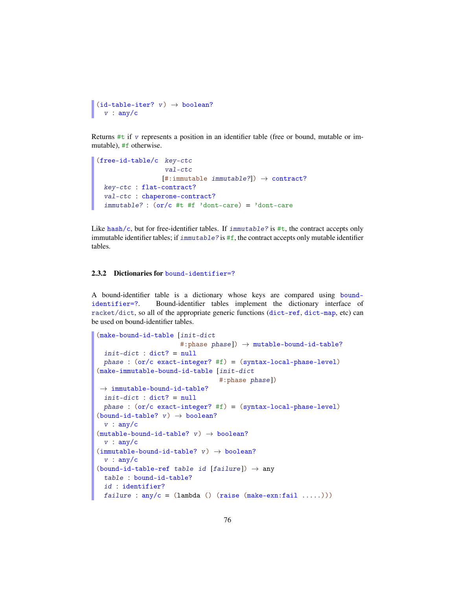```
(id-table-iter? v) \rightarrow boolean?v : any/c
```
Returns  $\#t$  if v represents a position in an identifier table (free or bound, mutable or immutable), #f otherwise.

```
(free-id-table/c key-ctc
                  val-ctc
                 [#:immutable immutable?] \rightarrow contract?
 key-ctc : flat-contract?
  val-ctc : chaperone-contract?
  immutable? : (or/c #t #f 'dont-care) = 'dont-care
```
Like hash/c, but for free-identifier tables. If  $\lim_{x \to b}$  is #t, the contract accepts only immutable identifier tables; if  $immutable$ ? is #f, the contract accepts only mutable identifier tables.

#### 2.3.2 Dictionaries for bound-identifier=?

A bound-identifier table is a dictionary whose keys are compared using boundidentifier=?. Bound-identifier tables implement the dictionary interface of racket/dict, so all of the appropriate generic functions (dict-ref, dict-map, etc) can be used on bound-identifier tables.

```
(make-bound-id-table [init-dict
                       #:phase phase]) \rightarrow mutable-bound-id-table?
  init\t-dict : dict? = nullphase : (or/c exact-integer? #f) = (syntax-local-phase-level)
(make-immutable-bound-id-table [init-dict
                                  #:phase phase])
\rightarrow immutable-bound-id-table?
 init\t-dict : dict? = nullphase : (or/c exact-integer? #f) = (syntax-local-phase-level)
(bound-id-table? v) \rightarrow boolean?
 v : any/c(mutable-bound-id-table? v) \rightarrow boolean?v : any/c(immutable-bound-id-table? v) \rightarrow boolean?v : any/c(bound-id-table-ref table id [failure]) \rightarrow any
 table : bound-id-table?
  id : identifier?
 failure : any/c = (lambda () (raise (make-exn:fail . . . . .)))
```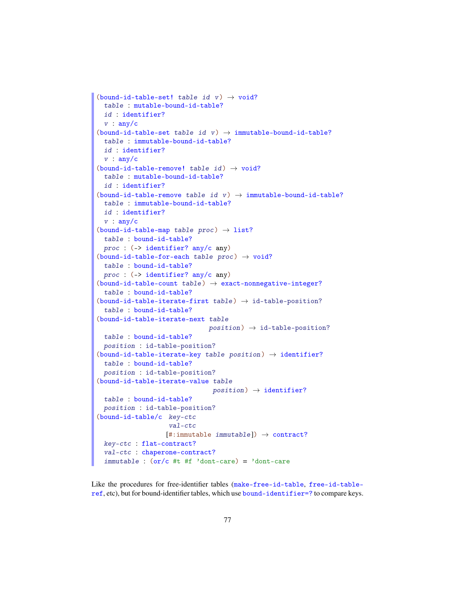```
(bound-id-table-set! table id v) \rightarrow void?
  table : mutable-bound-id-table?
 id : identifier?
 v : any/c(bound-id-table-set table id v) \rightarrow immutable-bound-id-table?
  table : immutable-bound-id-table?
 id : identifier?
 v : any/c(bound-id-table-remove! table id) \rightarrow void?table : mutable-bound-id-table?
 id : identifier?
(bound-id-table-remove table id v) \rightarrow immutable-bound-id-table?
 table : immutable-bound-id-table?
 id : identifier?
 v : any/c
(bound-id-table-map table proc) \rightarrow list?
  table : bound-id-table?
 proc : (-> identifier? any/c any)
(bound-id-table-for-each table proc) \rightarrow void?table : bound-id-table?
 proc : (-> identifier? any/c any)
(bound-id-table-count table) \rightarrow exact-nonnegative-integer?table : bound-id-table?
(bound-id-table-iterate-first table) \rightarrow id-table-position?
  table : bound-id-table?
(bound-id-table-iterate-next table
                               position) \rightarrow id-table-position?table : bound-id-table?
 position : id-table-position?
(bound-id-table-iterate-key table position) \rightarrow identifier?
 table : bound-id-table?
 position : id-table-position?
(bound-id-table-iterate-value table
                                position) \rightarrow identifier?table : bound-id-table?
 position : id-table-position?
(bound-id-table/c key-ctc
                    val-ctc
                   [\text{\#:immutable}\text{ }immutable]) \rightarrow contract?key-ctc : flat-contract?
 val-ctc : chaperone-contract?
  immutable : (or/c #t #f 'dont-care) = 'dont-care
```
Like the procedures for free-identifier tables (make-free-id-table, free-id-tableref, etc), but for bound-identifier tables, which use bound-identifier=? to compare keys.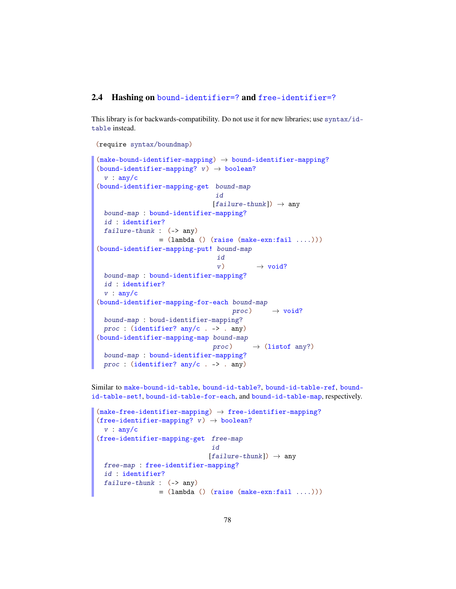#### 2.4 Hashing on bound-identifier=? and free-identifier=?

This library is for backwards-compatibility. Do not use it for new libraries; use syntax/idtable instead.

```
(require syntax/boundmap)
(make-bound-identifier-mapping) \rightarrow bound-identifier-mapping?(bound-identifier-mapping? v) \rightarrow boolean?
 v : any/c(bound-identifier-mapping-get bound-map
                                id
                                [failure-thunk]) \rightarrow anybound-map : bound-identifier-mapping?
 id : identifier?
 failure-thunk : (-) any)
                 = (lambda () (raise (make-exn:fail ....)))
(bound-identifier-mapping-put! bound-map
                                 id
                                 v) \rightarrow void?bound-map : bound-identifier-mapping?
 id : identifier?
 v : any/c(bound-identifier-mapping-for-each bound-map
                                     proc) \rightarrow void?bound-map : boud-identifier-mapping?
 proc : (identifier? any/c . -> . any)
(bound-identifier-mapping-map bound-map
                               proc) \rightarrow (listof any?)bound-map : bound-identifier-mapping?
 proc : (identifier? any/c . -> . any)
```
Similar to make-bound-id-table, bound-id-table?, bound-id-table-ref, boundid-table-set!, bound-id-table-for-each, and bound-id-table-map, respectively.

```
(make-free-identifier-mapping) \rightarrow free-identifier-mapping?(free-identifier-mapping? v) \rightarrow boolean?
 v : any/c(free-identifier-mapping-get free-map
                                id
                               [failure-thunk]) \rightarrow anyfree-map : free-identifier-mapping?
 id : identifier?
  failure-thunk : (-) any)
                 = (lambda () (raise (make-exn:fail ....)))
```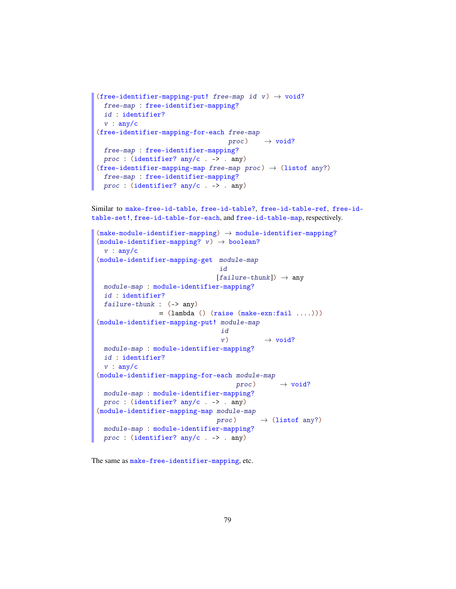```
(free-identifier-mapping-put! free-map id v) \rightarrow void?
 free-map : free-identifier-mapping?
 id : identifier?
v : any/c
(free-identifier-mapping-for-each free-map
                                    proc) \rightarrow void?free-map : free-identifier-mapping?
proc : (identifier? any/c . -> . any)
(free-identifier-mapping-map free-map proc) \rightarrow (listof any?)
 free-map : free-identifier-mapping?
 proc : (identifier? any/c . -> . any)
```

```
Similar to make-free-id-table, free-id-table?, free-id-table-ref, free-id-
table-set!, free-id-table-for-each, and free-id-table-map, respectively.
```

```
(make-module-identifier-mapping) \rightarrow module-identifier-mapping?(module-identifier-mapping? v) \rightarrow boolean?v : any/c(module-identifier-mapping-get module-map
                                 id
                                [failure-thunk]) \rightarrow anymodule-map : module-identifier-mapping?
 id : identifier?
 failure-thunk : (-> any)
                 = (lambda () (raise (make-exn:fail ....)))
(module-identifier-mapping-put! module-map
                                  id
                                  v) \rightarrow \text{void?}module-map : module-identifier-mapping?
 id : identifier?
v : any/c
(module-identifier-mapping-for-each module-map
                                      proc) \rightarrow void?module-map : module-identifier-mapping?
 proc : (identifier? any/c . \rightarrow . any)
(module-identifier-mapping-map module-map
                                proc) \rightarrow (listof any?)module-map : module-identifier-mapping?
 proc : (identifier? any/c . -> . any)
```
The same as make-free-identifier-mapping, etc.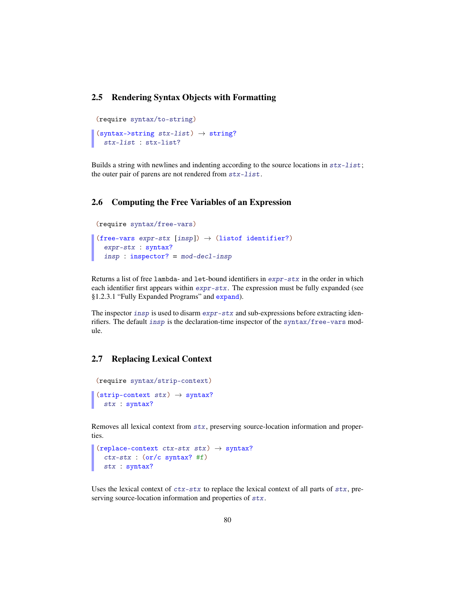# 2.5 Rendering Syntax Objects with Formatting

```
(require syntax/to-string)
(syntax->string stx-list) \rightarrow string?stx-list : stx-list?
```
Builds a string with newlines and indenting according to the source locations in  $stx$ -list; the outer pair of parens are not rendered from stx-list.

### 2.6 Computing the Free Variables of an Expression

```
(require syntax/free-vars)
(free-vars expr-stx [insp]) \rightarrow (listof identifier?)
  expr-stx : syntax?
  insp : inspector? = mod-decl-insp
```
Returns a list of free lambda- and let-bound identifiers in expr-stx in the order in which each identifier first appears within expr-stx. The expression must be fully expanded (see §1.2.3.1 "Fully Expanded Programs" and expand).

The inspector insp is used to disarm  $expr - stx$  and sub-expressions before extracting idenrifiers. The default insp is the declaration-time inspector of the syntax/free-vars module.

#### 2.7 Replacing Lexical Context

```
(require syntax/strip-context)
(strip-context stx) \rightarrow syntax?
  stx : syntax?
```
Removes all lexical context from stx, preserving source-location information and properties.

```
(replace-context <math>ctx - stx <math>stx</math>) \rightarrow syntax?
  ctx-stx : (or/c syntax? #f)
  stx : syntax?
```
Uses the lexical context of  $ctx$ -stx to replace the lexical context of all parts of  $stx$ , preserving source-location information and properties of stx.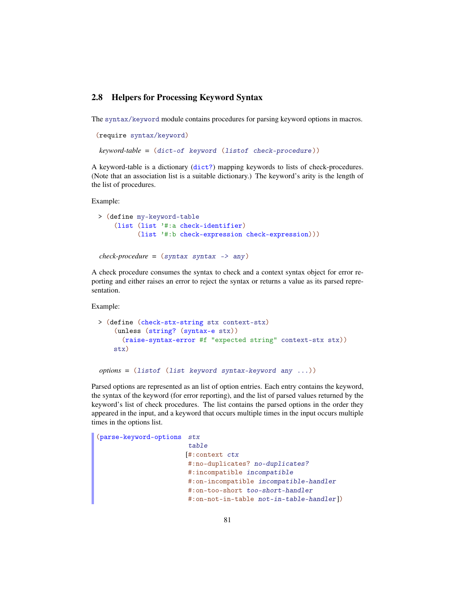## 2.8 Helpers for Processing Keyword Syntax

The syntax/keyword module contains procedures for parsing keyword options in macros.

```
(require syntax/keyword)
keyword-table = (dict-of keyword (listof check-procedure ))
```
A keyword-table is a dictionary (dict?) mapping keywords to lists of check-procedures. (Note that an association list is a suitable dictionary.) The keyword's arity is the length of the list of procedures.

Example:

```
> (define my-keyword-table
    (list (list '#:a check-identifier)
          (list '#:b check-expression check-expression)))
check-procedure = (syntax syntax -> any)
```
A check procedure consumes the syntax to check and a context syntax object for error reporting and either raises an error to reject the syntax or returns a value as its parsed representation.

Example:

```
> (define (check-stx-string stx context-stx)
    (unless (string? (syntax-e stx))
      (raise-syntax-error #f "expected string" context-stx stx))
    stx)
```

```
options = (listof (list keyword syntax-keyword any ...))
```
Parsed options are represented as an list of option entries. Each entry contains the keyword, the syntax of the keyword (for error reporting), and the list of parsed values returned by the keyword's list of check procedures. The list contains the parsed options in the order they appeared in the input, and a keyword that occurs multiple times in the input occurs multiple times in the options list.

```
(parse-keyword-options stx
                       table
                       [#:context ctx
                       #:no-duplicates? no-duplicates?
                       #:incompatible incompatible
                       #:on-incompatible incompatible-handler
                       #:on-too-short too-short-handler
                       #:on-not-in-table not-in-table-handler ])
```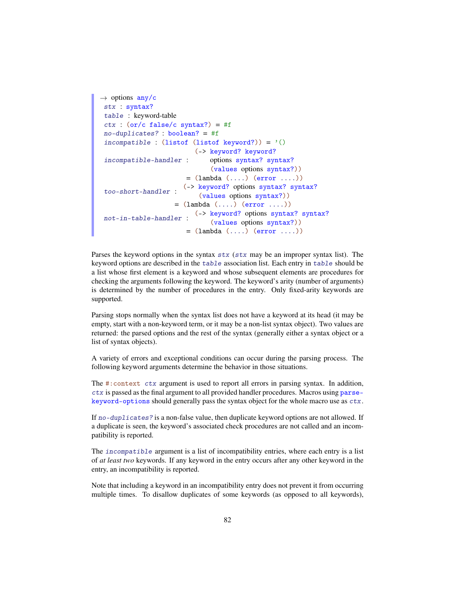```
\rightarrow options any/c
 stx : syntax?
 table : keyword-table
 ctx : (or/c false/c syntax?) = #f
 no-duplicates? : boolean? = #f
 incompatible : (listof (listof keyword?)) = '()
 incompatible-handler :
                          (-> keyword? keyword?
                              options syntax? syntax?
                              (values options syntax?))
                       = (lambda (\ldots) (error \ldots))
 too-short-handler :
(-> keyword? options syntax? syntax?
                           (values options syntax?))
                    = (lambda (....) (error ....))
 not-in-table-handler : (-) keyword? options syntax? syntax?
                              (values options syntax?))
                       = (lambda (\ldots) (error \ldots))
```
Parses the keyword options in the syntax stx (stx may be an improper syntax list). The keyword options are described in the table association list. Each entry in table should be a list whose first element is a keyword and whose subsequent elements are procedures for checking the arguments following the keyword. The keyword's arity (number of arguments) is determined by the number of procedures in the entry. Only fixed-arity keywords are supported.

Parsing stops normally when the syntax list does not have a keyword at its head (it may be empty, start with a non-keyword term, or it may be a non-list syntax object). Two values are returned: the parsed options and the rest of the syntax (generally either a syntax object or a list of syntax objects).

A variety of errors and exceptional conditions can occur during the parsing process. The following keyword arguments determine the behavior in those situations.

The #:context ctx argument is used to report all errors in parsing syntax. In addition, ctx is passed as the final argument to all provided handler procedures. Macros using parsekeyword-options should generally pass the syntax object for the whole macro use as ctx.

If no-duplicates? is a non-false value, then duplicate keyword options are not allowed. If a duplicate is seen, the keyword's associated check procedures are not called and an incompatibility is reported.

The incompatible argument is a list of incompatibility entries, where each entry is a list of *at least two* keywords. If any keyword in the entry occurs after any other keyword in the entry, an incompatibility is reported.

Note that including a keyword in an incompatibility entry does not prevent it from occurring multiple times. To disallow duplicates of some keywords (as opposed to all keywords),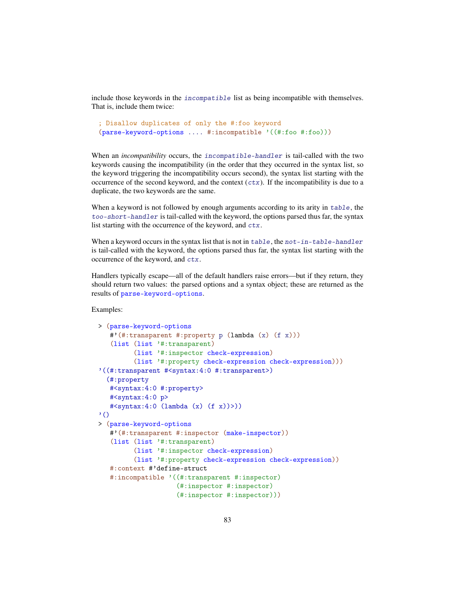include those keywords in the incompatible list as being incompatible with themselves. That is, include them twice:

```
; Disallow duplicates of only the #:foo keyword
(parse-keyword-options .... #:incompatible '((#:foo #:foo)))
```
When an *incompatibility* occurs, the incompatible-handler is tail-called with the two keywords causing the incompatibility (in the order that they occurred in the syntax list, so the keyword triggering the incompatibility occurs second), the syntax list starting with the occurrence of the second keyword, and the context  $(ctx)$ . If the incompatibility is due to a duplicate, the two keywords are the same.

When a keyword is not followed by enough arguments according to its arity in table, the too-short-handler is tail-called with the keyword, the options parsed thus far, the syntax list starting with the occurrence of the keyword, and ctx.

When a keyword occurs in the syntax list that is not in  $table$ , the  $not-in-table-handler$ is tail-called with the keyword, the options parsed thus far, the syntax list starting with the occurrence of the keyword, and ctx.

Handlers typically escape—all of the default handlers raise errors—but if they return, they should return two values: the parsed options and a syntax object; these are returned as the results of parse-keyword-options.

Examples:

```
> (parse-keyword-options
   #'(#:transparent #:property p (lambda (x) (f x)))
   (list (list '#:transparent)
         (list '#:inspector check-expression)
         (list '#:property check-expression check-expression)))
'((#:transparent #<syntax:4:0 #:transparent>)
  (#:property
   #<syntax:4:0 #:property>
   #<syntax:4:0 p>
   #<syntax:4:0 (lambda (x) (f x))>))
'> (parse-keyword-options
   #'(#:transparent #:inspector (make-inspector))
   (list (list '#:transparent)
         (list '#:inspector check-expression)
         (list '#:property check-expression check-expression))
   #:context #'define-struct
   #:incompatible '((#:transparent #:inspector)
                    (#:inspector #:inspector)
                    (#:inspector #:inspector)))
```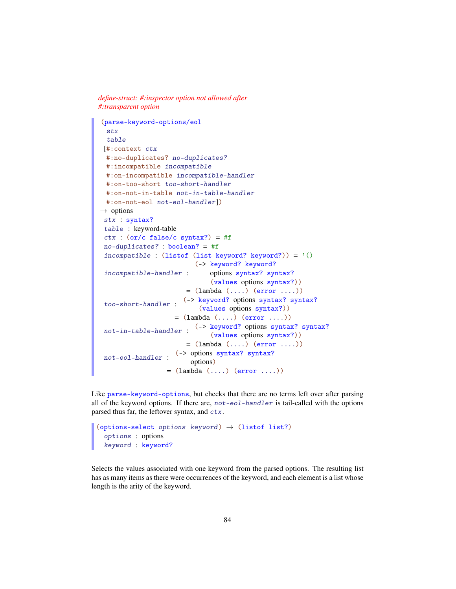*define-struct: #:inspector option not allowed after #:transparent option*

```
(parse-keyword-options/eol
 stx
 table
[#:context ctx
 #:no-duplicates? no-duplicates?
 #:incompatible incompatible
 #:on-incompatible incompatible-handler
 #:on-too-short too-short-handler
 #:on-not-in-table not-in-table-handler
 #:on-not-eol not-eol-handler])
\rightarrow options
stx : syntax?
table : keyword-table
ctx : (or/c false/c syntax?) = #fno-duplicates? : boolean? = #f
incompatible : (listof (list keyword? keyword?)) = '()incompatible-handler :
                         (-> keyword? keyword?
                             options syntax? syntax?
                              (values options syntax?))
                       = (lambda (....) (error ....))
too-short-handler :
                      (-> keyword? options syntax? syntax?
                          (values options syntax?))
                    = (lambda (\ldots) (error \ldots))
not-in-table-handler :
                         (-> keyword? options syntax? syntax?
                              (values options syntax?))
                       = (lambda (\ldots) (error \ldots))
not-eol-handler :
                    (-> options syntax? syntax?
                        options)
                  = (lambda (\ldots) (error \ldots))
```
Like parse-keyword-options, but checks that there are no terms left over after parsing all of the keyword options. If there are,  $not-eol-handler$  is tail-called with the options parsed thus far, the leftover syntax, and ctx.

```
(options-select options keyword) \rightarrow (listof list?)
  options : options
  keyword : keyword?
```
Selects the values associated with one keyword from the parsed options. The resulting list has as many items as there were occurrences of the keyword, and each element is a list whose length is the arity of the keyword.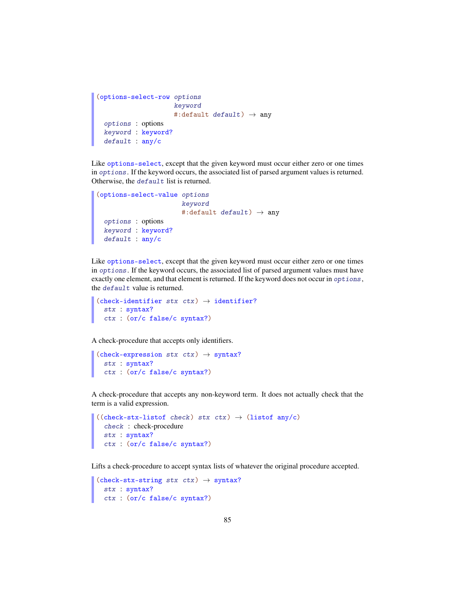```
(options-select-row options
                      keyword
                     #:default default) \rightarrow any
 options : options
 keyword : keyword?
 default : any/c
```
Like options-select, except that the given keyword must occur either zero or one times in options. If the keyword occurs, the associated list of parsed argument values is returned. Otherwise, the default list is returned.

```
(options-select-value options
                        keyword
                        #:default default) \rightarrow any
 options : options
 keyword : keyword?
 default : any/c
```
Like options-select, except that the given keyword must occur either zero or one times in options. If the keyword occurs, the associated list of parsed argument values must have exactly one element, and that element is returned. If the keyword does not occur in options, the default value is returned.

```
(check-identifier stx ctx) \rightarrow identifier?
  stx : syntax?
  ctx : (or/c false/c syntax?)
```
A check-procedure that accepts only identifiers.

```
(check-expression stx ctx) \rightarrow syntax?
  stx : syntax?
  ctx : (or/c false/c syntax?)
```
A check-procedure that accepts any non-keyword term. It does not actually check that the term is a valid expression.

```
((check-str-listof check) stx ctx) \rightarrow (listof any/c)check : check-procedure
 stx : syntax?
 ctx : (or/c false/c syntax?)
```
Lifts a check-procedure to accept syntax lists of whatever the original procedure accepted.

```
(check-strating stx ctx) \rightarrow syntax?stx : syntax?
  ctx : (or/c false/c syntax?)
```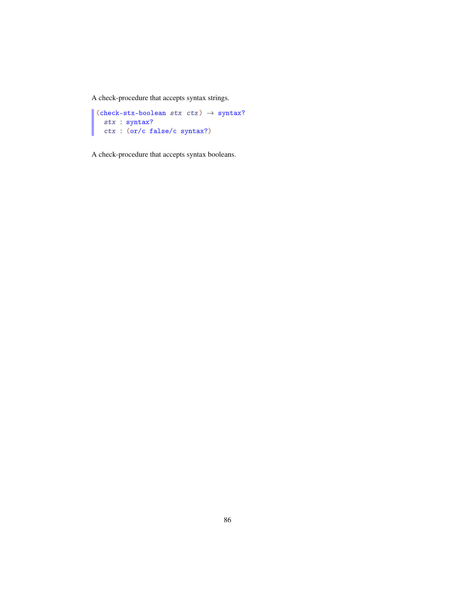A check-procedure that accepts syntax strings.

```
(check-stx-boolean stx ctx) \rightarrow syntax?stx : syntax?
  ctx : (or/c false/c syntax?)
```
A check-procedure that accepts syntax booleans.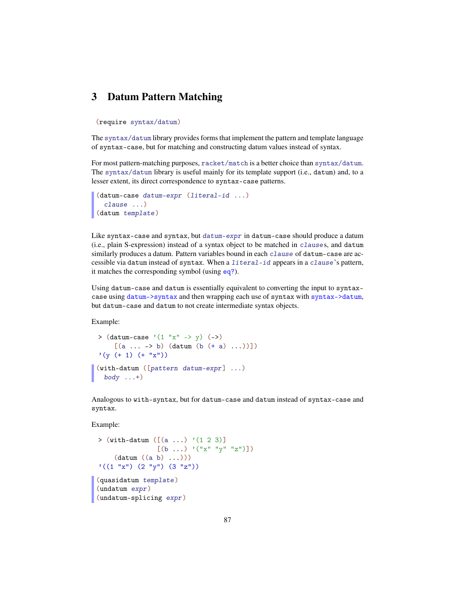# 3 Datum Pattern Matching

#### (require syntax/datum)

The syntax/datum library provides forms that implement the pattern and template language of syntax-case, but for matching and constructing datum values instead of syntax.

For most pattern-matching purposes, racket/match is a better choice than syntax/datum. The syntax/datum library is useful mainly for its template support (i.e., datum) and, to a lesser extent, its direct correspondence to syntax-case patterns.

```
(datum-case datum-expr (literal-id ...)
 clause ...)
(datum template)
```
Like syntax-case and syntax, but datum-expr in datum-case should produce a datum (i.e., plain S-expression) instead of a syntax object to be matched in clauses, and datum similarly produces a datum. Pattern variables bound in each clause of datum-case are accessible via datum instead of syntax. When a literal-id appears in a clause's pattern, it matches the corresponding symbol (using eq?).

Using datum-case and datum is essentially equivalent to converting the input to syntaxcase using datum->syntax and then wrapping each use of syntax with syntax->datum, but datum-case and datum to not create intermediate syntax objects.

Example:

```
> (dataum-case '(1 "x" -> y) (-)[(a \ldots \rightarrow b) (datum (b (+ a) \ldots))])
'(y (+ 1) (+ "x"))(with-datum ([pattern\ datum-expr] ...)
  body \dots +)
```
Analogous to with-syntax, but for datum-case and datum instead of syntax-case and syntax.

Example:

```
> (with-datum ([(a \dots) '(1 2 3)]
                [(b \dots ) \cdot ("x" "y" "z")])(datum ((a b) ...)))
'((1 "x") (2 "y") (3 "z"))(quasidatum template)
(undatum expr)
(undatum-splicing expr)
```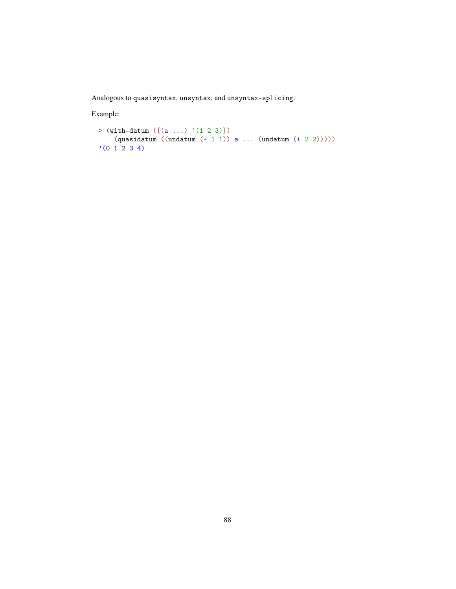Analogous to quasisyntax, unsyntax, and unsyntax-splicing.

Example:

```
> (with-datum ([(a ...) '(1 2 3)])
    (quasidatum ((undatum (- 1 1)) a ... (undatum (+ 2 2))))))(0 1 2 3 4)
```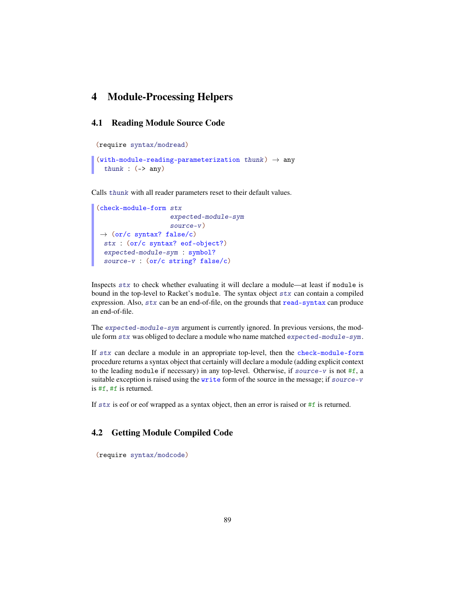# 4 Module-Processing Helpers

## 4.1 Reading Module Source Code

```
(require syntax/modread)
```

```
(with-module-reading-parameterization thunk) \rightarrow any
  thunk : (\rightarrow any)
```
Calls thunk with all reader parameters reset to their default values.

```
(check-module-form stx
                   expected-module-sym
                   source-v)
\rightarrow (or/c syntax? false/c)
 stx : (or/c syntax? eof-object?)
 expected-module-sym : symbol?
 source-v : (or/c string? false/c)
```
Inspects stx to check whether evaluating it will declare a module—at least if module is bound in the top-level to Racket's module. The syntax object stx can contain a compiled expression. Also, stx can be an end-of-file, on the grounds that read-syntax can produce an end-of-file.

The expected-module-sym argument is currently ignored. In previous versions, the module form stx was obliged to declare a module who name matched expected-module-sym .

If stx can declare a module in an appropriate top-level, then the check-module-form procedure returns a syntax object that certainly will declare a module (adding explicit context to the leading module if necessary) in any top-level. Otherwise, if source-v is not  $#f$ , a suitable exception is raised using the write form of the source in the message; if source-v is #f, #f is returned.

If  $stx$  is eof or eof wrapped as a syntax object, then an error is raised or  $#f$  is returned.

# 4.2 Getting Module Compiled Code

(require syntax/modcode)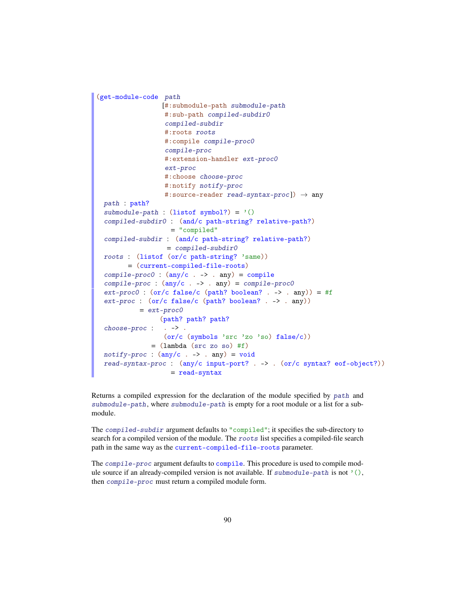```
(get-module-code path
                  [#:submodule-path submodule-path
                  #:sub-path compiled-subdir0
                   compiled-subdir
                  #:roots roots
                  #:compile compile-proc0
                   compile-proc
                  #:extension-handler ext-proc0
                   ext-proc
                  #:choose choose-proc
                  #:notify notify-proc
                   #: source-reader read-syntax-proc]) \rightarrow any
 path : path?
 submodule-path : (listof symbol?) = '()
 compiled-subdir0 : (and/c path-string? relative-path?)
                    = "compiled"
 compiled-subdir : (and/c path-string? relative-path?)
                   = compiled-subdir0
 roots : (listof (or/c path-string? 'same))
        = (current-compiled-file-roots)
 complete-proc0 : (\text{any}/c \cdot \rightarrow \cdot \text{any}) = compile
 compile-proc : (\text{any}/c \cdot \rightarrow \cdot \text{any}) = \text{compile-proc0}ext\text{-}proc0 : (or/c false/c (path? boolean? . -> . any)) = #f
 ext-proc : (or/c false/c (path? boolean? . -> . any))
           = ext-proc0choose-proc :
. -> .
                 (path? path? path?
                  (or/c (symbols 'src 'zo 'so) false/c))
              = (lambda (src zo so) #f)
 notify-proc : (any/c . -> . any) = voidread-syntax-proc : (any/c input-port? . -> . (or/c syntax? eof-object?))
                    = read-syntax
```
Returns a compiled expression for the declaration of the module specified by path and submodule-path, where submodule-path is empty for a root module or a list for a submodule.

The compiled-subdir argument defaults to "compiled"; it specifies the sub-directory to search for a compiled version of the module. The roots list specifies a compiled-file search path in the same way as the current-compiled-file-roots parameter.

The compile-proc argument defaults to compile. This procedure is used to compile module source if an already-compiled version is not available. If submodule-path is not  $\langle \cdot \rangle$ , then compile-proc must return a compiled module form.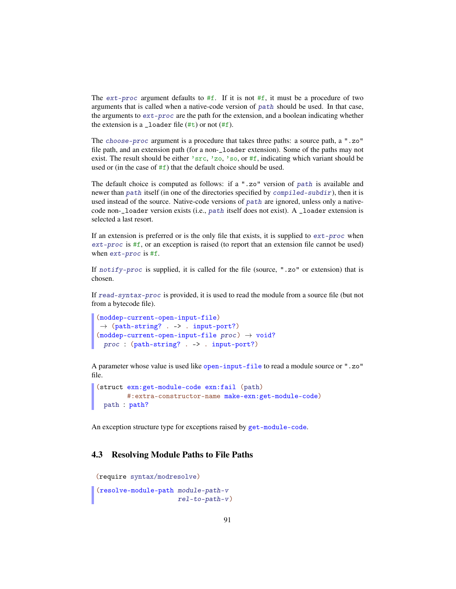The  $ext{-proc}$  argument defaults to #f. If it is not #f, it must be a procedure of two arguments that is called when a native-code version of path should be used. In that case, the arguments to ext-proc are the path for the extension, and a boolean indicating whether the extension is a  $\text{\_}$ loader file (#t) or not (#f).

The choose-proc argument is a procedure that takes three paths: a source path, a ".zo" file path, and an extension path (for a non-\_loader extension). Some of the paths may not exist. The result should be either 'src, 'zo, 'so, or  $#f$ , indicating which variant should be used or (in the case of  $#f$ ) that the default choice should be used.

The default choice is computed as follows: if a ".zo" version of path is available and newer than path itself (in one of the directories specified by compiled-subdir), then it is used instead of the source. Native-code versions of path are ignored, unless only a nativecode non-\_loader version exists (i.e., path itself does not exist). A \_loader extension is selected a last resort.

If an extension is preferred or is the only file that exists, it is supplied to  $ext{-proc}$  when ext-proc is #f, or an exception is raised (to report that an extension file cannot be used) when ext-proc is #f.

If notify-proc is supplied, it is called for the file (source, ".zo" or extension) that is chosen.

If read-syntax-proc is provided, it is used to read the module from a source file (but not from a bytecode file).

```
(moddep-current-open-input-file)
\rightarrow (path-string? . -> . input-port?)
(moddep-current-open-input-file proc) \rightarrow void?
 proc : (path-string? . -> . input-port?)
```
A parameter whose value is used like open-input-file to read a module source or ".zo" file.

```
(struct exn:get-module-code exn:fail (path)
       #:extra-constructor-name make-exn:get-module-code)
 path : path?
```
An exception structure type for exceptions raised by get-module-code.

#### 4.3 Resolving Module Paths to File Paths

```
(require syntax/modresolve)
```

```
(resolve-module-path module-path-v
                     rel-to-path-v)
```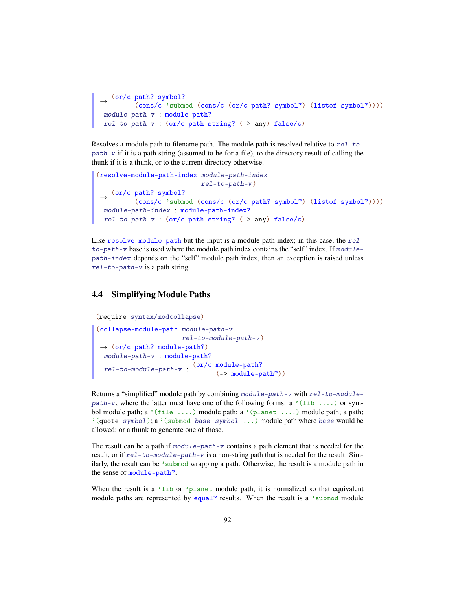```
\rightarrow (or/c path? symbol?)
 (cons/c 'submod (cons/c (or/c path? symbol?) (listof symbol?))))
module-path-v : module-path?
rel-to-path-v : (or/c path-string? (-> any) false/c)
```
Resolves a module path to filename path. The module path is resolved relative to  $rel-to$  $path-v$  if it is a path string (assumed to be for a file), to the directory result of calling the thunk if it is a thunk, or to the current directory otherwise.

```
(resolve-module-path-index module-path-index
                           rel-to-path-v)
 \rightarrow (or/c path? symbol?)
          (cons/c 'submod (cons/c (or/c path? symbol?) (listof symbol?))))
  module-path-index : module-path-index?
 rel-to-path-v : (or/c path-string? (-> any) false/c)
```
Like resolve-module-path but the input is a module path index; in this case, the rel $to$ -path-v base is used where the module path index contains the "self" index. If  $modu$ lepath-index depends on the "self" module path index, then an exception is raised unless rel-to-path-v is a path string.

# 4.4 Simplifying Module Paths

```
(require syntax/modcollapse)
(collapse-module-path module-path-v
                        rel-to-module-path-v )
 \rightarrow (or/c path? module-path?)
  module-path-v : module-path?
  rel-to-module-path-v :
(or/c module-path?
                                 (-> module-path?))
```
Returns a "simplified" module path by combining  $module$ -path-v with  $rel$ -to-modulepath-v, where the latter must have one of the following forms: a '(lib ...) or symbol module path; a '(file ....) module path; a '(planet ....) module path; a path; '(quote symbol); a '(submod base symbol ...) module path where base would be allowed; or a thunk to generate one of those.

The result can be a path if  $module-path-v$  contains a path element that is needed for the result, or if  $rel-to-modelle-path-v$  is a non-string path that is needed for the result. Similarly, the result can be 'submod wrapping a path. Otherwise, the result is a module path in the sense of module-path?.

When the result is a 'lib or 'planet module path, it is normalized so that equivalent module paths are represented by equal? results. When the result is a 'submod module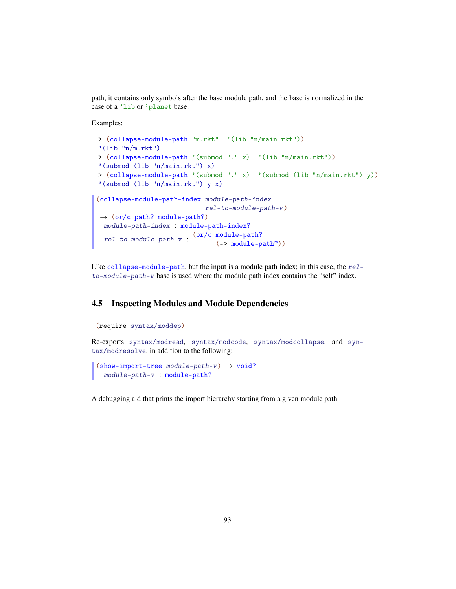path, it contains only symbols after the base module path, and the base is normalized in the case of a 'lib or 'planet base.

Examples:

```
> (collapse-module-path "m.rkt" '(lib "n/main.rkt"))
'(lib "n/m.rkt")
> (collapse-module-path '(submod "." x) '(lib "n/main.rkt"))
'(submod (lib "n/main.rkt") x)
> (collapse-module-path '(submod "." x) '(submod (lib "n/main.rkt") y))
'(submod (lib "n/main.rkt") y x)
(collapse-module-path-index module-path-index
                            rel-to-module-path-v )
\rightarrow (or/c path? module-path?)
 module-path-index : module-path-index?
  rel-to-module-path-v :
(or/c module-path?
                                (-> module-path?))
```
Like collapse-module-path, but the input is a module path index; in this case, the relto-module-path-v base is used where the module path index contains the "self" index.

### 4.5 Inspecting Modules and Module Dependencies

```
(require syntax/moddep)
Re-exports syntax/modread, syntax/modcode, syntax/modcollapse, and syn-
tax/modresolve, in addition to the following:
 (show-import-tree module-path-v) \rightarrow void?
```

```
module-path-v : module-path?
```
A debugging aid that prints the import hierarchy starting from a given module path.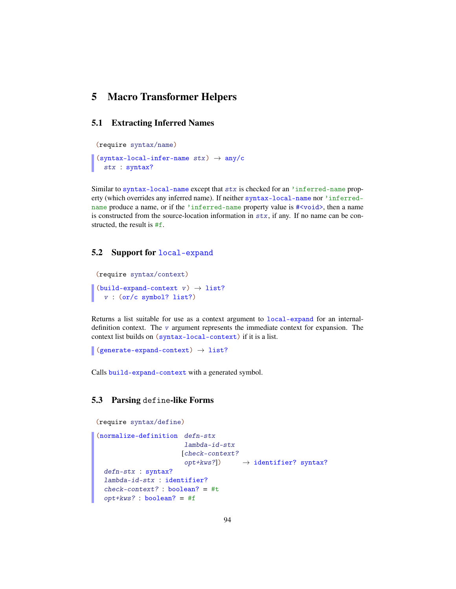# 5 Macro Transformer Helpers

## 5.1 Extracting Inferred Names

```
(require syntax/name)
(syntax-local-infer-name stx) \rightarrow any/cstx : syntax?
```
Similar to syntax-local-name except that stx is checked for an 'inferred-name property (which overrides any inferred name). If neither syntax-local-name nor 'inferredname produce a name, or if the 'inferred-name property value is  $\# \lt{void}$ , then a name is constructed from the source-location information in  $stx$ , if any. If no name can be constructed, the result is #f.

#### 5.2 Support for local-expand

```
(require syntax/context)
(build-expand-context \t v) \rightarrow list?v : (or/c symbol? list?)
```
Returns a list suitable for use as a context argument to local-expand for an internaldefinition context. The  $v$  argument represents the immediate context for expansion. The context list builds on (syntax-local-context) if it is a list.

```
(generate-expand-context) \rightarrow list?
```
Calls build-expand-context with a generated symbol.

## 5.3 Parsing define-like Forms

```
(require syntax/define)
```

```
(normalize-definition defn-stx
                       lambda-id-stx
                      [check-context?
                       opt+kws?]) \rightarrow identifier? syntax?
 defn-stx : syntax?
 lambda-id-stx : identifier?
 check-context? : boolean? = #t
 opt+kws? : boolean? = #f
```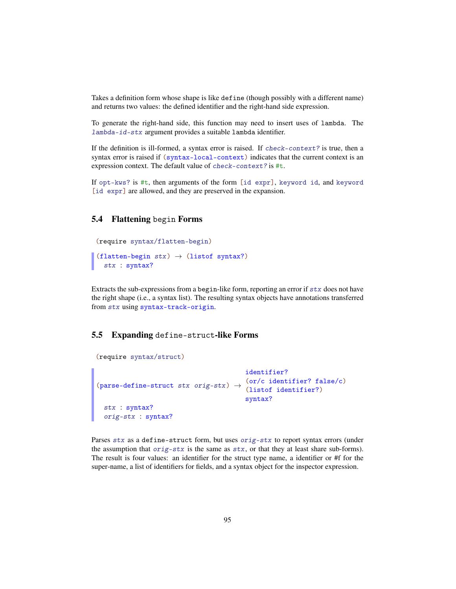Takes a definition form whose shape is like define (though possibly with a different name) and returns two values: the defined identifier and the right-hand side expression.

To generate the right-hand side, this function may need to insert uses of lambda. The lambda-id-stx argument provides a suitable lambda identifier.

If the definition is ill-formed, a syntax error is raised. If check-context? is true, then a syntax error is raised if  $(syntax-local-context)$  indicates that the current context is an expression context. The default value of check-context? is #t.

If opt-kws? is #t, then arguments of the form [id expr], keyword id, and keyword [id expr] are allowed, and they are preserved in the expansion.

### 5.4 Flattening begin Forms

```
(require syntax/flatten-begin)
(flatten-begin stx) \rightarrow (listof syntax?)
  stx : syntax?
```
Extracts the sub-expressions from a begin-like form, reporting an error if  $\text{six}$  does not have

the right shape (i.e., a syntax list). The resulting syntax objects have annotations transferred from stx using syntax-track-origin.

# 5.5 Expanding define-struct-like Forms

```
(require syntax/struct)
(parse-define-struct stx orig-stx) \rightarrowidentifier?
                                         (or/c identifier? false/c)
                                         (listof identifier?)
                                         syntax?
 stx : syntax?
 orig-stx : syntax?
```
Parses stx as a define-struct form, but uses orig-stx to report syntax errors (under the assumption that  $\text{orig-}stx$  is the same as  $stx$ , or that they at least share sub-forms). The result is four values: an identifier for the struct type name, a identifier or #f for the super-name, a list of identifiers for fields, and a syntax object for the inspector expression.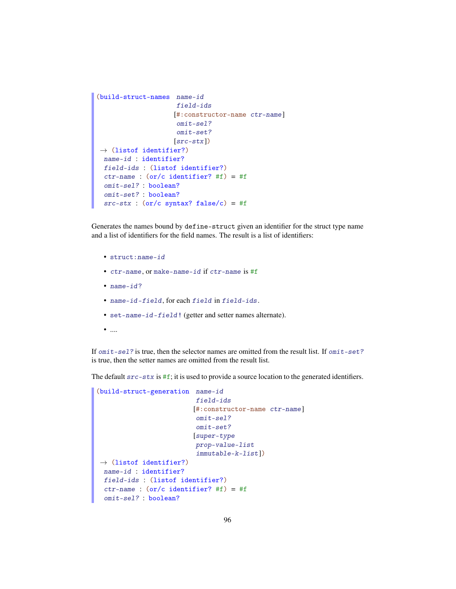```
(build-struct-names name-id
                     field-ids
                    [#:constructor-name ctr-name]
                     omit-sel?
                     omit-set?
                     [src-stx])
\rightarrow (listof identifier?)
 name-id : identifier?
 field-ids : (listof identifier?)
 ctr-name : (or/c identifier? #f) = #f
 omit-sel? : boolean?
 omit-set? : boolean?
 src - stx : (or/c syntax? false/c) = #f
```
Generates the names bound by define-struct given an identifier for the struct type name and a list of identifiers for the field names. The result is a list of identifiers:

- struct:name-id
- ctr-name, or make-name-id if ctr-name is #f
- name-id?
- name-id-field, for each field in field-ids.
- set-name-id-field! (getter and setter names alternate).
- $\bullet$   $\ldots$

If  $omit-sel$ ? is true, then the selector names are omitted from the result list. If  $omit-set$ ? is true, then the setter names are omitted from the result list.

The default  $src - stx$  is  $#f$ ; it is used to provide a source location to the generated identifiers.

```
(build-struct-generation name-id
                          field-ids
                          [#:constructor-name ctr-name]
                          omit-sel?
                          omit-set?
                          [super-type
                          prop-value-list
                          immutable-k-list])
\rightarrow (listof identifier?)
 name-id : identifier?
 field-ids : (listof identifier?)
 ctr-name : (or/c identifier? #f) = #f
 omit-sel? : boolean?
```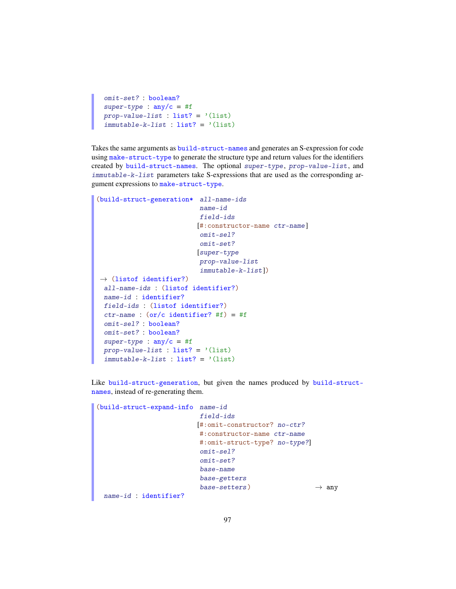```
omit-set? : boolean?
super-type : any/c = #fprop-value-list : list? = '(list)immutable-k-list : list? = '(list)
```
Takes the same arguments as build-struct-names and generates an S-expression for code using make-struct-type to generate the structure type and return values for the identifiers created by build-struct-names. The optional super-type, prop-value-list, and immutable-k-list parameters take S-expressions that are used as the corresponding argument expressions to make-struct-type.

```
(build-struct-generation* all-name-ids
                           name-id
                           field-ids
                          [#:constructor-name ctr-name]
                           omit-sel?
                           omit-set?
                          [super-type
                           prop-value-list
                           immutable-k-list])
\rightarrow (listof identifier?)
 all-name-ids : (listof identifier?)
 name-id : identifier?
 field-ids : (listof identifier?)
 ctr-name : (or/c identifier? #f) = #f
 omit-sel? : boolean?
 omit-set? : boolean?
 super-type : any/c = #fprop-value-list : list? = '(list)immutable-k-list : list? = '(list)
```
Like build-struct-generation, but given the names produced by build-structnames, instead of re-generating them.

```
(build-struct-expand-info name-id
                          field-ids
                         [#:omit-constructor? no-ctr?
                         #:constructor-name ctr-name
                          #:omit-struct-type? no-type?]
                          omit-sel?
                          omit-set?
                          base-name
                          base-getters
                          base-setters \rightarrow any
 name-id : identifier?
```
97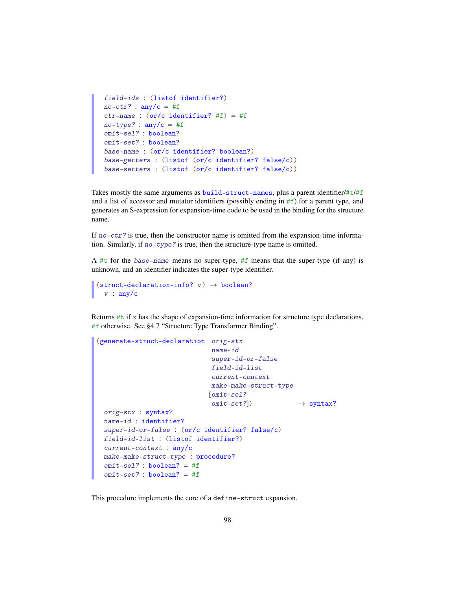```
field-ids : (listof identifier?)
no-ctr? : any/c = #f
ctr-name : (or/c identifier? #f) = #f
no-type? : any/c = #fomit-sel? : boolean?
omit-set? : boolean?
base-name : (or/c identifier? boolean?)
base-getters : (listof (or/c identifier? false/c))
base-setters : (listof (or/c identifier? false/c))
```
Takes mostly the same arguments as  $build-struct-names$ , plus a parent identifier/# $t/t/f$ and a list of accessor and mutator identifiers (possibly ending in #f) for a parent type, and generates an S-expression for expansion-time code to be used in the binding for the structure name.

If  $no-ctr$ ? is true, then the constructor name is omitted from the expansion-time information. Similarly, if no-type? is true, then the structure-type name is omitted.

A #t for the base-name means no super-type, #f means that the super-type (if any) is unknown, and an identifier indicates the super-type identifier.

```
(struct-declaration-info? v) \rightarrow boolean?v : any/c
```
Returns #t if x has the shape of expansion-time information for structure type declarations, #f otherwise. See §4.7 "Structure Type Transformer Binding".

```
(generate-struct-declaration orig-stx
                             name-id
                             super-id-or-false
                             field-id-list
                             current-context
                             make-make-struct-type
                            [omit-sel?
                             omit-set?) \rightarrow syntax?
 orig-stx : syntax?
 name-id : identifier?
 super-id-or-false : (or/c identifier? false/c)
 field-id-list : (listof identifier?)
 current-context : any/c
 make-make-struct-type : procedure?
 omit-sel? : boolean? = #f
 omit-set?: boolean? = #f
```
This procedure implements the core of a define-struct expansion.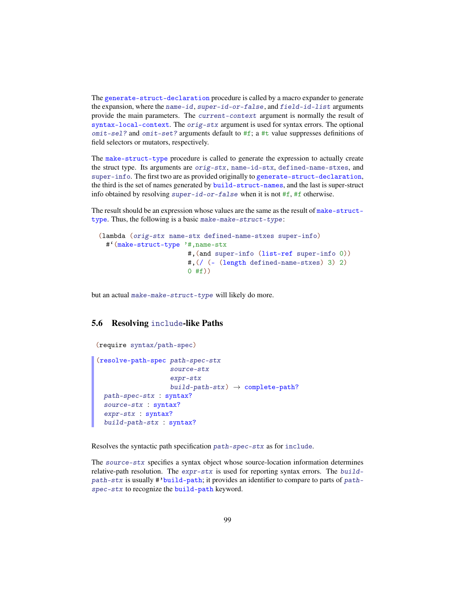The generate-struct-declaration procedure is called by a macro expander to generate the expansion, where the name-id, super-id-or-false, and field-id-list arguments provide the main parameters. The current-context argument is normally the result of syntax-local-context. The orig-stx argument is used for syntax errors. The optional  $omit-sel$ ? and  $omit-set$ ? arguments default to  $#f$ ; a #t value suppresses definitions of field selectors or mutators, respectively.

The make-struct-type procedure is called to generate the expression to actually create the struct type. Its arguments are orig-stx, name-id-stx, defined-name-stxes, and super-info. The first two are as provided originally to generate-struct-declaration, the third is the set of names generated by build-struct-names, and the last is super-struct info obtained by resolving super-id-or-false when it is not  $#f$ ,  $#f$  otherwise.

The result should be an expression whose values are the same as the result of make-structtype. Thus, the following is a basic make-make-struct-type :

```
(lambda (orig-stx name-stx defined-name-stxes super-info)
 #'(make-struct-type '#,name-stx
                      #,(and super-info (list-ref super-info 0))
                      #,(/ (- (length defined-name-stxes) 3) 2)
                      0 #f))
```
but an actual make-make-struct-type will likely do more.

# 5.6 Resolving include-like Paths

```
(require syntax/path-spec)
(resolve-path-spec path-spec-stx
                    source-stx
                    expr-stx
                    build-path-stx \rightarrow complete-path?
 path-spec-stx : syntax?
 source-stx : syntax?
  expr-stx : syntax?
  build-path-stx : syntax?
```
Resolves the syntactic path specification path-spec-stx as for include.

The source-stx specifies a syntax object whose source-location information determines relative-path resolution. The  $expr - stx$  is used for reporting syntax errors. The buildpath-stx is usually #'build-path; it provides an identifier to compare to parts of pathspec-stx to recognize the build-path keyword.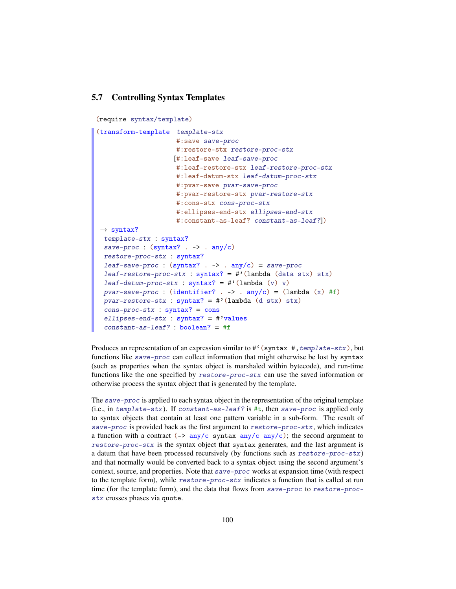### 5.7 Controlling Syntax Templates

```
(require syntax/template)
```

```
(transform-template template-stx
                     #:save save-proc
                     #:restore-stx restore-proc-stx
                    [#:leaf-save leaf-save-proc
                     #:leaf-restore-stx leaf-restore-proc-stx
                     #:leaf-datum-stx leaf-datum-proc-stx
                     #:pvar-save pvar-save-proc
                     #:pvar-restore-stx pvar-restore-stx
                     #:cons-stx cons-proc-stx
                     #:ellipses-end-stx ellipses-end-stx
                     #:constant-as-leaf? constant-as-leaf?])
\rightarrow syntax?
 template-stx : syntax?
 save-proc : (syntax? - > . any/c)restore-proc-stx : syntax?
 leaf-save-proc : (syntax? - > . any/c) = save-procleaf-restore-proc-stx : syntax? = #'(lambda (data stx) stx)leaf-datum-proc-stx : syntax? = \#'(lambda (v) v)
 pvar-save-proc : (identifier? . -> . any/c = (lambda (x) #f)
 pvar-restore-stx : syntax? = #'(lambda (d stx) stx)cons\text{-}proc\text{-}stx : syntax? = consellipses-end-stx : syntax? = #'values
 constant-as-leaf? : boolean? = #f
```
Produces an representation of an expression similar to  $\#$ <sup>c</sup> (syntax  $\#$ , template-stx), but functions like save-proc can collect information that might otherwise be lost by syntax (such as properties when the syntax object is marshaled within bytecode), and run-time functions like the one specified by restore-proc-stx can use the saved information or otherwise process the syntax object that is generated by the template.

The save-proc is applied to each syntax object in the representation of the original template (i.e., in template-stx). If constant-as-leaf? is  $\#t$ , then save-proc is applied only to syntax objects that contain at least one pattern variable in a sub-form. The result of save-proc is provided back as the first argument to restore-proc-stx, which indicates a function with a contract  $\left(\frac{-\epsilon}{2} \frac{\text{any}}{\text{c}} \frac{\text{syn}}{\text{tax}} \frac{\text{any}}{\text{c}} \frac{\text{any}}{\text{c}}\right)$ ; the second argument to restore-proc-stx is the syntax object that syntax generates, and the last argument is a datum that have been processed recursively (by functions such as restore-proc-stx) and that normally would be converted back to a syntax object using the second argument's context, source, and properties. Note that save-proc works at expansion time (with respect to the template form), while restore-proc-stx indicates a function that is called at run time (for the template form), and the data that flows from save-proc to restore-procstx crosses phases via quote.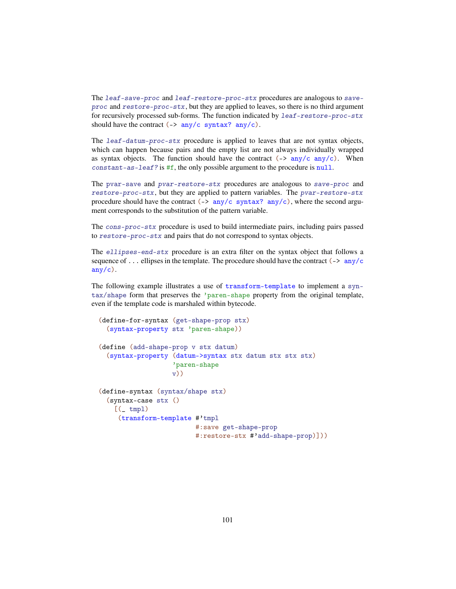The leaf-save-proc and leaf-restore-proc-stx procedures are analogous to saveproc and restore-proc-stx, but they are applied to leaves, so there is no third argument for recursively processed sub-forms. The function indicated by leaf-restore-proc-stx should have the contract  $(\rightarrow$  any/c syntax? any/c).

The leaf-datum-proc-stx procedure is applied to leaves that are not syntax objects, which can happen because pairs and the empty list are not always individually wrapped as syntax objects. The function should have the contract  $(-\geq \frac{any}{c} \cdot \frac{any}{c})$ . When constant-as-leaf? is #f, the only possible argument to the procedure is null.

The pvar-save and pvar-restore-stx procedures are analogous to save-proc and restore-proc-stx, but they are applied to pattern variables. The pvar-restore-stx procedure should have the contract ( $\rightarrow$  any/c syntax? any/c), where the second argument corresponds to the substitution of the pattern variable.

The cons-proc-stx procedure is used to build intermediate pairs, including pairs passed to restore-proc-stx and pairs that do not correspond to syntax objects.

The ellipses-end-stx procedure is an extra filter on the syntax object that follows a sequence of ... ellipses in the template. The procedure should have the contract ( $\rightarrow$  any/ $\epsilon$  $any/c$ .

The following example illustrates a use of transform-template to implement a syntax/shape form that preserves the 'paren-shape property from the original template, even if the template code is marshaled within bytecode.

```
(define-for-syntax (get-shape-prop stx)
 (syntax-property stx 'paren-shape))
(define (add-shape-prop v stx datum)
 (syntax-property (datum->syntax stx datum stx stx stx)
                   'paren-shape
                   v))
(define-syntax (syntax/shape stx)
 (syntax-case stx ()
   [(_ tmpl)
     (transform-template #'tmpl
                         #:save get-shape-prop
                         #:restore-stx #'add-shape-prop)]))
```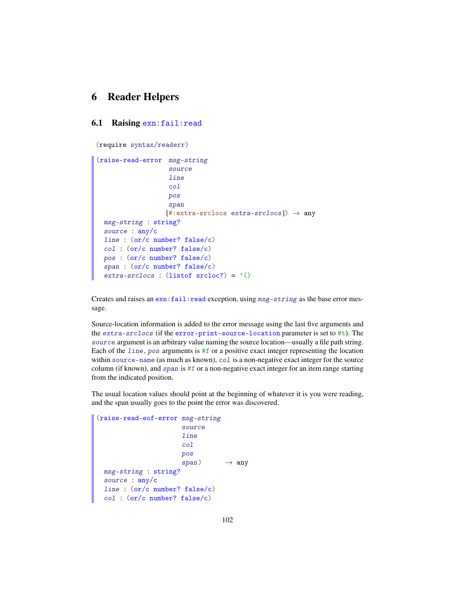# 6 Reader Helpers

## 6.1 Raising exn:fail:read

```
(require syntax/readerr)
```

```
(raise-read-error msg-string
                   source
                   line
                   col
                   pos
                   span
                   [#:extra-srclocs extra-srclocs] \rightarrow any
 msg-string : string?
 source : any/c
 line : (or/c number? false/c)
 col : (or/c number? false/c)
 pos : (or/c number? false/c)
 span : (or/c number? false/c)
 extra-srclocs : (listof \, srcloc?) = '()
```
Creates and raises an  $exn:fail:read exception, using  $msg\text{-string}$  as the base error mes$ sage.

Source-location information is added to the error message using the last five arguments and the extra-srclocs (if the error-print-source-location parameter is set to #t). The source argument is an arbitrary value naming the source location—usually a file path string. Each of the line, pos arguments is  $#f$  or a positive exact integer representing the location within source-name (as much as known), col is a non-negative exact integer for the source column (if known), and span is  $#f$  or a non-negative exact integer for an item range starting from the indicated position.

The usual location values should point at the beginning of whatever it is you were reading, and the span usually goes to the point the error was discovered.

```
(raise-read-eof-error msg-string
                      source
                       line
                       col
                      pos
                       span) \rightarrow any
 msg-string : string?
 source : any/c
 line : (or/c number? false/c)
 col : (or/c number? false/c)
```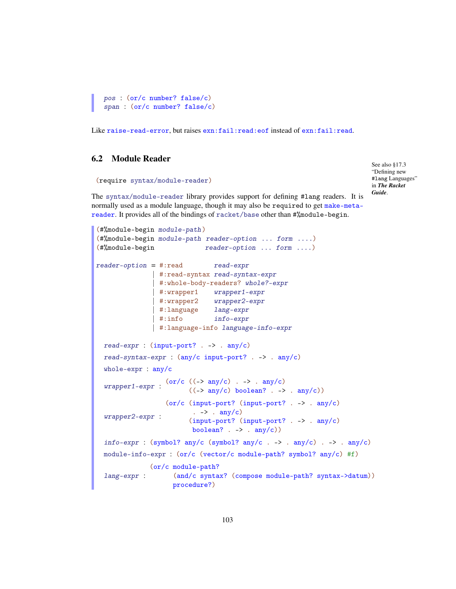```
pos : (or/c number? false/c)
span : (or/c number? false/c)
```
Like raise-read-error, but raises exn:fail:read:eof instead of exn:fail:read.

# 6.2 Module Reader

```
(require syntax/module-reader)
```
See also §17.3 "Defining new #lang Languages" in *The Racket Guide*.

The syntax/module-reader library provides support for defining #lang readers. It is normally used as a module language, though it may also be required to get make-metareader. It provides all of the bindings of racket/base other than #%module-begin.

```
(#%module-begin module-path)
(#%module-begin module-path reader-option ... form ....)
(#%module-begin reader-option ... form ....)
reader-option = #:read read-expr| #:read-syntax read-syntax-expr
                   | #:whole-body-readers? whole?-expr
                    | #:wrapper1 wrapper1-expr
                    | #:wrapper2 wrapper2-expr
                    #:language lang-expr
                   | #:info info-expr
                   | #:language-info language-info-expr
  read-expr : (input-port? . -> . any/c)read-syntax-expr : (any/c input-port? . -> . any/c)
  whole-expr : any/c
  wrapper1-expr : \frac{\arccos(1-x)}{x} : \frac{\arccos(1-x)}{x} : \frac{\arccos(1-x)}{x} : \frac{\arccos(1-x)}{x} : \frac{\arccos(1-x)}{x} : \frac{\arccos(1-x)}{x} : \frac{\arccos(1-x)}{x} : \frac{\arccos(1-x)}{x} : \frac{\arccos(1-x)}{x} : \frac{\arccos(1-x)}{x} : \frac{\arccos(1-x)}{x} : \frac{\arccos(1-x)}{((\rightarrow any/c) boolean? . -> . any/c))
  wrapper2-expr :
                       (or/c (input-port? (input-port? . -> . any/c)
                                \therefore -> \therefore any/c)
                               (input-port? (input-port? . -> . any/c)
                               boolean? \cdot -> \cdot any/c))
  info-expr : (symbol? any/c (symbol? any/c . -> . any/c) . -> . any/c)
  module-info-expr : (or/c (vector/c module-path? symbol? any/c) #f)
  lang-expr :
                  (or/c module-path?
                         (and/c syntax? (compose module-path? syntax->datum))
                         procedure?)
```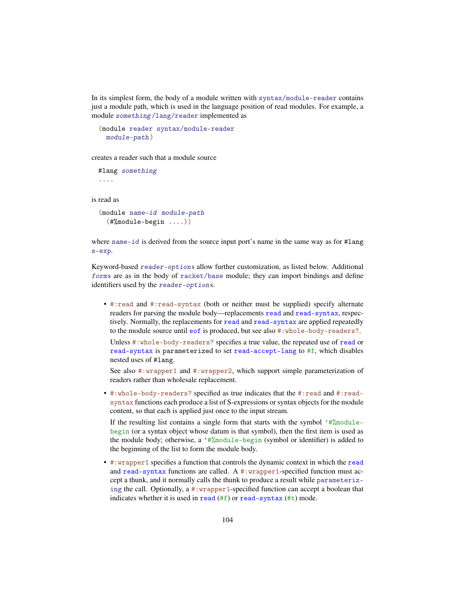In its simplest form, the body of a module written with syntax/module-reader contains just a module path, which is used in the language position of read modules. For example, a module something/lang/reader implemented as

```
(module reader syntax/module-reader
 module-path)
```
creates a reader such that a module source

#lang something ....

is read as

```
(module name-id module-path
 (#%module-begin ....))
```
where name-id is derived from the source input port's name in the same way as for #lang s-exp.

Keyword-based reader-options allow further customization, as listed below. Additional forms are as in the body of racket/base module; they can import bindings and define identifiers used by the reader-options.

• #:read and #:read-syntax (both or neither must be supplied) specify alternate readers for parsing the module body—replacements read and read-syntax, respectively. Normally, the replacements for read and read-syntax are applied repeatedly to the module source until eof is produced, but see also #:whole-body-readers?.

Unless #:whole-body-readers? specifies a true value, the repeated use of read or read-syntax is parameterized to set read-accept-lang to #f, which disables nested uses of #lang.

See also #:wrapper1 and #:wrapper2, which support simple parameterization of readers rather than wholesale replacement.

• #:whole-body-readers? specified as true indicates that the #:read and #:readsyntax functions each produce a list of S-expressions or syntax objects for the module content, so that each is applied just once to the input stream.

If the resulting list contains a single form that starts with the symbol  $'$ #%modulebegin (or a syntax object whose datum is that symbol), then the first item is used as the module body; otherwise, a  $'$ #%module-begin (symbol or identifier) is added to the beginning of the list to form the module body.

• #:wrapper1 specifies a function that controls the dynamic context in which the read and read-syntax functions are called. A  $\#$ : wrapper1-specified function must accept a thunk, and it normally calls the thunk to produce a result while parameterizing the call. Optionally, a #:wrapper1-specified function can accept a boolean that indicates whether it is used in read (#f) or read-syntax (#t) mode.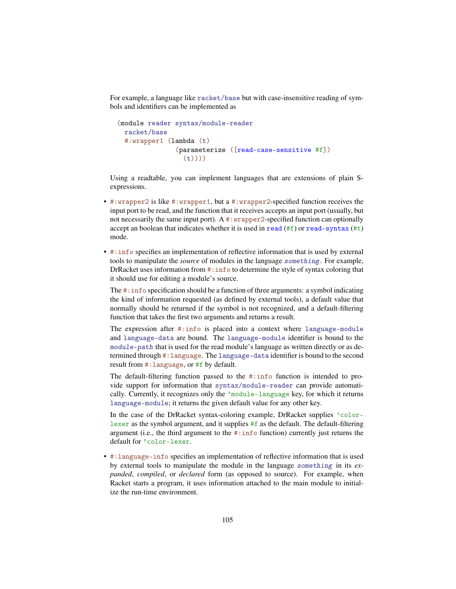For example, a language like racket/base but with case-insensitive reading of symbols and identifiers can be implemented as

```
(module reader syntax/module-reader
 racket/base
 #:wrapper1 (lambda (t)
               (parameterize ([read-case-sensitive #f])
                 (t)))
```
Using a readtable, you can implement languages that are extensions of plain Sexpressions.

- #:wrapper2 is like #:wrapper1, but a #:wrapper2-specified function receives the input port to be read, and the function that it receives accepts an input port (usually, but not necessarily the same input port). A  $\#$ : wrapper 2-specified function can optionally accept an boolean that indicates whether it is used in  $\text{read}(#f)$  or  $\text{read-syntax}(#t)$ mode.
- #:info specifies an implementation of reflective information that is used by external tools to manipulate the *source* of modules in the language something. For example, DrRacket uses information from #: info to determine the style of syntax coloring that it should use for editing a module's source.

The #: info specification should be a function of three arguments: a symbol indicating the kind of information requested (as defined by external tools), a default value that normally should be returned if the symbol is not recognized, and a default-filtering function that takes the first two arguments and returns a result.

The expression after #:info is placed into a context where language-module and language-data are bound. The language-module identifier is bound to the module-path that is used for the read module's language as written directly or as determined through #:language. The language-data identifier is bound to the second result from #:language, or #f by default.

The default-filtering function passed to the #:info function is intended to provide support for information that syntax/module-reader can provide automatically. Currently, it recognizes only the 'module-language key, for which it returns language-module; it returns the given default value for any other key.

In the case of the DrRacket syntax-coloring example, DrRacket supplies 'colorlexer as the symbol argument, and it supplies  $#f$  as the default. The default-filtering argument (i.e., the third argument to the  $\#$ : info function) currently just returns the default for 'color-lexer.

• #:language-info specifies an implementation of reflective information that is used by external tools to manipulate the module in the language something in its *expanded*, *compiled*, or *declared* form (as opposed to source). For example, when Racket starts a program, it uses information attached to the main module to initialize the run-time environment.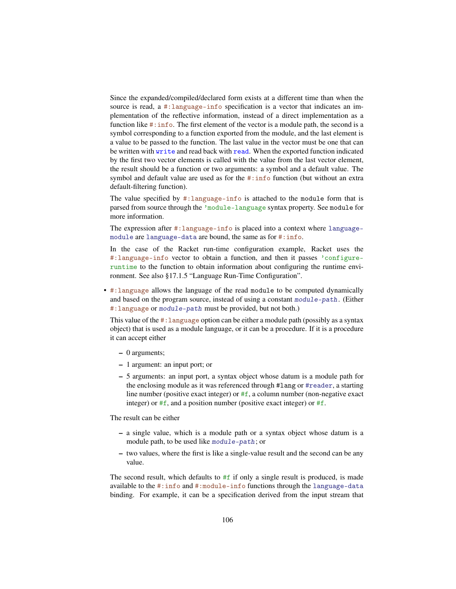Since the expanded/compiled/declared form exists at a different time than when the source is read, a #:language-info specification is a vector that indicates an implementation of the reflective information, instead of a direct implementation as a function like  $\# : \inf o$ . The first element of the vector is a module path, the second is a symbol corresponding to a function exported from the module, and the last element is a value to be passed to the function. The last value in the vector must be one that can be written with write and read back with read. When the exported function indicated by the first two vector elements is called with the value from the last vector element, the result should be a function or two arguments: a symbol and a default value. The symbol and default value are used as for the #:info function (but without an extra default-filtering function).

The value specified by #:language-info is attached to the module form that is parsed from source through the 'module-language syntax property. See module for more information.

The expression after #:language-info is placed into a context where languagemodule are language-data are bound, the same as for #:info.

In the case of the Racket run-time configuration example, Racket uses the #:language-info vector to obtain a function, and then it passes 'configureruntime to the function to obtain information about configuring the runtime environment. See also §17.1.5 "Language Run-Time Configuration".

• #:language allows the language of the read module to be computed dynamically and based on the program source, instead of using a constant module-path. (Either #:language or module-path must be provided, but not both.)

This value of the #:language option can be either a module path (possibly as a syntax object) that is used as a module language, or it can be a procedure. If it is a procedure it can accept either

- 0 arguments;
- 1 argument: an input port; or
- 5 arguments: an input port, a syntax object whose datum is a module path for the enclosing module as it was referenced through #lang or #reader, a starting line number (positive exact integer) or  $#f$ , a column number (non-negative exact integer) or  $#f$ , and a position number (positive exact integer) or  $#f$ .

The result can be either

- a single value, which is a module path or a syntax object whose datum is a module path, to be used like module-path; or
- two values, where the first is like a single-value result and the second can be any value.

The second result, which defaults to  $#f$  if only a single result is produced, is made available to the #:info and #:module-info functions through the language-data binding. For example, it can be a specification derived from the input stream that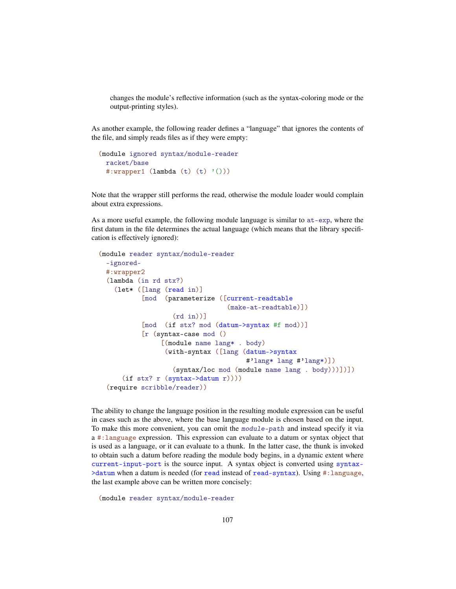changes the module's reflective information (such as the syntax-coloring mode or the output-printing styles).

As another example, the following reader defines a "language" that ignores the contents of the file, and simply reads files as if they were empty:

```
(module ignored syntax/module-reader
 racket/base
 #:wrapper1 (lambda (t) (t) '()))
```
Note that the wrapper still performs the read, otherwise the module loader would complain about extra expressions.

As a more useful example, the following module language is similar to at-exp, where the first datum in the file determines the actual language (which means that the library specification is effectively ignored):

```
(module reader syntax/module-reader
 -ignored-
 #:wrapper2
 (lambda (in rd stx?)
    (let* ([lang (read in)]
           [mod (parameterize ([current-readtable
                                 (make-at-readtable)])
                   (rd in))]
           [mod (if stx? mod (datum->syntax #f mod))]
           [r (syntax-case mod ()
                [(module name lang* . body)
                 (with-syntax ([lang (datum->syntax
                                      #'lang* lang #'lang*)])
                   (syntax/loc mod (module name lang . body)))])])
      (if stx? r (syntax->datum r))))
 (require scribble/reader))
```
The ability to change the language position in the resulting module expression can be useful in cases such as the above, where the base language module is chosen based on the input. To make this more convenient, you can omit the module-path and instead specify it via a #:language expression. This expression can evaluate to a datum or syntax object that is used as a language, or it can evaluate to a thunk. In the latter case, the thunk is invoked to obtain such a datum before reading the module body begins, in a dynamic extent where current-input-port is the source input. A syntax object is converted using syntax- >datum when a datum is needed (for read instead of read-syntax). Using #:language, the last example above can be written more concisely:

(module reader syntax/module-reader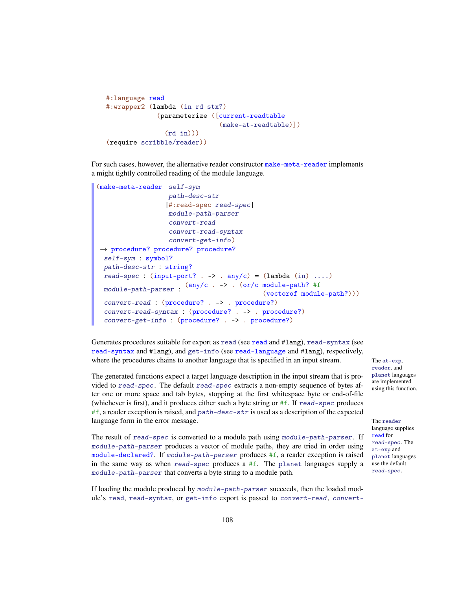```
#:language read
#:wrapper2 (lambda (in rd stx?)
             (parameterize ([current-readtable
                              (make-at-readtable)])
               (rd \in in)))(require scribble/reader))
```
For such cases, however, the alternative reader constructor make-meta-reader implements a might tightly controlled reading of the module language.

```
(make-meta-reader self-sym
                   path-desc-str
                  [#:read-spec read-spec]
                   module-path-parser
                   convert-read
                   convert-read-syntax
                   convert-get-info)
\rightarrow procedure? procedure? procedure?
 self-sym : symbol?
 path-desc-str : string?
 read-spec : (input-port? . -> . any/c) = (lambda (in) . . . .)module-path-parser :
(any/c . -> . (or/c module-path? #f
                                            (vectorof module-path?)))
 convert-read : (procedure? . -> . procedure?)
 convert-read-syntax : (procedure? . -> . procedure?)
 convert-get-info : (procedure? . -> . procedure?)
```
Generates procedures suitable for export as read (see read and #lang), read-syntax (see read-syntax and #lang), and get-info (see read-language and #lang), respectively, where the procedures chains to another language that is specified in an input stream. The at-exp,

The generated functions expect a target language description in the input stream that is provided to read-spec. The default read-spec extracts a non-empty sequence of bytes after one or more space and tab bytes, stopping at the first whitespace byte or end-of-file (whichever is first), and it produces either such a byte string or #f. If read-spec produces  $#f$ , a reader exception is raised, and path-desc-str is used as a description of the expected language form in the error message. The reader

The result of read-spec is converted to a module path using module-path-parser . If module-path-parser produces a vector of module paths, they are tried in order using module-declared?. If module-path-parser produces #f, a reader exception is raised in the same way as when read-spec produces a #f. The planet languages supply a module-path-parser that converts a byte string to a module path.

If loading the module produced by module-path-parser succeeds, then the loaded module's read, read-syntax, or get-info export is passed to convert-read, convertreader, and planet languages are implemented using this function.

language supplies read for read-spec. The at-exp and planet languages use the default read-spec.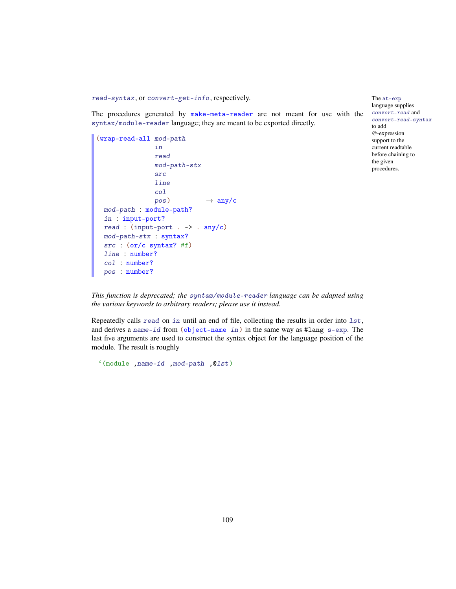read-syntax, or convert-get-info, respectively. The at-exp

The procedures generated by make-meta-reader are not meant for use with the syntax/module-reader language; they are meant to be exported directly.

```
(wrap-read-all mod-path
               in
               read
               mod-path-stx
               src
               line
               col
               pos) \rightarrow any/cmod-path : module-path?
 in : input-port?
 read : (input-port . -> . any/c)mod-path-stx : syntax?
 src : (or/c syntax? #f)
 line : number?
 col : number?
 pos : number?
```
language supplies convert-read and convert-read-syntax to add @-expression support to the current readtable before chaining to the given procedures.

*This function is deprecated; the* syntax/module-reader *language can be adapted using the various keywords to arbitrary readers; please use it instead.*

Repeatedly calls read on in until an end of file, collecting the results in order into lst, and derives a name-id from (object-name in) in the same way as #lang s-exp. The last five arguments are used to construct the syntax object for the language position of the module. The result is roughly

```
'(module ,name-id ,mod-path ,@lst)
```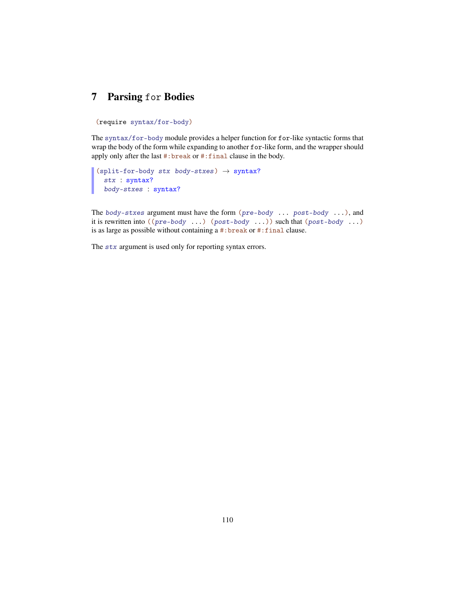## <span id="page-109-0"></span>7 Parsing for Bodies

#### (require syntax/for-body)

The syntax/for-body module provides a helper function for for-like syntactic forms that wrap the body of the form while expanding to another for-like form, and the wrapper should apply only after the last #:break or #:final clause in the body.

```
(split-for-body stx body-stxes) \rightarrow syntax?
  stx : syntax?
  body-stxes : syntax?
```
The body-stxes argument must have the form (pre-body ... post-body ...), and it is rewritten into  $((pre-body ...)(post-body ...))$  such that  $(post-body ...)$ is as large as possible without containing a #:break or #:final clause.

The stx argument is used only for reporting syntax errors.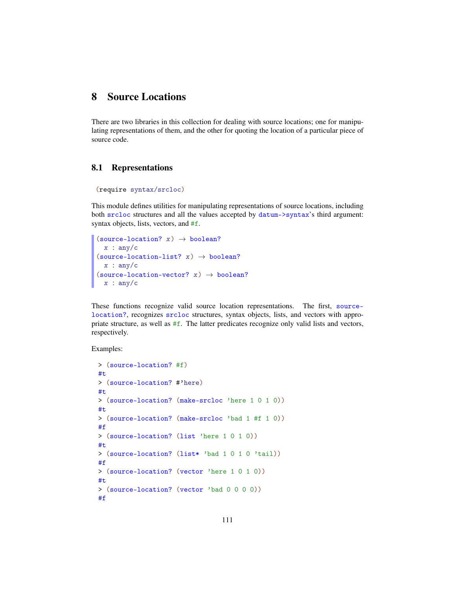## <span id="page-110-1"></span>8 Source Locations

There are two libraries in this collection for dealing with source locations; one for manipulating representations of them, and the other for quoting the location of a particular piece of source code.

### <span id="page-110-0"></span>8.1 Representations

```
(require syntax/srcloc)
```
This module defines utilities for manipulating representations of source locations, including both srcloc structures and all the values accepted by datum->syntax's third argument: syntax objects, lists, vectors, and  $#f$ .

```
(source-location? x) \rightarrow boolean?
  x : any/c(source-location-list? x) \rightarrow boolean?x : any/c(source-location-vector? x) \rightarrow boolean?
  x : any/c
```
These functions recognize valid source location representations. The first, sourcelocation?, recognizes srcloc structures, syntax objects, lists, and vectors with appropriate structure, as well as #f. The latter predicates recognize only valid lists and vectors, respectively.

```
> (source-location? #f)
#t
> (source-location? #'here)
#t
> (source-location? (make-srcloc 'here 1 0 1 0))
#t
> (source-location? (make-srcloc 'bad 1 #f 1 0))
#f
> (source-location? (list 'here 1 0 1 0))
#t
> (source-location? (list* 'bad 1 0 1 0 'tail))
#f
> (source-location? (vector 'here 1 0 1 0))
#t
> (source-location? (vector 'bad 0 0 0 0))
#f
```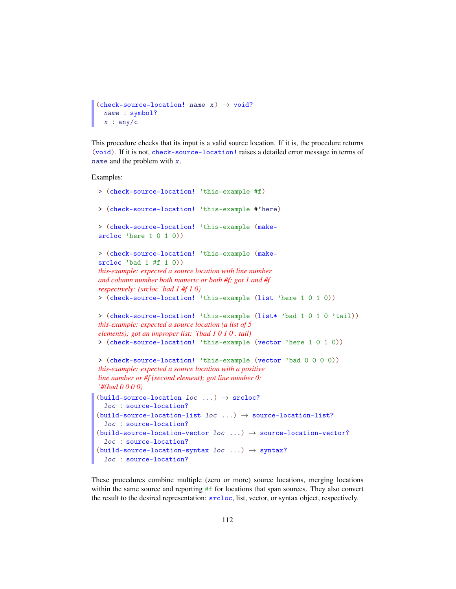```
(check-source-location! name x) \rightarrow void?
  name : symbol?
  x : any/c
```
This procedure checks that its input is a valid source location. If it is, the procedure returns (void). If it is not, check-source-location! raises a detailed error message in terms of name and the problem with x.

Examples:

```
> (check-source-location! 'this-example #f)
> (check-source-location! 'this-example #'here)
> (check-source-location! 'this-example (make-
srcloc 'here 1 0 1 0))
> (check-source-location! 'this-example (make-
srcloc 'bad 1 #f 1 0))
this-example: expected a source location with line number
and column number both numeric or both #f; got 1 and #f
respectively: (srcloc 'bad 1 #f 1 0)
> (check-source-location! 'this-example (list 'here 1 0 1 0))
> (check-source-location! 'this-example (list* 'bad 1 0 1 0 'tail))
this-example: expected a source location (a list of 5
elements); got an improper list: '(bad 1 0 1 0 . tail)
> (check-source-location! 'this-example (vector 'here 1 0 1 0))
> (check-source-location! 'this-example (vector 'bad 0 0 0 0))
this-example: expected a source location with a positive
line number or #f (second element); got line number 0:
'#(bad 0 0 0 0)
(build-source-location loc \dots) \rightarrow srcloc?
 loc : source-location?
(build-source-location-list loc ...) \rightarrow source-location-list?
  loc : source-location?
(build-source-location-vector loc ...) \rightarrow source-location-vector?loc : source-location?
(build-source-location-syntax loc \dots) \rightarrow syntax?
 loc : source-location?
```
These procedures combine multiple (zero or more) source locations, merging locations within the same source and reporting #f for locations that span sources. They also convert the result to the desired representation: srcloc, list, vector, or syntax object, respectively.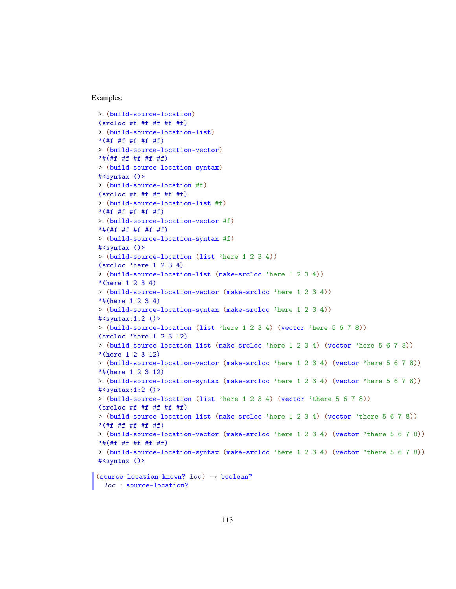Examples:

```
> (build-source-location)
(srclock #f #f #f #f #f)> (build-source-location-list)
'(#f #f #f #f #f)
> (build-source-location-vector)
'#(#f #f #f #f #f)
> (build-source-location-syntax)
#<syntax ()>
> (build-source-location #f)
(srclose \#f \#f \#f \#f \#f)> (build-source-location-list #f)
'(#f #f #f #f #f)
> (build-source-location-vector #f)
'#(#f #f #f #f #f)
> (build-source-location-syntax #f)
#<syntax ()>
> (build-source-location (list 'here 1 2 3 4))
(srcloc 'here 1 2 3 4)
> (build-source-location-list (make-srcloc 'here 1 2 3 4))
'(here 1 2 3 4)
> (build-source-location-vector (make-srcloc 'here 1 2 3 4))
'#(here 1 2 3 4)
> (build-source-location-syntax (make-srcloc 'here 1 2 3 4))
#<syntax:1:2 ()>
> (build-source-location (list 'here 1 2 3 4) (vector 'here 5 6 7 8))
(srcloc 'here 1 2 3 12)
> (build-source-location-list (make-srcloc 'here 1 2 3 4) (vector 'here 5 6 7 8))
'(here 1 2 3 12)
> (build-source-location-vector (make-srcloc 'here 1 2 3 4) (vector 'here 5 6 7 8))
'#(here 1 2 3 12)
> (build-source-location-syntax (make-srcloc 'here 1 2 3 4) (vector 'here 5 6 7 8))
#<syntax:1:2 ()>
> (build-source-location (list 'here 1 2 3 4) (vector 'there 5 6 7 8))
(\text{srcloc} \#f \#f \#f \#f)> (build-source-location-list (make-srcloc 'here 1 2 3 4) (vector 'there 5 6 7 8))
'(#f #f #f #f #f)
> (build-source-location-vector (make-srcloc 'here 1 2 3 4) (vector 'there 5 6 7 8))
'#(#f #f #f #f #f)
> (build-source-location-syntax (make-srcloc 'here 1 2 3 4) (vector 'there 5 6 7 8))
#<syntax ()>
(source-location-known? loc) \rightarrow boolean?
```
loc : source-location?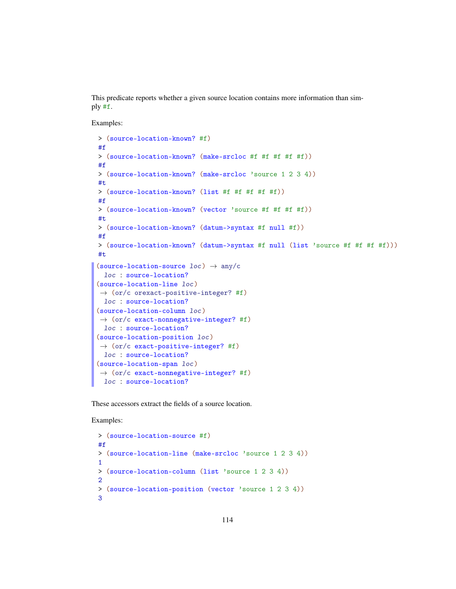This predicate reports whether a given source location contains more information than simply #f.

Examples:

```
> (source-location-known? #f)
#f
> (source-location-known? (make-srcloc #f #f #f #f #f))
#f
> (source-location-known? (make-srcloc 'source 1 2 3 4))
#t
> (source-location-known? (list #f #f #f #f #f))
#f
> (source-location-known? (vector 'source #f #f #f #f))
#t
> (source-location-known? (datum->syntax #f null #f))
#f
> (source-location-known? (datum->syntax #f null (list 'source #f #f #f #f)))
#t
(source-location-source loc) \rightarrow any/cloc : source-location?
(source-location-line loc)
\rightarrow (or/c orexact-positive-integer? #f)
 loc : source-location?
(source-location-column loc)
\rightarrow (or/c exact-nonnegative-integer? #f)
 loc : source-location?
(source-location-position loc)
\rightarrow (or/c exact-positive-integer? #f)
 loc : source-location?
(source-location-span loc)
\rightarrow (or/c exact-nonnegative-integer? #f)
 loc : source-location?
```
These accessors extract the fields of a source location.

```
> (source-location-source #f)
#f
> (source-location-line (make-srcloc 'source 1 2 3 4))
1
> (source-location-column (list 'source 1 2 3 4))
2
> (source-location-position (vector 'source 1 2 3 4))
3
```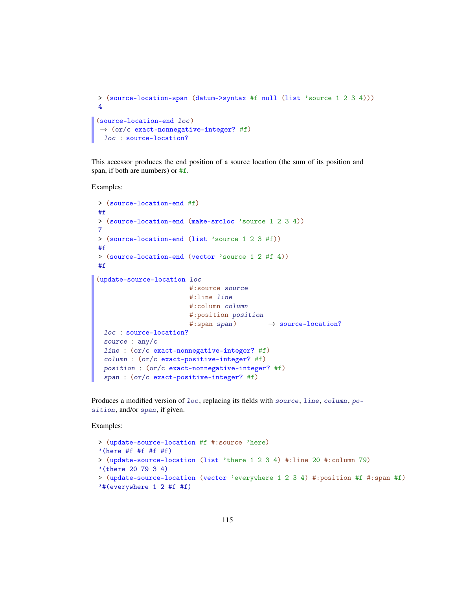```
> (source-location-span (datum->syntax #f null (list 'source 1 2 3 4)))
4
(source-location-end loc)
\rightarrow (or/c exact-nonnegative-integer? #f)
 loc : source-location?
```
This accessor produces the end position of a source location (the sum of its position and span, if both are numbers) or #f.

Examples:

```
> (source-location-end #f)
#f
> (source-location-end (make-srcloc 'source 1 2 3 4))
7
> (source-location-end (list 'source 1 2 3 #f))
#f
> (source-location-end (vector 'source 1 2 #f 4))
#f
(update-source-location loc
                       #:source source
                       #:line line
                        #:column column
                        #:position position
                        #: span span) \rightarrow source-location?
 loc : source-location?
 source : any/c
 line : (or/c exact-nonnegative-integer? #f)
 column : (or/c exact-positive-integer? #f)
 position : (or/c exact-nonnegative-integer? #f)
 span : (or/c exact-positive-integer? #f)
```
Produces a modified version of loc, replacing its fields with source, line, column, position, and/or span, if given.

```
> (update-source-location #f #:source 'here)
'(here #f #f #f #f)
> (update-source-location (list 'there 1 2 3 4) #:line 20 #:column 79)
'(there 20 79 3 4)
> (update-source-location (vector 'everywhere 1 2 3 4) #:position #f #:span #f)
'#(everywhere 1 2 #f #f)
```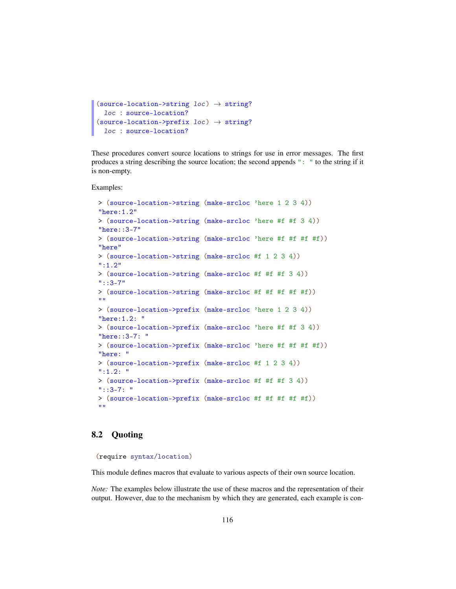```
(source-location->string loc) \rightarrow string?
  loc : source-location?
(source-location->prefix \; loc) \rightarrow string?loc : source-location?
```
These procedures convert source locations to strings for use in error messages. The first produces a string describing the source location; the second appends ": " to the string if it is non-empty.

Examples:

```
> (source-location->string (make-srcloc 'here 1 2 3 4))
"here:1.2"
> (source-location->string (make-srcloc 'here #f #f 3 4))
"here::3-7"
> (source-location->string (make-srcloc 'here #f #f #f #f))
"here"
> (source-location->string (make-srcloc #f 1 2 3 4))
":1.2"
> (source-location->string (make-srcloc #f #f #f 3 4))
"::3-7"
> (source-location->string (make-srcloc #f #f #f #f #f))
"" ""
> (source-location->prefix (make-srcloc 'here 1 2 3 4))
"here:1.2: "
> (source-location->prefix (make-srcloc 'here #f #f 3 4))
"here::3-7: "
> (source-location->prefix (make-srcloc 'here #f #f #f #f))
"here: "
> (source-location->prefix (make-srcloc #f 1 2 3 4))
":1.2: "
> (source-location->prefix (make-srcloc #f #f #f 3 4))
"::3-7: "
> (source-location->prefix (make-srcloc #f #f #f #f #f))
^{\rm m} "
```
### <span id="page-115-0"></span>8.2 Quoting

(require syntax/location)

This module defines macros that evaluate to various aspects of their own source location.

*Note:* The examples below illustrate the use of these macros and the representation of their output. However, due to the mechanism by which they are generated, each example is con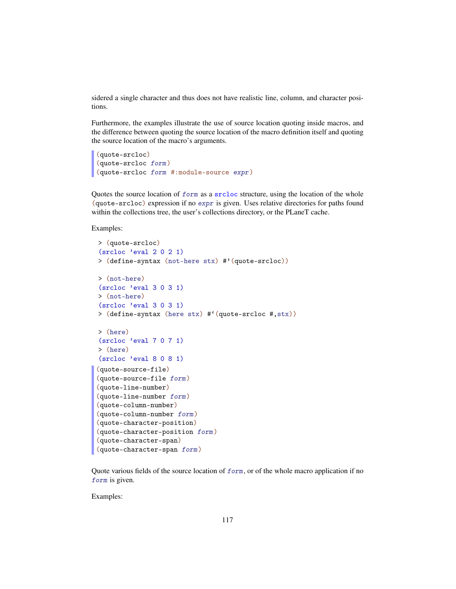sidered a single character and thus does not have realistic line, column, and character positions.

Furthermore, the examples illustrate the use of source location quoting inside macros, and the difference between quoting the source location of the macro definition itself and quoting the source location of the macro's arguments.

```
(quote-srcloc)
(quote-srcloc form)
(quote-srcloc form #:module-source expr)
```
Quotes the source location of form as a srcloc structure, using the location of the whole (quote-srcloc) expression if no expr is given. Uses relative directories for paths found within the collections tree, the user's collections directory, or the PLaneT cache.

Examples:

```
> (quote-srcloc)
(srcloc 'eval 2 0 2 1)
> (define-syntax (not-here stx) #'(quote-srcloc))
> (not-here)
(srcloc 'eval 3 0 3 1)
> (not-here)
(srcloc 'eval 3 0 3 1)
> (define-syntax (here stx) #'(quote-srcloc #,stx))
> (here)
(srcloc 'eval 7 0 7 1)
> (here)
(srcloc 'eval 8 0 8 1)
(quote-source-file)
(quote-source-file form)
(quote-line-number)
(quote-line-number form)
(quote-column-number)
(quote-column-number form)
(quote-character-position)
(quote-character-position form)
(quote-character-span)
(quote-character-span form)
```
Quote various fields of the source location of  $form$ , or of the whole macro application if no form is given.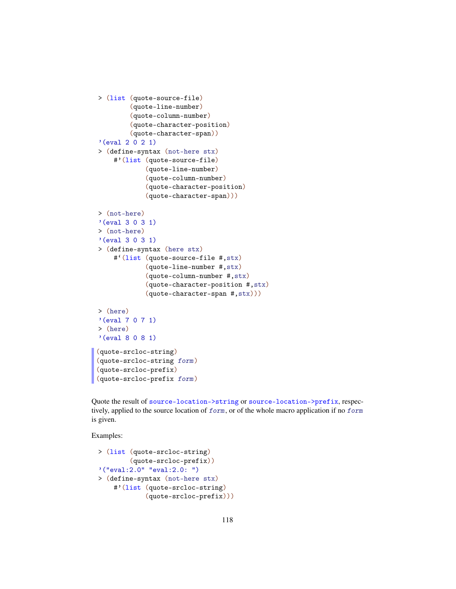```
> (list (quote-source-file)
         (quote-line-number)
         (quote-column-number)
         (quote-character-position)
         (quote-character-span))
'(eval 2 0 2 1)
> (define-syntax (not-here stx)
    #'(list (quote-source-file)
             (quote-line-number)
             (quote-column-number)
             (quote-character-position)
             (quote-character-span)))
> (not-here)
'(eval 3 0 3 1)
> (not-here)
'(eval 3 0 3 1)
> (define-syntax (here stx)
    #'(list (quote-source-file #,stx)
             (quote-line-number #,stx)
             (quote-column-number #,stx)
             (quote-character-position #,stx)
             (quote-character-span #,stx)))
> (here)
'(eval 7 0 7 1)
> (here)
'(eval 8 0 8 1)
(quote-srcloc-string)
(quote-srcloc-string form)
(quote-srcloc-prefix)
(quote-srcloc-prefix form)
```
Quote the result of source-location->string or source-location->prefix, respectively, applied to the source location of form, or of the whole macro application if no form is given.

```
> (list (quote-srcloc-string)
        (quote-srcloc-prefix))
'("eval:2.0" "eval:2.0: ")
> (define-syntax (not-here stx)
    #'(list (quote-srcloc-string)
            (quote-srcloc-prefix)))
```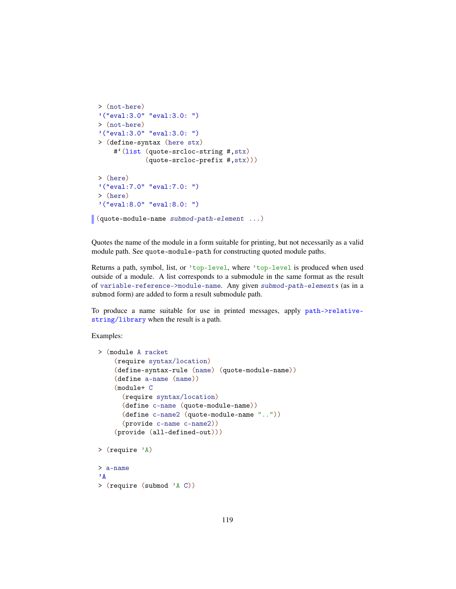```
> (not-here)
'("eval:3.0" "eval:3.0: ")
> (not-here)
'("eval:3.0" "eval:3.0: ")
> (define-syntax (here stx)
    #'(list (quote-srcloc-string #,stx)
            (quote-srcloc-prefix #,stx)))
> (here)
'("eval:7.0" "eval:7.0: ")
> (here)
'("eval:8.0" "eval:8.0: ")
```
(quote-module-name submod-path-element ...)

Quotes the name of the module in a form suitable for printing, but not necessarily as a valid module path. See quote-module-path for constructing quoted module paths.

Returns a path, symbol, list, or 'top-level, where 'top-level is produced when used outside of a module. A list corresponds to a submodule in the same format as the result of variable-reference->module-name. Any given submod-path-element s (as in a submod form) are added to form a result submodule path.

To produce a name suitable for use in printed messages, apply path->relativestring/library when the result is a path.

```
> (module A racket
    (require syntax/location)
    (define-syntax-rule (name) (quote-module-name))
    (define a-name (name))
    (module+ C
      (require syntax/location)
      (define c-name (quote-module-name))
      (define c-name2 (quote-module-name ".."))
      (provide c-name c-name2))
    (provide (all-defined-out)))
> (require 'A)
> a-name
\mathbf{A}> (require (submod 'A C))
```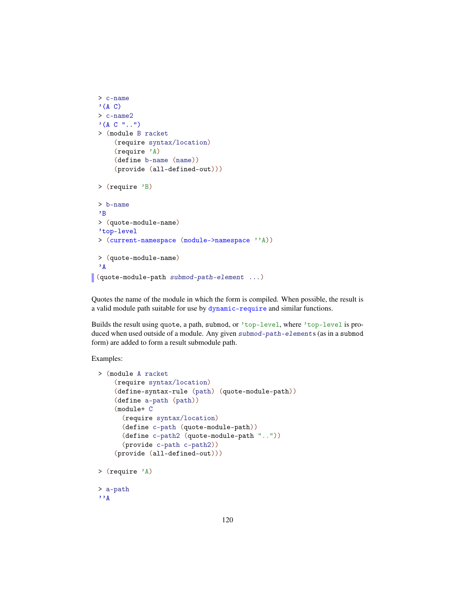```
> c-name
 '(A C)> c-name2
 (AC "...")> (module B racket
      (require syntax/location)
      (require 'A)
      (define b-name (name))
      (provide (all-defined-out)))
 > (require 'B)
 > b-name
 \cdotB
 > (quote-module-name)
 'top-level
 > (current-namespace (module->namespace ''A))
 > (quote-module-name)
 'A
(quote-module-path submod-path-element ...)
```
Quotes the name of the module in which the form is compiled. When possible, the result is a valid module path suitable for use by dynamic-require and similar functions.

Builds the result using quote, a path, submod, or 'top-level, where 'top-level is produced when used outside of a module. Any given submod-path-element s (as in a submod form) are added to form a result submodule path.

```
> (module A racket
    (require syntax/location)
    (define-syntax-rule (path) (quote-module-path))
    (define a-path (path))
    (module+ C
      (require syntax/location)
      (define c-path (quote-module-path))
      (define c-path2 (quote-module-path ".."))
      (provide c-path c-path2))
    (provide (all-defined-out)))
> (require 'A)
> a-path
, \, \cdot _{\rm A}
```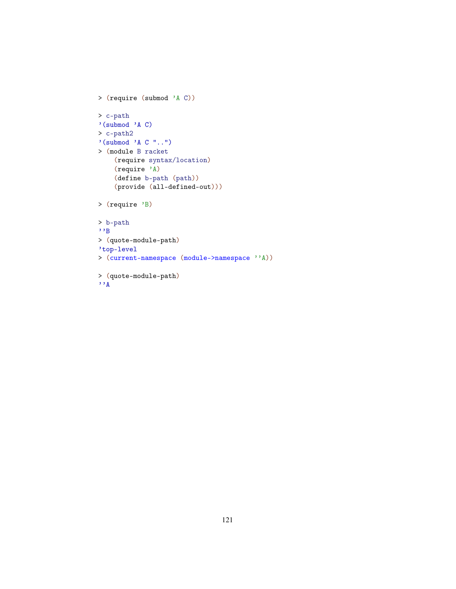```
> (require (submod 'A C))
> c-path
'(submod 'A C)
> c-path2
'(submod 'A C "..")
> (module B racket
    (require syntax/location)
    (require 'A)
    (define b-path (path))
    (provide (all-defined-out)))
> (require 'B)
> b-path
, \cdot> (quote-module-path)
'top-level
> (current-namespace (module->namespace ''A))
> (quote-module-path)
, \cdot_A
```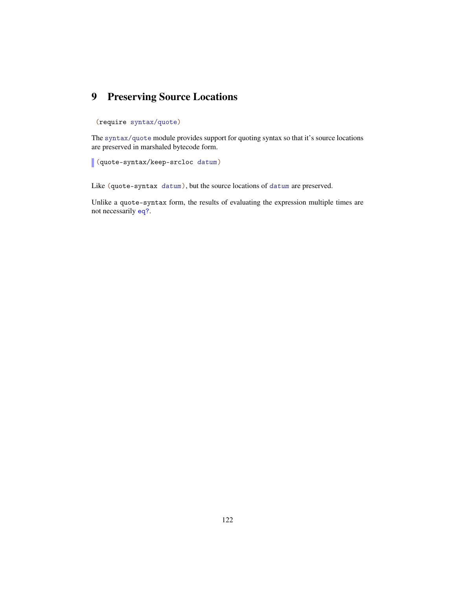# <span id="page-121-0"></span>9 Preserving Source Locations

### (require syntax/quote)

The syntax/quote module provides support for quoting syntax so that it's source locations are preserved in marshaled bytecode form.

(quote-syntax/keep-srcloc datum)

Like (quote-syntax datum), but the source locations of datum are preserved.

Unlike a quote-syntax form, the results of evaluating the expression multiple times are not necessarily eq?.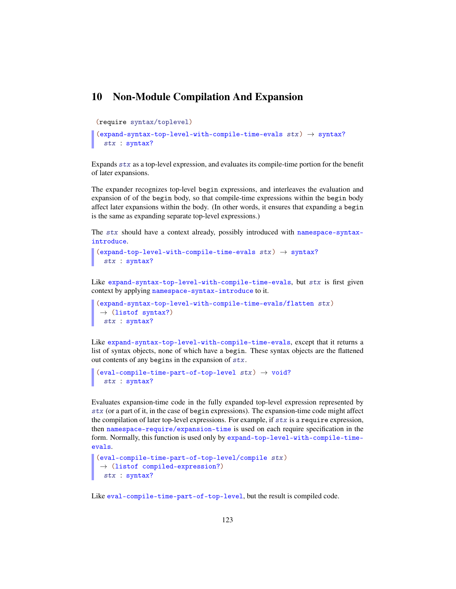## <span id="page-122-0"></span>10 Non-Module Compilation And Expansion

```
(require syntax/toplevel)
```

```
(expand-syntax-top-level-with-compile-time-evals stx) \rightarrow syntax?
  stx : syntax?
```
Expands stx as a top-level expression, and evaluates its compile-time portion for the benefit of later expansions.

The expander recognizes top-level begin expressions, and interleaves the evaluation and expansion of of the begin body, so that compile-time expressions within the begin body affect later expansions within the body. (In other words, it ensures that expanding a begin is the same as expanding separate top-level expressions.)

The stx should have a context already, possibly introduced with namespace-syntaxintroduce.

```
(expand-top-level-with-compile-time-evals stx) \rightarrow syntax?
  stx : syntax?
```
Like expand-syntax-top-level-with-compile-time-evals, but stx is first given context by applying namespace-syntax-introduce to it.

```
(expand-syntax-top-level-with-compile-time-evals/flatten stx)
\rightarrow (listof syntax?)
 stx : syntax?
```
Like expand-syntax-top-level-with-compile-time-evals, except that it returns a list of syntax objects, none of which have a begin. These syntax objects are the flattened out contents of any begins in the expansion of  $stx$ .

```
(eval-compile-time-part-of-top-level stx) \rightarrow void?stx : syntax?
```
Evaluates expansion-time code in the fully expanded top-level expression represented by stx (or a part of it, in the case of begin expressions). The expansion-time code might affect the compilation of later top-level expressions. For example, if  $stx$  is a require expression, then namespace-require/expansion-time is used on each require specification in the form. Normally, this function is used only by expand-top-level-with-compile-timeevals.

```
(eval-compile-time-part-of-top-level/compile stx)
\rightarrow (listof compiled-expression?)
 stx : syntax?
```
Like eval-compile-time-part-of-top-level, but the result is compiled code.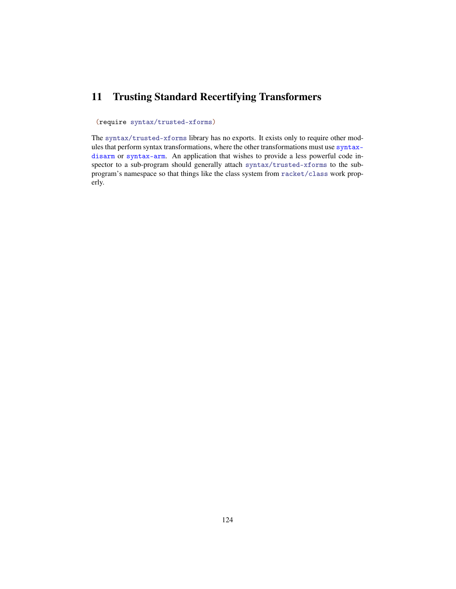# <span id="page-123-0"></span>11 Trusting Standard Recertifying Transformers

#### (require syntax/trusted-xforms)

The syntax/trusted-xforms library has no exports. It exists only to require other modules that perform syntax transformations, where the other transformations must use syntaxdisarm or syntax-arm. An application that wishes to provide a less powerful code inspector to a sub-program should generally attach syntax/trusted-xforms to the subprogram's namespace so that things like the class system from racket/class work properly.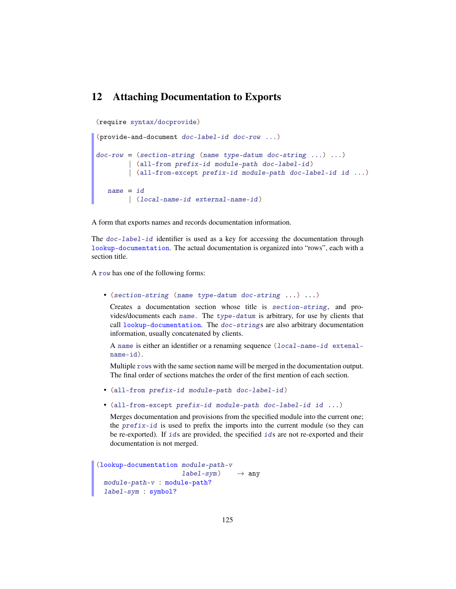## <span id="page-124-0"></span>12 Attaching Documentation to Exports

(require syntax/docprovide)

```
(provide-and-document doc-label-id doc-row ...)
doc-row = (section-string (name type-datum doc-string ... ) ...)| (all-from prefix-id module-path doc-label-id)
        | (all-from-except prefix-id module-path doc-label-id id ...)
  name = id| (local-name-id external-name-id )
```
A form that exports names and records documentation information.

The doc-label-id identifier is used as a key for accessing the documentation through lookup-documentation. The actual documentation is organized into "rows", each with a section title.

A row has one of the following forms:

• (section-string (name type-datum doc-string ...) ...)

Creates a documentation section whose title is section-string, and provides/documents each name. The type-datum is arbitrary, for use by clients that call lookup-documentation. The doc-strings are also arbitrary documentation information, usually concatenated by clients.

A name is either an identifier or a renaming sequence (local-name-id extenalname-id).

Multiple rows with the same section name will be merged in the documentation output. The final order of sections matches the order of the first mention of each section.

- (all-from prefix-id module-path doc-label-id )
- (all-from-except prefix-id module-path doc-label-id id ...)

Merges documentation and provisions from the specified module into the current one; the prefix-id is used to prefix the imports into the current module (so they can be re-exported). If ids are provided, the specified ids are not re-exported and their documentation is not merged.

```
(lookup-documentation module-path-v
                       label-sym) \rightarrow any
 module-path-v : module-path?
 label-sym : symbol?
```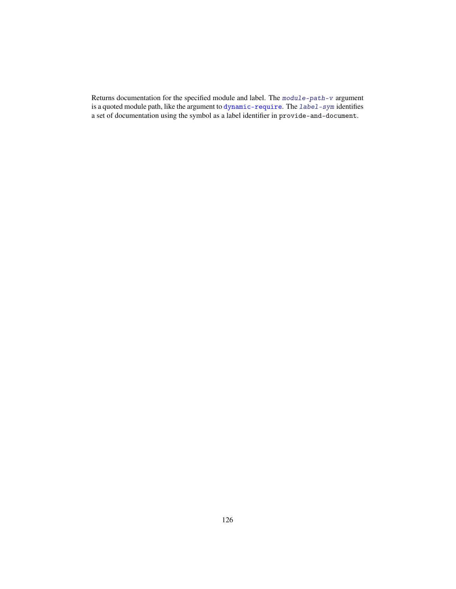Returns documentation for the specified module and label. The module-path-v argument is a quoted module path, like the argument to dynamic-require. The label-sym identifies a set of documentation using the symbol as a label identifier in provide-and-document.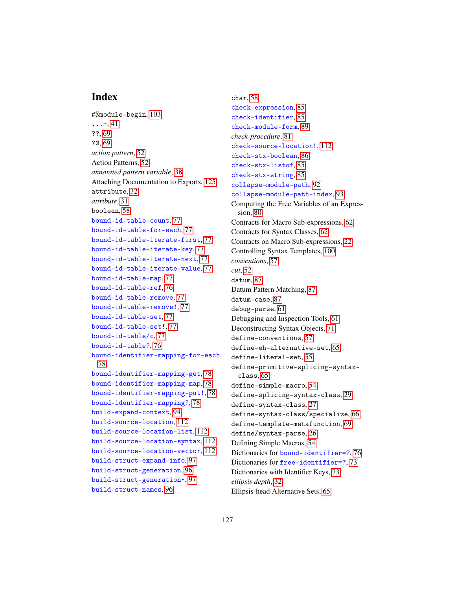## Index

```
#%module-begin, 103
\dots + 41
??, 69
?@, 69
action pattern, 52
Action Patterns, 52
annotated pattern variable, 38
Attaching Documentation to Exports, 125
attribute, 32
attribute, 31
boolean, 58
bound-id-table-count, 77
bound-id-table-for-each, 77
bound-id-table-iterate-first, 77
bound-id-table-iterate-key, 77
bound-id-table-iterate-next, 77
bound-id-table-iterate-value, 77
bound-id-table-map, 77
bound-id-table-ref, 76
bound-id-table-remove, 77
bound-id-table-remove!, 77
bound-id-table-set, 77
bound-id-table-set!, 77
bound-id-table/c, 77
bound-id-table?, 76
bound-identifier-mapping-for-each,
 78
bound-identifier-mapping-get, 78
bound-identifier-mapping-map, 78
bound-identifier-mapping-put!, 78
bound-identifier-mapping?, 78
build-expand-context, 94
build-source-location, 112
build-source-location-list, 112
build-source-location-syntax, 112
build-source-location-vector, 112
build-struct-expand-info, 97
build-struct-generation, 96
build-struct-generation*, 97
build-struct-names, 96
```
char, [58](#page-57-0) check-expression, [85](#page-80-0) check-identifier, [85](#page-80-0) check-module-form, [89](#page-88-0) *check-procedure*, [81](#page-80-0) check-source-location!, [112](#page-110-0) check-stx-boolean, [86](#page-80-0) check-stx-listof, [85](#page-80-0) check-stx-string, [85](#page-80-0) collapse-module-path, [92](#page-91-0) collapse-module-path-index, [93](#page-91-0) Computing the Free Variables of an Expression, [80](#page-79-0) Contracts for Macro Sub-expressions, [62](#page-61-0) Contracts for Syntax Classes, [62](#page-61-1) Contracts on Macro Sub-expressions, [22](#page-21-0) Controlling Syntax Templates, [100](#page-99-0) *conventions*, [57](#page-54-0) *cut*, [52](#page-51-0) datum, [87](#page-86-0) Datum Pattern Matching, [87](#page-86-0) datum-case, [87](#page-86-0) debug-parse, [61](#page-60-0) Debugging and Inspection Tools, [61](#page-60-0) Deconstructing Syntax Objects, [71](#page-70-0) define-conventions, [57](#page-54-0) define-eh-alternative-set, [65](#page-64-0) define-literal-set, [55](#page-54-0) define-primitive-splicing-syntaxclass, [65](#page-64-1) define-simple-macro, [54](#page-53-0) define-splicing-syntax-class, [29](#page-26-0) define-syntax-class, [27](#page-26-0) define-syntax-class/specialize, [66](#page-65-0) define-template-metafunction, [69](#page-66-0) define/syntax-parse, [26](#page-22-0) Defining Simple Macros, [54](#page-53-0) Dictionaries for bound-identifier=?, [76](#page-75-0) Dictionaries for free-identifier=?, [73](#page-72-0) Dictionaries with Identifier Keys, [73](#page-72-1) *ellipsis depth*, [32](#page-30-0) Ellipsis-head Alternative Sets, [65](#page-64-0)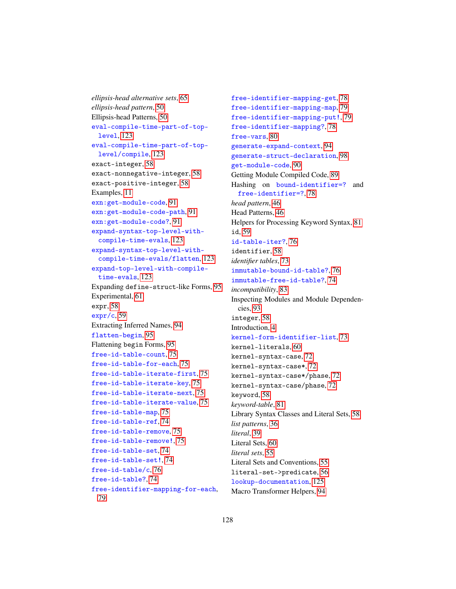*ellipsis-head alternative sets*, [65](#page-64-0) *ellipsis-head pattern*, [50](#page-49-0) Ellipsis-head Patterns, [50](#page-49-0) eval-compile-time-part-of-toplevel, [123](#page-122-0) eval-compile-time-part-of-toplevel/compile, [123](#page-122-0) exact-integer, [58](#page-57-0) exact-nonnegative-integer, [58](#page-57-0) exact-positive-integer, [58](#page-57-0) Examples, [11](#page-10-0) exn:get-module-code, [91](#page-88-1) exn:get-module-code-path, [91](#page-88-1) exn:get-module-code?, [91](#page-88-1) expand-syntax-top-level-withcompile-time-evals, [123](#page-122-0) expand-syntax-top-level-withcompile-time-evals/flatten, [123](#page-122-0) expand-top-level-with-compiletime-evals, [123](#page-122-0) Expanding define-struct-like Forms, [95](#page-94-0) Experimental, [61](#page-60-1) expr, [58](#page-57-0) expr/c, [59](#page-57-0) Extracting Inferred Names, [94](#page-93-1) flatten-begin, [95](#page-94-1) Flattening begin Forms, [95](#page-94-1) free-id-table-count, [75](#page-72-0) free-id-table-for-each, [75](#page-72-0) free-id-table-iterate-first, [75](#page-72-0) free-id-table-iterate-key, [75](#page-72-0) free-id-table-iterate-next, [75](#page-72-0) free-id-table-iterate-value, [75](#page-72-0) free-id-table-map, [75](#page-72-0) free-id-table-ref, [74](#page-72-0) free-id-table-remove, [75](#page-72-0) free-id-table-remove!, [75](#page-72-0) free-id-table-set, [74](#page-72-0) free-id-table-set!, [74](#page-72-0) free-id-table/c, [76](#page-72-0) free-id-table?, [74](#page-72-0) free-identifier-mapping-for-each, [79](#page-77-0)

free-identifier-mapping-get, [78](#page-77-0) free-identifier-mapping-map, [79](#page-77-0) free-identifier-mapping-put!, [79](#page-77-0) free-identifier-mapping?, [78](#page-77-0) free-vars, [80](#page-79-0) generate-expand-context, [94](#page-93-0) generate-struct-declaration, [98](#page-94-0) get-module-code, [90](#page-88-1) Getting Module Compiled Code, [89](#page-88-1) Hashing on bound-identifier=? and free-identifier=?, [78](#page-77-0) *head pattern*, [46](#page-45-0) Head Patterns, [46](#page-45-0) Helpers for Processing Keyword Syntax, [81](#page-80-0) id, [59](#page-57-0) id-table-iter?, [76](#page-72-0) identifier, [58](#page-57-0) *identifier tables*, [73](#page-72-1) immutable-bound-id-table?, [76](#page-75-0) immutable-free-id-table?, [74](#page-72-0) *incompatibility*, [83](#page-80-0) Inspecting Modules and Module Dependencies, [93](#page-92-0) integer, [58](#page-57-0) Introduction, [4](#page-3-0) kernel-form-identifier-list, [73](#page-71-0) kernel-literals, [60](#page-59-0) kernel-syntax-case, [72](#page-71-0) kernel-syntax-case\*, [72](#page-71-0) kernel-syntax-case\*/phase, [72](#page-71-0) kernel-syntax-case/phase, [72](#page-71-0) keyword, [58](#page-57-0) *keyword-table*, [81](#page-80-0) Library Syntax Classes and Literal Sets, [58](#page-57-1) *list patterns*, [36](#page-35-0) *literal*, [39](#page-35-0) Literal Sets, [60](#page-59-0) *literal sets*, [55](#page-54-0) Literal Sets and Conventions, [55](#page-54-0) literal-set->predicate, [56](#page-54-0) lookup-documentation, [125](#page-124-0) Macro Transformer Helpers, [94](#page-93-2)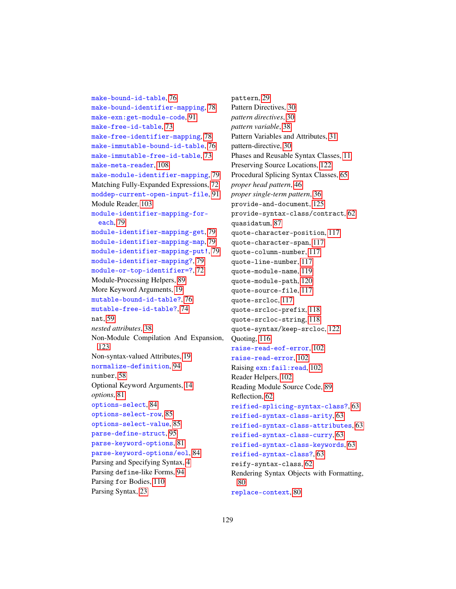make-bound-id-table, [76](#page-75-0) make-bound-identifier-mapping, [78](#page-77-0) make-exn:get-module-code, [91](#page-88-1) make-free-id-table, [73](#page-72-0) make-free-identifier-mapping, [78](#page-77-0) make-immutable-bound-id-table, [76](#page-75-0) make-immutable-free-id-table, [73](#page-72-0) make-meta-reader, [108](#page-102-0) make-module-identifier-mapping, [79](#page-77-0) Matching Fully-Expanded Expressions, [72](#page-71-0) moddep-current-open-input-file, [91](#page-88-1) Module Reader, [103](#page-102-0) module-identifier-mapping-foreach, [79](#page-77-0) module-identifier-mapping-get, [79](#page-77-0) module-identifier-mapping-map, [79](#page-77-0) module-identifier-mapping-put!, [79](#page-77-0) module-identifier-mapping?, [79](#page-77-0) module-or-top-identifier=?, [72](#page-70-0) Module-Processing Helpers, [89](#page-88-2) More Keyword Arguments, [19](#page-18-0) mutable-bound-id-table?, [76](#page-75-0) mutable-free-id-table?, [74](#page-72-0) nat, [59](#page-57-0) *nested attributes*, [38](#page-35-0) Non-Module Compilation And Expansion, [123](#page-122-0) Non-syntax-valued Attributes, [19](#page-17-0) normalize-definition, [94](#page-93-3) number, [58](#page-57-0) Optional Keyword Arguments, [14](#page-13-0) *options*, [81](#page-80-0) options-select, [84](#page-80-0) options-select-row, [85](#page-80-0) options-select-value, [85](#page-80-0) parse-define-struct, [95](#page-94-0) parse-keyword-options, [81](#page-80-0) parse-keyword-options/eol, [84](#page-80-0) Parsing and Specifying Syntax, [4](#page-3-1) Parsing define-like Forms, [94](#page-93-3) Parsing for Bodies, [110](#page-109-0) Parsing Syntax, [23](#page-22-0)

pattern, [29](#page-26-0) Pattern Directives, [30](#page-29-0) *pattern directives*, [30](#page-29-0) *pattern variable*, [38](#page-35-0) Pattern Variables and Attributes, [31](#page-30-0) pattern-directive, [30](#page-29-0) Phases and Reusable Syntax Classes, [11](#page-10-1) Preserving Source Locations, [122](#page-121-0) Procedural Splicing Syntax Classes, [65](#page-64-1) *proper head pattern*, [46](#page-45-0) *proper single-term pattern*, [36](#page-35-0) provide-and-document, [125](#page-124-0) provide-syntax-class/contract, [62](#page-61-1) quasidatum, [87](#page-86-0) quote-character-position, [117](#page-115-0) quote-character-span, [117](#page-115-0) quote-column-number, [117](#page-115-0) quote-line-number, [117](#page-115-0) quote-module-name, [119](#page-115-0) quote-module-path, [120](#page-115-0) quote-source-file, [117](#page-115-0) quote-srcloc, [117](#page-115-0) quote-srcloc-prefix, [118](#page-115-0) quote-srcloc-string, [118](#page-115-0) quote-syntax/keep-srcloc, [122](#page-121-0) Quoting, [116](#page-115-0) raise-read-eof-error, [102](#page-101-0) raise-read-error, [102](#page-101-0) Raising exn:fail:read, [102](#page-101-0) Reader Helpers, [102](#page-101-1) Reading Module Source Code, [89](#page-88-0) Reflection, [62](#page-61-2) reified-splicing-syntax-class?, [63](#page-61-2) reified-syntax-class-arity, [63](#page-61-2) reified-syntax-class-attributes, [63](#page-61-2) reified-syntax-class-curry, [63](#page-61-2) reified-syntax-class-keywords, [63](#page-61-2) reified-syntax-class?, [63](#page-61-2) reify-syntax-class, [62](#page-61-2) Rendering Syntax Objects with Formatting, [80](#page-79-1) replace-context, [80](#page-79-2)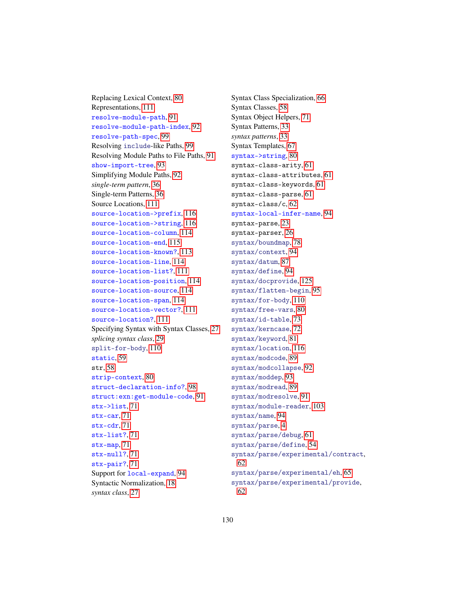Replacing Lexical Context, [80](#page-79-2) Representations, [111](#page-110-0) resolve-module-path, [91](#page-90-0) resolve-module-path-index, [92](#page-90-0) resolve-path-spec, [99](#page-98-0) Resolving include-like Paths, [99](#page-98-0) Resolving Module Paths to File Paths, [91](#page-90-0) show-import-tree, [93](#page-92-0) Simplifying Module Paths, [92](#page-91-0) *single-term pattern*, [36](#page-35-0) Single-term Patterns, [36](#page-35-0) Source Locations, [111](#page-110-1) source-location->prefix, [116](#page-110-0) source-location->string, [116](#page-110-0) source-location-column, [114](#page-110-0) source-location-end, [115](#page-110-0) source-location-known?, [113](#page-110-0) source-location-line, [114](#page-110-0) source-location-list?, [111](#page-110-0) source-location-position, [114](#page-110-0) source-location-source, [114](#page-110-0) source-location-span, [114](#page-110-0) source-location-vector?, [111](#page-110-0) source-location?, [111](#page-110-0) Specifying Syntax with Syntax Classes, [27](#page-26-0) *splicing syntax class*, [29](#page-26-0) split-for-body, [110](#page-109-0) static, [59](#page-57-0) str, [58](#page-57-0) strip-context, [80](#page-79-2) struct-declaration-info?, [98](#page-94-0) struct:exn:get-module-code, [91](#page-88-1) stx->list, [71](#page-70-0) stx-car, [71](#page-70-0) stx-cdr, [71](#page-70-0) stx-list?, [71](#page-70-0) stx-map, [71](#page-70-0) stx-null?, [71](#page-70-0) stx-pair?, [71](#page-70-0) Support for local-expand, [94](#page-93-0) Syntactic Normalization, [18](#page-17-0) *syntax class*, [27](#page-26-0)

Syntax Class Specialization, [66](#page-65-0) Syntax Classes, [58](#page-57-0) Syntax Object Helpers, [71](#page-70-1) Syntax Patterns, [33](#page-32-0) *syntax patterns*, [33](#page-32-0) Syntax Templates, [67](#page-66-0) syntax->string, [80](#page-79-1) syntax-class-arity, [61](#page-60-0) syntax-class-attributes, [61](#page-60-0) syntax-class-keywords, [61](#page-60-0) syntax-class-parse, [61](#page-60-0) syntax-class/c, [62](#page-61-1) syntax-local-infer-name, [94](#page-93-1) syntax-parse, [23](#page-22-0) syntax-parser, [26](#page-22-0) syntax/boundmap, [78](#page-77-0) syntax/context, [94](#page-93-0) syntax/datum, [87](#page-86-0) syntax/define, [94](#page-93-3) syntax/docprovide, [125](#page-124-0) syntax/flatten-begin, [95](#page-94-1) syntax/for-body, [110](#page-109-0) syntax/free-vars, [80](#page-79-0) syntax/id-table, [73](#page-72-1) syntax/kerncase, [72](#page-71-0) syntax/keyword, [81](#page-80-0) syntax/location, [116](#page-115-0) syntax/modcode, [89](#page-88-1) syntax/modcollapse, [92](#page-91-0) syntax/moddep, [93](#page-92-0) syntax/modread, [89](#page-88-0) syntax/modresolve, [91](#page-90-0) syntax/module-reader, [103](#page-102-0) syntax/name, [94](#page-93-1) syntax/parse, [4](#page-3-1) syntax/parse/debug, [61](#page-60-0) syntax/parse/define, [54](#page-53-0) syntax/parse/experimental/contract, [62](#page-61-0) syntax/parse/experimental/eh, [65](#page-64-0) syntax/parse/experimental/provide, [62](#page-61-1)